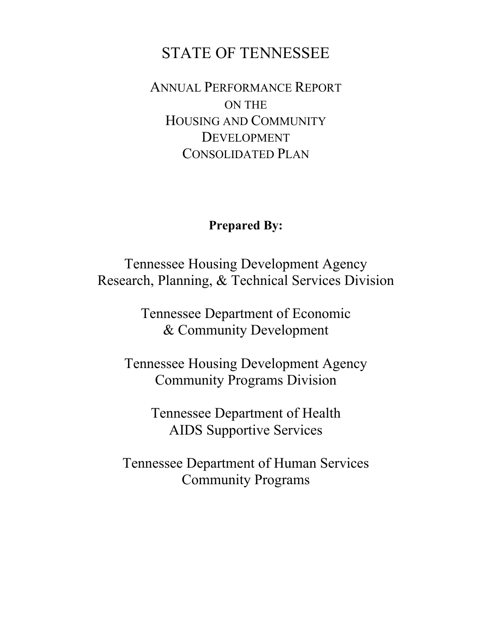# STATE OF TENNESSEE

ANNUAL PERFORMANCE REPORT ON THE HOUSING AND COMMUNITY DEVELOPMENT CONSOLIDATED PLAN

# **Prepared By:**

Tennessee Housing Development Agency Research, Planning, & Technical Services Division

> Tennessee Department of Economic & Community Development

Tennessee Housing Development Agency Community Programs Division

> Tennessee Department of Health AIDS Supportive Services

Tennessee Department of Human Services Community Programs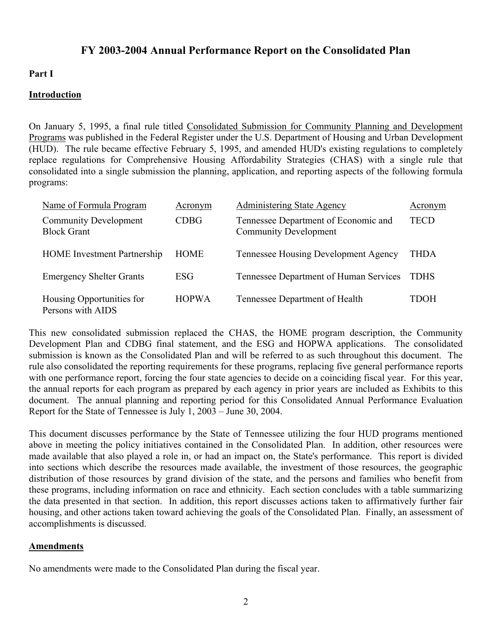# **FY 2003-2004 Annual Performance Report on the Consolidated Plan**

# **Part I**

## **Introduction**

On January 5, 1995, a final rule titled Consolidated Submission for Community Planning and Development Programs was published in the Federal Register under the U.S. Department of Housing and Urban Development (HUD). The rule became effective February 5, 1995, and amended HUD's existing regulations to completely replace regulations for Comprehensive Housing Affordability Strategies (CHAS) with a single rule that consolidated into a single submission the planning, application, and reporting aspects of the following formula programs:

| Name of Formula Program                            | Acronym      | <b>Administering State Agency</b>                                    | Acronym     |
|----------------------------------------------------|--------------|----------------------------------------------------------------------|-------------|
| <b>Community Development</b><br><b>Block Grant</b> | <b>CDBG</b>  | Tennessee Department of Economic and<br><b>Community Development</b> | <b>TECD</b> |
| <b>HOME</b> Investment Partnership                 | <b>HOME</b>  | <b>Tennessee Housing Development Agency</b>                          | THDA        |
| <b>Emergency Shelter Grants</b>                    | <b>ESG</b>   | Tennessee Department of Human Services                               | <b>TDHS</b> |
| Housing Opportunities for<br>Persons with AIDS     | <b>HOPWA</b> | Tennessee Department of Health                                       | TDOH        |

This new consolidated submission replaced the CHAS, the HOME program description, the Community Development Plan and CDBG final statement, and the ESG and HOPWA applications. The consolidated submission is known as the Consolidated Plan and will be referred to as such throughout this document. The rule also consolidated the reporting requirements for these programs, replacing five general performance reports with one performance report, forcing the four state agencies to decide on a coinciding fiscal year. For this year, the annual reports for each program as prepared by each agency in prior years are included as Exhibits to this document. The annual planning and reporting period for this Consolidated Annual Performance Evaluation Report for the State of Tennessee is July 1, 2003 – June 30, 2004.

This document discusses performance by the State of Tennessee utilizing the four HUD programs mentioned above in meeting the policy initiatives contained in the Consolidated Plan. In addition, other resources were made available that also played a role in, or had an impact on, the State's performance. This report is divided into sections which describe the resources made available, the investment of those resources, the geographic distribution of those resources by grand division of the state, and the persons and families who benefit from these programs, including information on race and ethnicity. Each section concludes with a table summarizing the data presented in that section. In addition, this report discusses actions taken to affirmatively further fair housing, and other actions taken toward achieving the goals of the Consolidated Plan. Finally, an assessment of accomplishments is discussed.

### **Amendments**

No amendments were made to the Consolidated Plan during the fiscal year.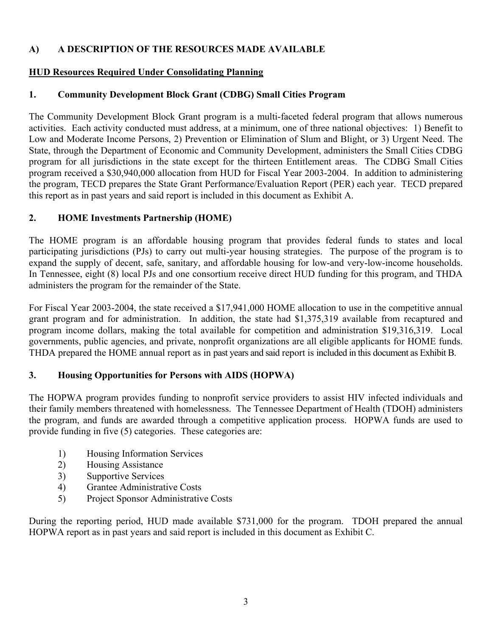# **A) A DESCRIPTION OF THE RESOURCES MADE AVAILABLE**

# **HUD Resources Required Under Consolidating Planning**

# **1. Community Development Block Grant (CDBG) Small Cities Program**

The Community Development Block Grant program is a multi-faceted federal program that allows numerous activities. Each activity conducted must address, at a minimum, one of three national objectives: 1) Benefit to Low and Moderate Income Persons, 2) Prevention or Elimination of Slum and Blight, or 3) Urgent Need. The State, through the Department of Economic and Community Development, administers the Small Cities CDBG program for all jurisdictions in the state except for the thirteen Entitlement areas. The CDBG Small Cities program received a \$30,940,000 allocation from HUD for Fiscal Year 2003-2004. In addition to administering the program, TECD prepares the State Grant Performance/Evaluation Report (PER) each year. TECD prepared this report as in past years and said report is included in this document as Exhibit A.

# **2. HOME Investments Partnership (HOME)**

The HOME program is an affordable housing program that provides federal funds to states and local participating jurisdictions (PJs) to carry out multi-year housing strategies. The purpose of the program is to expand the supply of decent, safe, sanitary, and affordable housing for low-and very-low-income households. In Tennessee, eight (8) local PJs and one consortium receive direct HUD funding for this program, and THDA administers the program for the remainder of the State.

For Fiscal Year 2003-2004, the state received a \$17,941,000 HOME allocation to use in the competitive annual grant program and for administration. In addition, the state had \$1,375,319 available from recaptured and program income dollars, making the total available for competition and administration \$19,316,319. Local governments, public agencies, and private, nonprofit organizations are all eligible applicants for HOME funds. THDA prepared the HOME annual report as in past years and said report is included in this document as Exhibit B.

# **3. Housing Opportunities for Persons with AIDS (HOPWA)**

The HOPWA program provides funding to nonprofit service providers to assist HIV infected individuals and their family members threatened with homelessness. The Tennessee Department of Health (TDOH) administers the program, and funds are awarded through a competitive application process. HOPWA funds are used to provide funding in five (5) categories. These categories are:

- 1) Housing Information Services
- 2) Housing Assistance
- 3) Supportive Services
- 4) Grantee Administrative Costs
- 5) Project Sponsor Administrative Costs

During the reporting period, HUD made available \$731,000 for the program. TDOH prepared the annual HOPWA report as in past years and said report is included in this document as Exhibit C.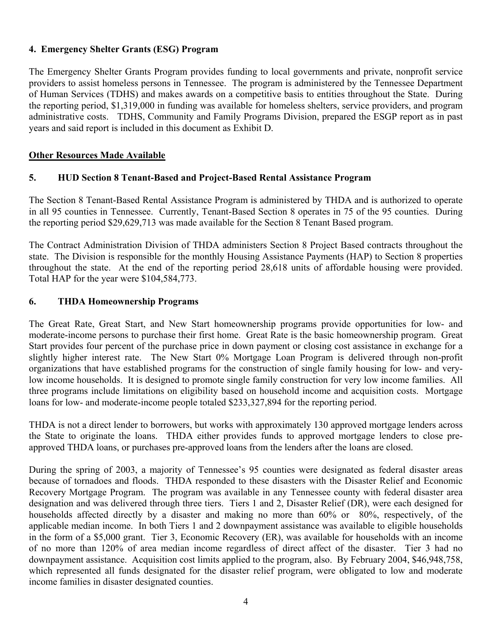## **4. Emergency Shelter Grants (ESG) Program**

The Emergency Shelter Grants Program provides funding to local governments and private, nonprofit service providers to assist homeless persons in Tennessee. The program is administered by the Tennessee Department of Human Services (TDHS) and makes awards on a competitive basis to entities throughout the State. During the reporting period, \$1,319,000 in funding was available for homeless shelters, service providers, and program administrative costs. TDHS, Community and Family Programs Division, prepared the ESGP report as in past years and said report is included in this document as Exhibit D.

## **Other Resources Made Available**

# **5. HUD Section 8 Tenant-Based and Project-Based Rental Assistance Program**

The Section 8 Tenant-Based Rental Assistance Program is administered by THDA and is authorized to operate in all 95 counties in Tennessee. Currently, Tenant-Based Section 8 operates in 75 of the 95 counties. During the reporting period \$29,629,713 was made available for the Section 8 Tenant Based program.

The Contract Administration Division of THDA administers Section 8 Project Based contracts throughout the state. The Division is responsible for the monthly Housing Assistance Payments (HAP) to Section 8 properties throughout the state. At the end of the reporting period 28,618 units of affordable housing were provided. Total HAP for the year were \$104,584,773.

### **6. THDA Homeownership Programs**

The Great Rate, Great Start, and New Start homeownership programs provide opportunities for low- and moderate-income persons to purchase their first home. Great Rate is the basic homeownership program. Great Start provides four percent of the purchase price in down payment or closing cost assistance in exchange for a slightly higher interest rate. The New Start 0% Mortgage Loan Program is delivered through non-profit organizations that have established programs for the construction of single family housing for low- and verylow income households. It is designed to promote single family construction for very low income families. All three programs include limitations on eligibility based on household income and acquisition costs. Mortgage loans for low- and moderate-income people totaled \$233,327,894 for the reporting period.

THDA is not a direct lender to borrowers, but works with approximately 130 approved mortgage lenders across the State to originate the loans. THDA either provides funds to approved mortgage lenders to close preapproved THDA loans, or purchases pre-approved loans from the lenders after the loans are closed.

During the spring of 2003, a majority of Tennessee's 95 counties were designated as federal disaster areas because of tornadoes and floods. THDA responded to these disasters with the Disaster Relief and Economic Recovery Mortgage Program. The program was available in any Tennessee county with federal disaster area designation and was delivered through three tiers. Tiers 1 and 2, Disaster Relief (DR), were each designed for households affected directly by a disaster and making no more than 60% or 80%, respectively, of the applicable median income. In both Tiers 1 and 2 downpayment assistance was available to eligible households in the form of a \$5,000 grant. Tier 3, Economic Recovery (ER), was available for households with an income of no more than 120% of area median income regardless of direct affect of the disaster. Tier 3 had no downpayment assistance. Acquisition cost limits applied to the program, also. By February 2004, \$46,948,758, which represented all funds designated for the disaster relief program, were obligated to low and moderate income families in disaster designated counties.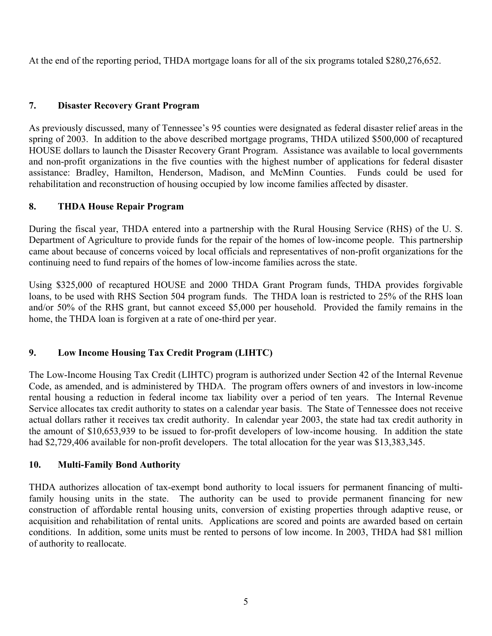At the end of the reporting period, THDA mortgage loans for all of the six programs totaled \$280,276,652.

# **7. Disaster Recovery Grant Program**

As previously discussed, many of Tennessee's 95 counties were designated as federal disaster relief areas in the spring of 2003. In addition to the above described mortgage programs, THDA utilized \$500,000 of recaptured HOUSE dollars to launch the Disaster Recovery Grant Program. Assistance was available to local governments and non-profit organizations in the five counties with the highest number of applications for federal disaster assistance: Bradley, Hamilton, Henderson, Madison, and McMinn Counties. Funds could be used for rehabilitation and reconstruction of housing occupied by low income families affected by disaster.

### **8. THDA House Repair Program**

During the fiscal year, THDA entered into a partnership with the Rural Housing Service (RHS) of the U. S. Department of Agriculture to provide funds for the repair of the homes of low-income people. This partnership came about because of concerns voiced by local officials and representatives of non-profit organizations for the continuing need to fund repairs of the homes of low-income families across the state.

Using \$325,000 of recaptured HOUSE and 2000 THDA Grant Program funds, THDA provides forgivable loans, to be used with RHS Section 504 program funds. The THDA loan is restricted to 25% of the RHS loan and/or 50% of the RHS grant, but cannot exceed \$5,000 per household. Provided the family remains in the home, the THDA loan is forgiven at a rate of one-third per year.

# **9. Low Income Housing Tax Credit Program (LIHTC)**

The Low-Income Housing Tax Credit (LIHTC) program is authorized under Section 42 of the Internal Revenue Code, as amended, and is administered by THDA. The program offers owners of and investors in low-income rental housing a reduction in federal income tax liability over a period of ten years. The Internal Revenue Service allocates tax credit authority to states on a calendar year basis. The State of Tennessee does not receive actual dollars rather it receives tax credit authority. In calendar year 2003, the state had tax credit authority in the amount of \$10,653,939 to be issued to for-profit developers of low-income housing. In addition the state had \$2,729,406 available for non-profit developers. The total allocation for the year was \$13,383,345.

### **10. Multi-Family Bond Authority**

THDA authorizes allocation of tax-exempt bond authority to local issuers for permanent financing of multifamily housing units in the state. The authority can be used to provide permanent financing for new construction of affordable rental housing units, conversion of existing properties through adaptive reuse, or acquisition and rehabilitation of rental units. Applications are scored and points are awarded based on certain conditions. In addition, some units must be rented to persons of low income. In 2003, THDA had \$81 million of authority to reallocate.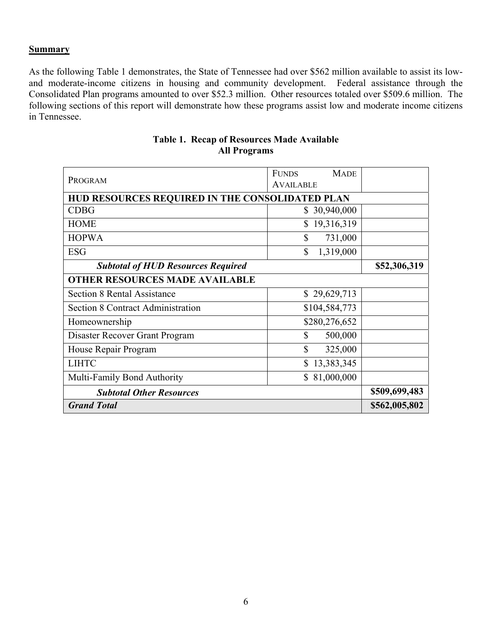#### **Summary**

As the following Table 1 demonstrates, the State of Tennessee had over \$562 million available to assist its lowand moderate-income citizens in housing and community development. Federal assistance through the Consolidated Plan programs amounted to over \$52.3 million. Other resources totaled over \$509.6 million. The following sections of this report will demonstrate how these programs assist low and moderate income citizens in Tennessee.

| PROGRAM                                         | <b>MADE</b><br><b>FUNDS</b><br><b>AVAILABLE</b> |               |
|-------------------------------------------------|-------------------------------------------------|---------------|
| HUD RESOURCES REQUIRED IN THE CONSOLIDATED PLAN |                                                 |               |
| <b>CDBG</b>                                     | \$30,940,000                                    |               |
| <b>HOME</b>                                     | 19,316,319<br>\$                                |               |
| <b>HOPWA</b>                                    | $\mathbb{S}$<br>731,000                         |               |
| <b>ESG</b>                                      | $\mathbb{S}$<br>1,319,000                       |               |
| <b>Subtotal of HUD Resources Required</b>       |                                                 | \$52,306,319  |
| <b>OTHER RESOURCES MADE AVAILABLE</b>           |                                                 |               |
| <b>Section 8 Rental Assistance</b>              | \$29,629,713                                    |               |
| <b>Section 8 Contract Administration</b>        | \$104,584,773                                   |               |
| Homeownership                                   | \$280,276,652                                   |               |
| Disaster Recover Grant Program                  | \$<br>500,000                                   |               |
| House Repair Program                            | $\mathbb{S}$<br>325,000                         |               |
| <b>LIHTC</b>                                    | 13,383,345<br>\$                                |               |
| Multi-Family Bond Authority                     | \$81,000,000                                    |               |
| <b>Subtotal Other Resources</b>                 | \$509,699,483                                   |               |
| <b>Grand Total</b>                              |                                                 | \$562,005,802 |

## **Table 1. Recap of Resources Made Available All Programs**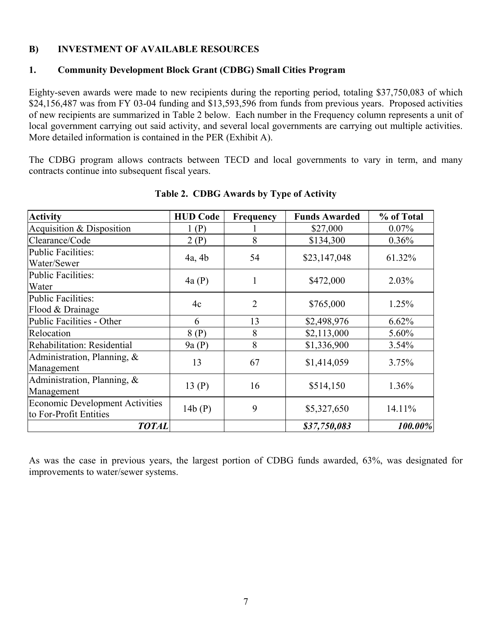## **B) INVESTMENT OF AVAILABLE RESOURCES**

### **1. Community Development Block Grant (CDBG) Small Cities Program**

Eighty-seven awards were made to new recipients during the reporting period, totaling \$37,750,083 of which \$24,156,487 was from FY 03-04 funding and \$13,593,596 from funds from previous years. Proposed activities of new recipients are summarized in Table 2 below. Each number in the Frequency column represents a unit of local government carrying out said activity, and several local governments are carrying out multiple activities. More detailed information is contained in the PER (Exhibit A).

The CDBG program allows contracts between TECD and local governments to vary in term, and many contracts continue into subsequent fiscal years.

| <b>Activity</b>                                                  | <b>HUD Code</b> | Frequency      | <b>Funds Awarded</b> | % of Total |
|------------------------------------------------------------------|-----------------|----------------|----------------------|------------|
| Acquisition & Disposition                                        | 1(P)            |                | \$27,000             | 0.07%      |
| Clearance/Code                                                   | 2(P)            | 8              | \$134,300            | 0.36%      |
| <b>Public Facilities:</b><br>Water/Sewer                         | 4a, 4b          | 54             | \$23,147,048         | 61.32%     |
| <b>Public Facilities:</b><br>Water                               | 4a(P)           | 1              | \$472,000            | 2.03%      |
| <b>Public Facilities:</b><br>Flood & Drainage                    | 4c              | $\overline{2}$ | \$765,000            | 1.25%      |
| Public Facilities - Other                                        | 6               | 13             | \$2,498,976          | 6.62%      |
| Relocation                                                       | 8(P)            | 8              | \$2,113,000          | 5.60%      |
| Rehabilitation: Residential                                      | 9a(P)           | 8              | \$1,336,900          | 3.54%      |
| Administration, Planning, &<br>Management                        | 13              | 67             | \$1,414,059          | 3.75%      |
| Administration, Planning, &<br>Management                        | 13(P)           | 16             | \$514,150            | 1.36%      |
| <b>Economic Development Activities</b><br>to For-Profit Entities | 14b(P)          | 9              | \$5,327,650          | 14.11%     |
| <b>TOTAL</b>                                                     |                 |                | \$37,750,083         | 100.00%    |

### **Table 2. CDBG Awards by Type of Activity**

As was the case in previous years, the largest portion of CDBG funds awarded, 63%, was designated for improvements to water/sewer systems.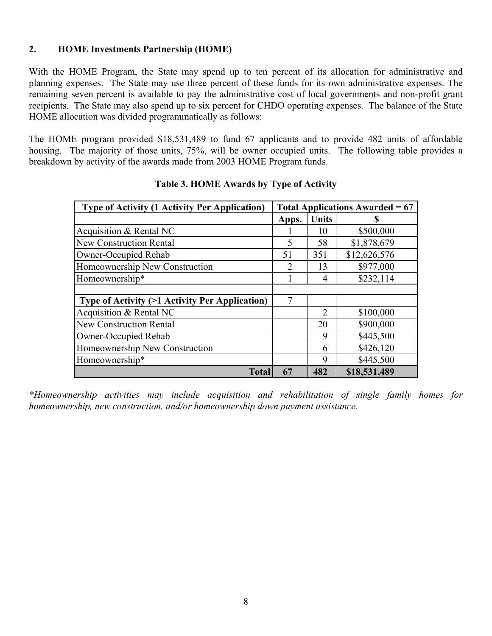# **2. HOME Investments Partnership (HOME)**

With the HOME Program, the State may spend up to ten percent of its allocation for administrative and planning expenses. The State may use three percent of these funds for its own administrative expenses. The remaining seven percent is available to pay the administrative cost of local governments and non-profit grant recipients. The State may also spend up to six percent for CHDO operating expenses. The balance of the State HOME allocation was divided programmatically as follows:

The HOME program provided \$18,531,489 to fund 67 applicants and to provide 482 units of affordable housing. The majority of those units, 75%, will be owner occupied units. The following table provides a breakdown by activity of the awards made from 2003 HOME Program funds.

| <b>Type of Activity (1 Activity Per Application)</b> | Total Applications Awarded $= 67$ |       |              |  |
|------------------------------------------------------|-----------------------------------|-------|--------------|--|
|                                                      | Apps.                             | Units | S            |  |
| Acquisition & Rental NC                              |                                   | 10    | \$500,000    |  |
| <b>New Construction Rental</b>                       |                                   | 58    | \$1,878,679  |  |
| Owner-Occupied Rehab                                 |                                   | 351   | \$12,626,576 |  |
| Homeownership New Construction                       |                                   | 13    | \$977,000    |  |
| Homeownership*                                       |                                   | 4     | \$232,114    |  |
|                                                      |                                   |       |              |  |
| Type of Activity (>1 Activity Per Application)       | 7                                 |       |              |  |
| Acquisition & Rental NC                              |                                   | 2     | \$100,000    |  |
| <b>New Construction Rental</b>                       |                                   | 20    | \$900,000    |  |
| Owner-Occupied Rehab                                 |                                   | 9     | \$445,500    |  |
| Homeownership New Construction                       |                                   | 6     | \$426,120    |  |
| Homeownership*                                       |                                   | 9     | \$445,500    |  |
| <b>Total</b>                                         | 67                                | 482   | \$18,531,489 |  |

# **Table 3. HOME Awards by Type of Activity**

*\*Homeownership activities may include acquisition and rehabilitation of single family homes for homeownership, new construction, and/or homeownership down payment assistance.*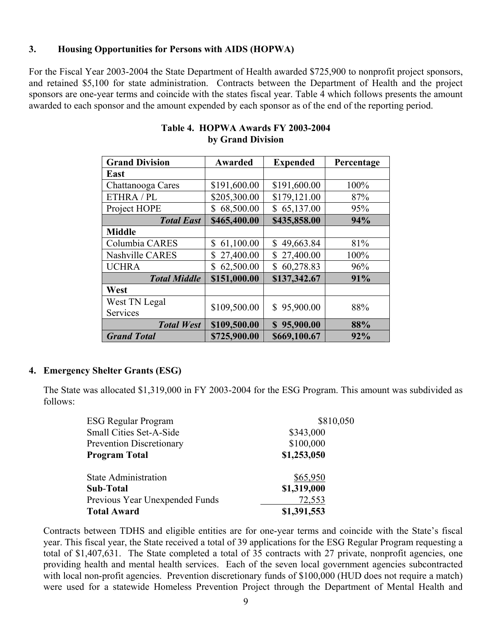### **3. Housing Opportunities for Persons with AIDS (HOPWA)**

For the Fiscal Year 2003-2004 the State Department of Health awarded \$725,900 to nonprofit project sponsors, and retained \$5,100 for state administration. Contracts between the Department of Health and the project sponsors are one-year terms and coincide with the states fiscal year. Table 4 which follows presents the amount awarded to each sponsor and the amount expended by each sponsor as of the end of the reporting period.

| <b>Grand Division</b>  | Awarded         | <b>Expended</b> | Percentage |
|------------------------|-----------------|-----------------|------------|
| East                   |                 |                 |            |
| Chattanooga Cares      | \$191,600.00    | \$191,600.00    | 100%       |
| ETHRA / PL             | \$205,300.00    | \$179,121.00    | 87%        |
| Project HOPE           | \$68,500.00     | \$65,137.00     | 95%        |
| <b>Total East</b>      | \$465,400.00    | \$435,858.00    | 94%        |
| <b>Middle</b>          |                 |                 |            |
| Columbia CARES         | 61,100.00<br>\$ | \$<br>49,663.84 | 81%        |
| <b>Nashville CARES</b> | 27,400.00<br>\$ | \$27,400.00     | 100%       |
| <b>UCHRA</b>           | 62,500.00<br>\$ | 60,278.83<br>\$ | 96%        |
| <b>Total Middle</b>    | \$151,000.00    | \$137,342.67    | 91%        |
| West                   |                 |                 |            |
| West TN Legal          | \$109,500.00    | \$95,900.00     | 88%        |
| Services               |                 |                 |            |
| <b>Total West</b>      | \$109,500.00    | \$95,900.00     | 88%        |
| <b>Grand Total</b>     | \$725,900.00    | \$669,100.67    | 92%        |

# **Table 4. HOPWA Awards FY 2003-2004 by Grand Division**

### **4. Emergency Shelter Grants (ESG)**

The State was allocated \$1,319,000 in FY 2003-2004 for the ESG Program. This amount was subdivided as follows:

| <b>ESG Regular Program</b>      | \$810,050   |
|---------------------------------|-------------|
| Small Cities Set-A-Side         | \$343,000   |
| <b>Prevention Discretionary</b> | \$100,000   |
| <b>Program Total</b>            | \$1,253,050 |
| <b>State Administration</b>     | \$65,950    |
| Sub-Total                       | \$1,319,000 |
| Previous Year Unexpended Funds  | 72,553      |
| <b>Total Award</b>              | \$1,391,553 |

Contracts between TDHS and eligible entities are for one-year terms and coincide with the State's fiscal year. This fiscal year, the State received a total of 39 applications for the ESG Regular Program requesting a total of \$1,407,631. The State completed a total of 35 contracts with 27 private, nonprofit agencies, one providing health and mental health services. Each of the seven local government agencies subcontracted with local non-profit agencies. Prevention discretionary funds of \$100,000 (HUD does not require a match) were used for a statewide Homeless Prevention Project through the Department of Mental Health and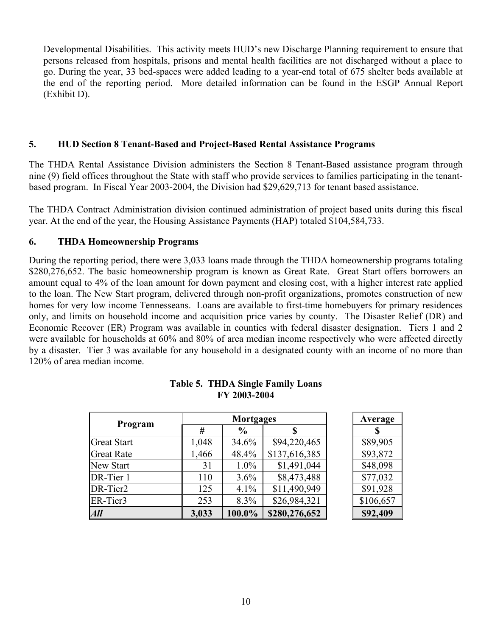Developmental Disabilities. This activity meets HUD's new Discharge Planning requirement to ensure that persons released from hospitals, prisons and mental health facilities are not discharged without a place to go. During the year, 33 bed-spaces were added leading to a year-end total of 675 shelter beds available at the end of the reporting period. More detailed information can be found in the ESGP Annual Report (Exhibit D).

### **5. HUD Section 8 Tenant-Based and Project-Based Rental Assistance Programs**

The THDA Rental Assistance Division administers the Section 8 Tenant-Based assistance program through nine (9) field offices throughout the State with staff who provide services to families participating in the tenantbased program. In Fiscal Year 2003-2004, the Division had \$29,629,713 for tenant based assistance.

The THDA Contract Administration division continued administration of project based units during this fiscal year. At the end of the year, the Housing Assistance Payments (HAP) totaled \$104,584,733.

#### **6. THDA Homeownership Programs**

During the reporting period, there were 3,033 loans made through the THDA homeownership programs totaling \$280,276,652. The basic homeownership program is known as Great Rate. Great Start offers borrowers an amount equal to 4% of the loan amount for down payment and closing cost, with a higher interest rate applied to the loan. The New Start program, delivered through non-profit organizations, promotes construction of new homes for very low income Tennesseans. Loans are available to first-time homebuyers for primary residences only, and limits on household income and acquisition price varies by county. The Disaster Relief (DR) and Economic Recover (ER) Program was available in counties with federal disaster designation. Tiers 1 and 2 were available for households at 60% and 80% of area median income respectively who were affected directly by a disaster. Tier 3 was available for any household in a designated county with an income of no more than 120% of area median income.

| Program            | <b>Mortgages</b> |               |               |  | Average   |
|--------------------|------------------|---------------|---------------|--|-----------|
|                    | #                | $\frac{6}{9}$ |               |  | S         |
| <b>Great Start</b> | 1,048            | 34.6%         | \$94,220,465  |  | \$89,905  |
| <b>Great Rate</b>  | 1,466            | 48.4%         | \$137,616,385 |  | \$93,872  |
| <b>New Start</b>   | 31               | $1.0\%$       | \$1,491,044   |  | \$48,098  |
| DR-Tier 1          | 110              | 3.6%          | \$8,473,488   |  | \$77,032  |
| DR-Tier2           | 125              | 4.1%          | \$11,490,949  |  | \$91,928  |
| ER-Tier3           | 253              | 8.3%          | \$26,984,321  |  | \$106,657 |
| All                | 3,033            | 100.0%        | \$280,276,652 |  | \$92,409  |

#### **Table 5. THDA Single Family Loans FY 2003-2004**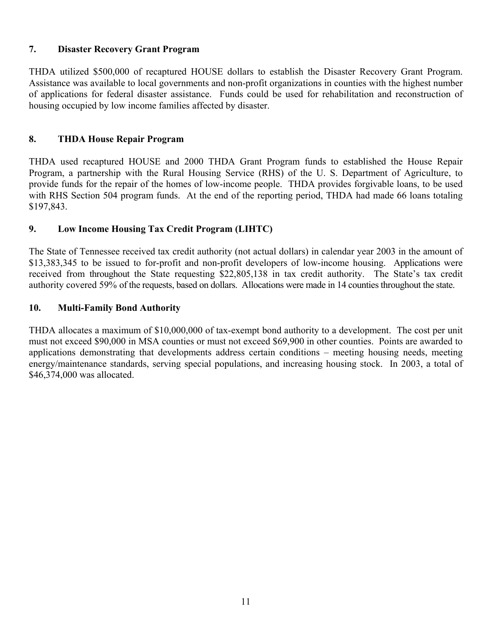# **7. Disaster Recovery Grant Program**

THDA utilized \$500,000 of recaptured HOUSE dollars to establish the Disaster Recovery Grant Program. Assistance was available to local governments and non-profit organizations in counties with the highest number of applications for federal disaster assistance. Funds could be used for rehabilitation and reconstruction of housing occupied by low income families affected by disaster.

# **8. THDA House Repair Program**

THDA used recaptured HOUSE and 2000 THDA Grant Program funds to established the House Repair Program, a partnership with the Rural Housing Service (RHS) of the U. S. Department of Agriculture, to provide funds for the repair of the homes of low-income people. THDA provides forgivable loans, to be used with RHS Section 504 program funds. At the end of the reporting period, THDA had made 66 loans totaling \$197,843.

# **9. Low Income Housing Tax Credit Program (LIHTC)**

The State of Tennessee received tax credit authority (not actual dollars) in calendar year 2003 in the amount of \$13,383,345 to be issued to for-profit and non-profit developers of low-income housing. Applications were received from throughout the State requesting \$22,805,138 in tax credit authority. The State's tax credit authority covered 59% of the requests, based on dollars. Allocations were made in 14 counties throughout the state.

### **10. Multi-Family Bond Authority**

THDA allocates a maximum of \$10,000,000 of tax-exempt bond authority to a development. The cost per unit must not exceed \$90,000 in MSA counties or must not exceed \$69,900 in other counties. Points are awarded to applications demonstrating that developments address certain conditions – meeting housing needs, meeting energy/maintenance standards, serving special populations, and increasing housing stock. In 2003, a total of \$46,374,000 was allocated.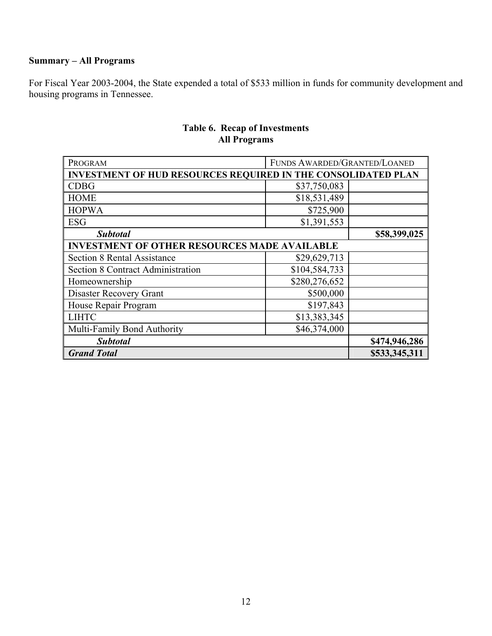# **Summary – All Programs**

For Fiscal Year 2003-2004, the State expended a total of \$533 million in funds for community development and housing programs in Tennessee.

| PROGRAM                                                              | FUNDS AWARDED/GRANTED/LOANED |               |  |  |
|----------------------------------------------------------------------|------------------------------|---------------|--|--|
| <b>INVESTMENT OF HUD RESOURCES REQUIRED IN THE CONSOLIDATED PLAN</b> |                              |               |  |  |
| <b>CDBG</b>                                                          | \$37,750,083                 |               |  |  |
| <b>HOME</b>                                                          | \$18,531,489                 |               |  |  |
| <b>HOPWA</b>                                                         | \$725,900                    |               |  |  |
| <b>ESG</b>                                                           | \$1,391,553                  |               |  |  |
| <b>Subtotal</b>                                                      |                              | \$58,399,025  |  |  |
| <b>INVESTMENT OF OTHER RESOURCES MADE AVAILABLE</b>                  |                              |               |  |  |
| <b>Section 8 Rental Assistance</b>                                   | \$29,629,713                 |               |  |  |
| <b>Section 8 Contract Administration</b>                             | \$104,584,733                |               |  |  |
| Homeownership                                                        | \$280,276,652                |               |  |  |
| Disaster Recovery Grant                                              | \$500,000                    |               |  |  |
| House Repair Program                                                 | \$197,843                    |               |  |  |
| <b>LIHTC</b>                                                         | \$13,383,345                 |               |  |  |
| Multi-Family Bond Authority                                          | \$46,374,000                 |               |  |  |
| <b>Subtotal</b>                                                      |                              | \$474,946,286 |  |  |
| <b>Grand Total</b>                                                   |                              | \$533,345,311 |  |  |

# **Table 6. Recap of Investments All Programs**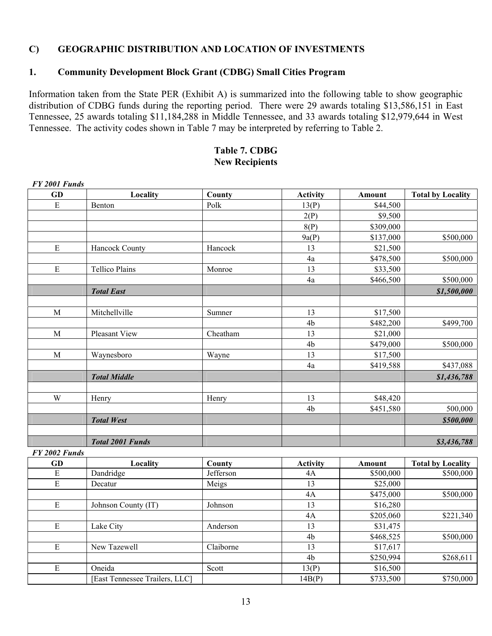### **C) GEOGRAPHIC DISTRIBUTION AND LOCATION OF INVESTMENTS**

# **1. Community Development Block Grant (CDBG) Small Cities Program**

Information taken from the State PER (Exhibit A) is summarized into the following table to show geographic distribution of CDBG funds during the reporting period. There were 29 awards totaling \$13,586,151 in East Tennessee, 25 awards totaling \$11,184,288 in Middle Tennessee, and 33 awards totaling \$12,979,644 in West Tennessee. The activity codes shown in Table 7 may be interpreted by referring to Table 2.

#### **Table 7. CDBG New Recipients**

| FY 2001 Funds  |                                |           |                 |           |                          |
|----------------|--------------------------------|-----------|-----------------|-----------|--------------------------|
| GD             | Locality                       | County    | <b>Activity</b> | Amount    | <b>Total by Locality</b> |
| ${\bf E}$      | Benton                         | Polk      | 13(P)           | \$44,500  |                          |
|                |                                |           | 2(P)            | \$9,500   |                          |
|                |                                |           | 8(P)            | \$309,000 |                          |
|                |                                |           | 9a(P)           | \$137,000 | \$500,000                |
| E              | Hancock County                 | Hancock   | 13              | \$21,500  |                          |
|                |                                |           | 4a              | \$478,500 | \$500,000                |
| $\mathbf E$    | <b>Tellico Plains</b>          | Monroe    | 13              | \$33,500  |                          |
|                |                                |           | 4a              | \$466,500 | \$500,000                |
|                | <b>Total East</b>              |           |                 |           | \$1,500,000              |
|                |                                |           |                 |           |                          |
| M              | Mitchellville                  | Sumner    | 13              | \$17,500  |                          |
|                |                                |           | 4b              | \$482,200 | \$499,700                |
| M              | Pleasant View                  | Cheatham  | 13              | \$21,000  |                          |
|                |                                |           | 4b              | \$479,000 | \$500,000                |
| $\mathbf M$    | Waynesboro                     | Wayne     | 13              | \$17,500  |                          |
|                |                                |           | 4a              | \$419,588 | \$437,088                |
|                | <b>Total Middle</b>            |           |                 |           | \$1,436,788              |
|                |                                |           |                 |           |                          |
| W              | Henry                          | Henry     | 13              | \$48,420  |                          |
|                |                                |           | 4b              | \$451,580 | 500,000                  |
|                | <b>Total West</b>              |           |                 |           | \$500,000                |
|                |                                |           |                 |           |                          |
|                | <b>Total 2001 Funds</b>        |           |                 |           | \$3,436,788              |
| FY 2002 Funds  |                                |           |                 |           |                          |
| <b>GD</b>      | Locality                       | County    | <b>Activity</b> | Amount    | <b>Total by Locality</b> |
| E              | Dandridge                      | Jefferson | 4A              | \$500,000 | \$500,000                |
| ${\bf E}$      | Decatur                        | Meigs     | 13              | \$25,000  |                          |
|                |                                |           | 4A              | \$475,000 | \$500,000                |
| E              | Johnson County (IT)            | Johnson   | 13              | \$16,280  |                          |
|                |                                |           | 4A              | \$205,060 | \$221,340                |
| $\mathbf E$    | Lake City                      | Anderson  | 13              | \$31,475  |                          |
|                |                                |           | 4b              | \$468,525 | \$500,000                |
| E              | New Tazewell                   | Claiborne | 13              | \$17,617  |                          |
|                |                                |           | 4 <sub>b</sub>  | \$250,994 | \$268,611                |
| $\overline{E}$ | Oneida                         | Scott     | 13(P)           | \$16,500  |                          |
|                | [East Tennessee Trailers, LLC] |           | 14B(P)          | \$733,500 | \$750,000                |

13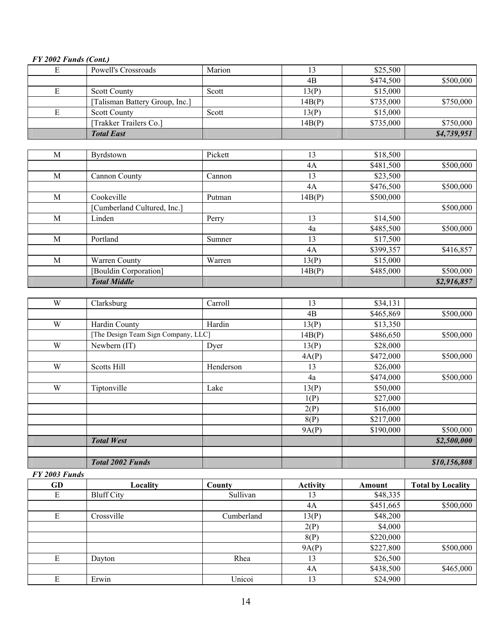# *FY 2002 Funds (Cont.)*

| E | Powell's Crossroads            | Marion |        | \$25,500  |             |
|---|--------------------------------|--------|--------|-----------|-------------|
|   |                                |        | 4B     | \$474,500 | \$500,000   |
|   | <b>Scott County</b>            | Scott  | 13(P)  | \$15,000  |             |
|   | [Talisman Battery Group, Inc.] |        | 14B(P) | \$735,000 | \$750,000   |
| Е | <b>Scott County</b>            | Scott  | 13(P)  | \$15,000  |             |
|   | [Trakker Trailers Co.]         |        | 14B(P) | \$735,000 | \$750,000   |
|   | <b>Total East</b>              |        |        |           | \$4,739,951 |

| M | <b>Byrdstown</b>           | Pickett | 13     | \$18,500  |             |
|---|----------------------------|---------|--------|-----------|-------------|
|   |                            |         | 4A     | \$481,500 | \$500,000   |
| M | Cannon County              | Cannon  | 13     | \$23,500  |             |
|   |                            |         | 4A     | \$476,500 | \$500,000   |
| M | Cookeville                 | Putman  | 14B(P) | \$500,000 |             |
|   | Cumberland Cultured, Inc.] |         |        |           | \$500,000   |
| M | Linden                     | Perry   | 13     | \$14,500  |             |
|   |                            |         | 4a     | \$485,500 | \$500,000   |
| M | Portland                   | Sumner  | 13     | \$17,500  |             |
|   |                            |         | 4A     | \$399,357 | \$416,857   |
| M | Warren County              | Warren  | 13(P)  | \$15,000  |             |
|   | [Bouldin Corporation]      |         | 14B(P) | \$485,000 | \$500,000   |
|   | <b>Total Middle</b>        |         |        |           | \$2,916,857 |

| W | Clarksburg                          | Carroll   | 13     | \$34,131  |              |
|---|-------------------------------------|-----------|--------|-----------|--------------|
|   |                                     |           | 4B     | \$465,869 | \$500,000    |
| W | Hardin County                       | Hardin    | 13(P)  | \$13,350  |              |
|   | [The Design Team Sign Company, LLC] |           | 14B(P) | \$486,650 | \$500,000    |
| W | Newbern (IT)                        | Dyer      | 13(P)  | \$28,000  |              |
|   |                                     |           | 4A(P)  | \$472,000 | \$500,000    |
| W | <b>Scotts Hill</b>                  | Henderson | 13     | \$26,000  |              |
|   |                                     |           | 4a     | \$474,000 | \$500,000    |
| W | Tiptonville                         | Lake      | 13(P)  | \$50,000  |              |
|   |                                     |           | 1(P)   | \$27,000  |              |
|   |                                     |           | 2(P)   | \$16,000  |              |
|   |                                     |           | 8(P)   | \$217,000 |              |
|   |                                     |           | 9A(P)  | \$190,000 | \$500,000    |
|   | <b>Total West</b>                   |           |        |           | \$2,500,000  |
|   |                                     |           |        |           |              |
|   | <b>Total 2002 Funds</b>             |           |        |           | \$10,156,808 |

#### *FY 2003 Funds*

| GD | Locality          | County     | <b>Activity</b> | Amount    | <b>Total by Locality</b> |
|----|-------------------|------------|-----------------|-----------|--------------------------|
| E  | <b>Bluff City</b> | Sullivan   | 13              | \$48,335  |                          |
|    |                   |            | 4A              | \$451,665 | \$500,000                |
| E  | Crossville        | Cumberland | 13(P)           | \$48,200  |                          |
|    |                   |            | 2(P)            | \$4,000   |                          |
|    |                   |            | 8(P)            | \$220,000 |                          |
|    |                   |            | 9A(P)           | \$227,800 | \$500,000                |
| E  | Dayton            | Rhea       | 13              | \$26,500  |                          |
|    |                   |            | 4A              | \$438,500 | \$465,000                |
| E  | Erwin             | Unicoi     | 13              | \$24,900  |                          |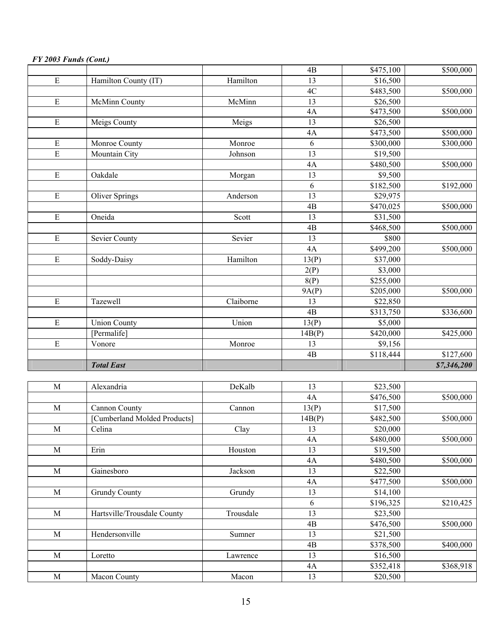|                |                              |           | 4B              | \$475,100 | \$500,000   |
|----------------|------------------------------|-----------|-----------------|-----------|-------------|
| $\mathbf E$    | Hamilton County (IT)         | Hamilton  | 13              | \$16,500  |             |
|                |                              |           | 4C              | \$483,500 | \$500,000   |
| ${\bf E}$      | McMinn County                | McMinn    | 13              | \$26,500  |             |
|                |                              |           | 4A              | \$473,500 | \$500,000   |
| $\mathbf E$    | Meigs County                 | Meigs     | 13              | \$26,500  |             |
|                |                              |           | 4A              | \$473,500 | \$500,000   |
| E              | Monroe County                | Monroe    | 6               | \$300,000 | \$300,000   |
| $\overline{E}$ | Mountain City                | Johnson   | 13              | \$19,500  |             |
|                |                              |           | 4A              | \$480,500 | \$500,000   |
| $\overline{E}$ | Oakdale                      | Morgan    | 13              | \$9,500   |             |
|                |                              |           | 6               | \$182,500 | \$192,000   |
| $\mathbf E$    | <b>Oliver Springs</b>        | Anderson  | 13              | \$29,975  |             |
|                |                              |           | 4B              | \$470,025 | \$500,000   |
| $\mathbf E$    | Oneida                       | Scott     | 13              | \$31,500  |             |
|                |                              |           | 4B              | \$468,500 | \$500,000   |
| ${\bf E}$      | Sevier County                | Sevier    | 13              | \$800     |             |
|                |                              |           | 4A              | \$499,200 | \$500,000   |
| $\overline{E}$ | Soddy-Daisy                  | Hamilton  | 13(P)           | \$37,000  |             |
|                |                              |           | 2(P)            | \$3,000   |             |
|                |                              |           | 8(P)            | \$255,000 |             |
|                |                              |           | 9A(P)           | \$205,000 | \$500,000   |
| $\mathbf E$    | Tazewell                     | Claiborne | 13              | \$22,850  |             |
|                |                              |           | $\overline{AB}$ | \$313,750 | \$336,600   |
| E              | <b>Union County</b>          | Union     | 13(P)           | \$5,000   |             |
|                | [Permalife]                  |           | 14B(P)          | \$420,000 | \$425,000   |
| ${\bf E}$      | Vonore                       | Monroe    | 13              | \$9,156   |             |
|                |                              |           | 4B              | \$118,444 | \$127,600   |
|                | <b>Total East</b>            |           |                 |           | \$7,346,200 |
|                |                              |           |                 |           |             |
| $\mathbf M$    | Alexandria                   | DeKalb    | 13              | \$23,500  |             |
|                |                              |           | 4A              | \$476,500 | \$500,000   |
| M              | <b>Cannon County</b>         | Cannon    | 13(P)           | \$17,500  |             |
|                | [Cumberland Molded Products] |           | 14B(P)          | \$482,500 | \$500,000   |
| M              | Celina                       | Clay      | 13              | \$20,000  |             |
|                |                              |           | 4A              | \$480,000 | \$500,000   |
| $\mathbf{M}$   | Erin                         | Houston   | 13              | \$19,500  |             |
|                |                              |           | 4A              | \$480,500 | \$500,000   |
| M              | Gainesboro                   | Jackson   | 13              | \$22,500  |             |
|                |                              |           | 4A              | \$477,500 | \$500,000   |
| M              | <b>Grundy County</b>         | Grundy    | 13              | \$14,100  |             |
|                |                              |           | 6               | \$196,325 | \$210,425   |
| M              | Hartsville/Trousdale County  | Trousdale | 13              | \$23,500  |             |
|                |                              |           | 4B              | \$476,500 | \$500,000   |
| $\mathbf M$    | Hendersonville               | Sumner    | 13              | \$21,500  |             |
|                |                              |           | 4B              | \$378,500 | \$400,000   |
| $\mathbf M$    | Loretto                      | Lawrence  | 13              | \$16,500  |             |
|                |                              |           | 4A              | \$352,418 | \$368,918   |
| $\mathbf M$    | Macon County                 | Macon     | 13              | \$20,500  |             |

# *FY 2003 Funds (Cont.)*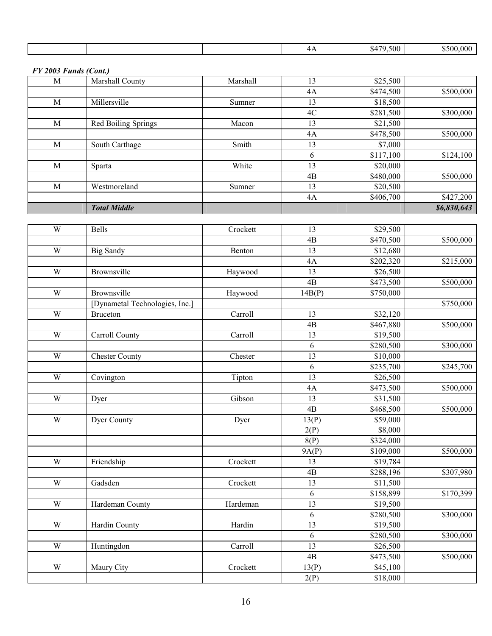|  |  |  |  | _<br>$\cdots$ | .500<br>$\sim$<br>◣᠘<br>. | -000<br>יי י |
|--|--|--|--|---------------|---------------------------|--------------|
|--|--|--|--|---------------|---------------------------|--------------|

*FY 2003 Funds (Cont.)*

|   | <b>Total Middle</b> |          |    |           | \$6,830,643 |
|---|---------------------|----------|----|-----------|-------------|
|   |                     |          | 4A | \$406,700 | \$427,200   |
| M | Westmoreland        | Sumner   | 13 | \$20,500  |             |
|   |                     |          | 4B | \$480,000 | \$500,000   |
| M | Sparta              | White    | 13 | \$20,000  |             |
|   |                     |          | 6  | \$117,100 | \$124,100   |
| M | South Carthage      | Smith    | 13 | \$7,000   |             |
|   |                     |          | 4A | \$478,500 | \$500,000   |
| M | Red Boiling Springs | Macon    | 13 | \$21,500  |             |
|   |                     |          | 4C | \$281,500 | \$300,000   |
| M | Millersville        | Sumner   | 13 | \$18,500  |             |
|   |                     |          | 4A | \$474,500 | \$500,000   |
| M | Marshall County     | Marshall | 13 | \$25,500  |             |

| $\mathbf W$             | Bells                          | Crockett | 13              | \$29,500  |           |
|-------------------------|--------------------------------|----------|-----------------|-----------|-----------|
|                         |                                |          | 4B              | \$470,500 | \$500,000 |
| W                       | <b>Big Sandy</b>               | Benton   | 13              | \$12,680  |           |
|                         |                                |          | 4A              | \$202,320 | \$215,000 |
| W                       | Brownsville                    | Haywood  | 13              | \$26,500  |           |
|                         |                                |          | 4B              | \$473,500 | \$500,000 |
| W                       | Brownsville                    | Haywood  | 14B(P)          | \$750,000 |           |
|                         | [Dynametal Technologies, Inc.] |          |                 |           | \$750,000 |
| W                       | <b>Bruceton</b>                | Carroll  | 13              | \$32,120  |           |
|                         |                                |          | 4B              | \$467,880 | \$500,000 |
| W                       | Carroll County                 | Carroll  | 13              | \$19,500  |           |
|                         |                                |          | 6               | \$280,500 | \$300,000 |
| $\overline{W}$          | <b>Chester County</b>          | Chester  | $\overline{13}$ | \$10,000  |           |
|                         |                                |          | 6               | \$235,700 | \$245,700 |
| $\mathbf W$             | Covington                      | Tipton   | $\overline{13}$ | \$26,500  |           |
|                         |                                |          | 4A              | \$473,500 | \$500,000 |
| $\ensuremath{\text{W}}$ | Dyer                           | Gibson   | 13              | \$31,500  |           |
|                         |                                |          | $\overline{AB}$ | \$468,500 | \$500,000 |
| W                       | Dyer County                    | Dyer     | 13(P)           | \$59,000  |           |
|                         |                                |          | 2(P)            | \$8,000   |           |
|                         |                                |          | 8(P)            | \$324,000 |           |
|                         |                                |          | 9A(P)           | \$109,000 | \$500,000 |
| $\ensuremath{\text{W}}$ | Friendship                     | Crockett | 13              | \$19,784  |           |
|                         |                                |          | 4B              | \$288,196 | \$307,980 |
| W                       | Gadsden                        | Crockett | 13              | \$11,500  |           |
|                         |                                |          | 6               | \$158,899 | \$170,399 |
| $\ensuremath{\text{W}}$ | Hardeman County                | Hardeman | 13              | \$19,500  |           |
|                         |                                |          | $\sqrt{6}$      | \$280,500 | \$300,000 |
| W                       | Hardin County                  | Hardin   | 13              | \$19,500  |           |
|                         |                                |          | 6               | \$280,500 | \$300,000 |
| W                       | Huntingdon                     | Carroll  | $\overline{13}$ | \$26,500  |           |
|                         |                                |          | 4B              | \$473,500 | \$500,000 |
| W                       | Maury City                     | Crockett | 13(P)           | \$45,100  |           |
|                         |                                |          | 2(P)            | \$18,000  |           |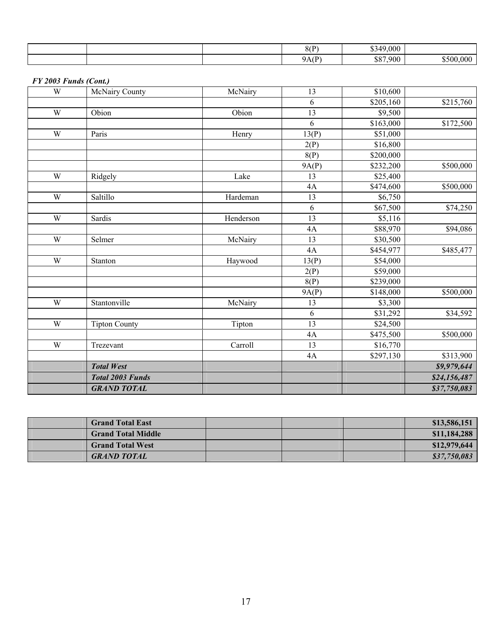|  | 8(P)<br>. . | \$349,000 |           |
|--|-------------|-----------|-----------|
|  | 9A(P)       | \$87,900  | \$500,000 |

### *FY 2003 Funds (Cont.)*

| W | <b>McNairy County</b>   | McNairy   | 13    | \$10,600  |              |
|---|-------------------------|-----------|-------|-----------|--------------|
|   |                         |           | 6     | \$205,160 | \$215,760    |
| W | Obion                   | Obion     | 13    | \$9,500   |              |
|   |                         |           | 6     | \$163,000 | \$172,500    |
| W | Paris                   | Henry     | 13(P) | \$51,000  |              |
|   |                         |           | 2(P)  | \$16,800  |              |
|   |                         |           | 8(P)  | \$200,000 |              |
|   |                         |           | 9A(P) | \$232,200 | \$500,000    |
| W | Ridgely                 | Lake      | 13    | \$25,400  |              |
|   |                         |           | 4A    | \$474,600 | \$500,000    |
| W | Saltillo                | Hardeman  | 13    | \$6,750   |              |
|   |                         |           | 6     | \$67,500  | \$74,250     |
| W | Sardis                  | Henderson | 13    | \$5,116   |              |
|   |                         |           | 4A    | \$88,970  | \$94,086     |
| W | Selmer                  | McNairy   | 13    | \$30,500  |              |
|   |                         |           | 4A    | \$454,977 | \$485,477    |
| W | Stanton                 | Haywood   | 13(P) | \$54,000  |              |
|   |                         |           | 2(P)  | \$59,000  |              |
|   |                         |           | 8(P)  | \$239,000 |              |
|   |                         |           | 9A(P) | \$148,000 | \$500,000    |
| W | Stantonville            | McNairy   | 13    | \$3,300   |              |
|   |                         |           | 6     | \$31,292  | \$34,592     |
| W | <b>Tipton County</b>    | Tipton    | 13    | \$24,500  |              |
|   |                         |           | 4A    | \$475,500 | \$500,000    |
| W | Trezevant               | Carroll   | 13    | \$16,770  |              |
|   |                         |           | 4A    | \$297,130 | \$313,900    |
|   | <b>Total West</b>       |           |       |           | \$9,979,644  |
|   | <b>Total 2003 Funds</b> |           |       |           | \$24,156,487 |
|   | <b>GRAND TOTAL</b>      |           |       |           | \$37,750,083 |

| <b>Grand Total East</b>   |  | \$13,586,151 |
|---------------------------|--|--------------|
| <b>Grand Total Middle</b> |  | \$11,184,288 |
| <b>Grand Total West</b>   |  | \$12,979,644 |
| <b>GRAND TOTAL</b>        |  | \$37,750,083 |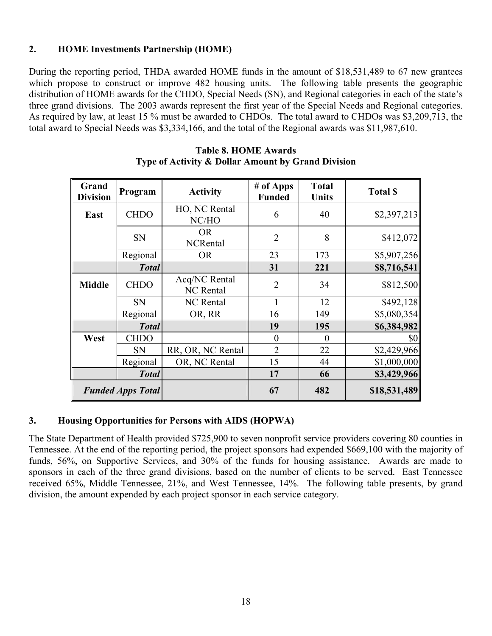# **2. HOME Investments Partnership (HOME)**

During the reporting period, THDA awarded HOME funds in the amount of \$18,531,489 to 67 new grantees which propose to construct or improve 482 housing units. The following table presents the geographic distribution of HOME awards for the CHDO, Special Needs (SN), and Regional categories in each of the state's three grand divisions. The 2003 awards represent the first year of the Special Needs and Regional categories. As required by law, at least 15 % must be awarded to CHDOs. The total award to CHDOs was \$3,209,713, the total award to Special Needs was \$3,334,166, and the total of the Regional awards was \$11,987,610.

| Grand<br><b>Division</b> | Program      | <b>Activity</b>                   | $#$ of Apps<br><b>Funded</b> | <b>Total</b><br><b>Units</b> | <b>Total \$</b> |
|--------------------------|--------------|-----------------------------------|------------------------------|------------------------------|-----------------|
| East                     | <b>CHDO</b>  | HO, NC Rental<br>6<br>NC/HO       |                              | 40                           | \$2,397,213     |
|                          | <b>SN</b>    | <b>OR</b><br><b>NCRental</b>      | $\overline{2}$               | 8                            | \$412,072       |
|                          | Regional     | <b>OR</b>                         | 23                           | 173                          | \$5,907,256     |
|                          | <b>Total</b> |                                   | 31                           | 221                          | \$8,716,541     |
| <b>Middle</b>            | <b>CHDO</b>  | Acq/NC Rental<br><b>NC</b> Rental | $\overline{2}$               | 34                           | \$812,500       |
|                          | <b>SN</b>    | <b>NC</b> Rental                  |                              | 12                           | \$492,128       |
|                          | Regional     | OR, RR                            | 16                           | 149                          | \$5,080,354     |
|                          | <b>Total</b> |                                   | 19                           | 195                          | \$6,384,982     |
| West                     | <b>CHDO</b>  |                                   | $\theta$                     | $\theta$                     | \$0             |
|                          | <b>SN</b>    | RR, OR, NC Rental                 | $\overline{2}$               | 22                           | \$2,429,966     |
|                          | Regional     | OR, NC Rental                     | 15                           | 44                           | \$1,000,000     |
|                          | <b>Total</b> |                                   | 17                           | 66                           | \$3,429,966     |
| <b>Funded Apps Total</b> |              |                                   | 67                           | 482                          | \$18,531,489    |

#### **Table 8. HOME Awards Type of Activity & Dollar Amount by Grand Division**

### **3. Housing Opportunities for Persons with AIDS (HOPWA)**

The State Department of Health provided \$725,900 to seven nonprofit service providers covering 80 counties in Tennessee. At the end of the reporting period, the project sponsors had expended \$669,100 with the majority of funds, 56%, on Supportive Services, and 30% of the funds for housing assistance. Awards are made to sponsors in each of the three grand divisions, based on the number of clients to be served. East Tennessee received 65%, Middle Tennessee, 21%, and West Tennessee, 14%. The following table presents, by grand division, the amount expended by each project sponsor in each service category.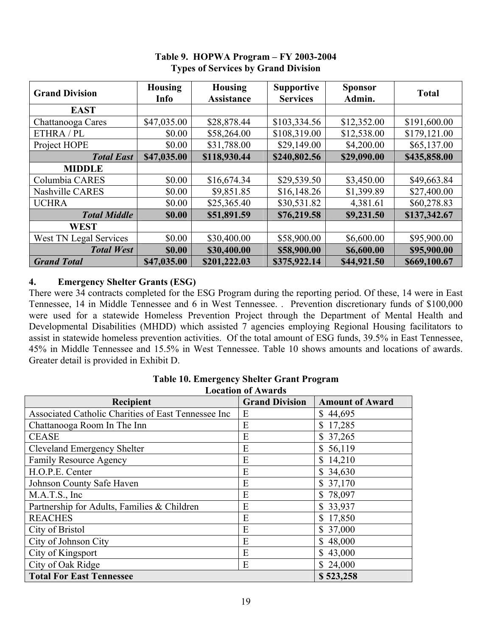| <b>Grand Division</b>  | <b>Housing</b><br>Info | <b>Housing</b><br><b>Assistance</b> | <b>Supportive</b><br><b>Services</b> | <b>Sponsor</b><br>Admin. | <b>Total</b> |
|------------------------|------------------------|-------------------------------------|--------------------------------------|--------------------------|--------------|
| <b>EAST</b>            |                        |                                     |                                      |                          |              |
| Chattanooga Cares      | \$47,035.00            | \$28,878.44                         | \$103,334.56                         | \$12,352.00              | \$191,600.00 |
| ETHRA / PL             | \$0.00                 | \$58,264.00                         | \$108,319.00                         | \$12,538.00              | \$179,121.00 |
| Project HOPE           | \$0.00                 | \$31,788.00                         | \$29,149.00                          | \$4,200.00               | \$65,137.00  |
| <b>Total East</b>      | \$47,035.00            | \$118,930.44                        | \$240,802.56                         | \$29,090.00              | \$435,858.00 |
| <b>MIDDLE</b>          |                        |                                     |                                      |                          |              |
| Columbia CARES         | \$0.00                 | \$16,674.34                         | \$29,539.50                          | \$3,450.00               | \$49,663.84  |
| Nashville CARES        | \$0.00                 | \$9,851.85                          | \$16,148.26                          | \$1,399.89               | \$27,400.00  |
| <b>UCHRA</b>           | \$0.00                 | \$25,365.40                         | \$30,531.82                          | 4,381.61                 | \$60,278.83  |
| <b>Total Middle</b>    | \$0.00                 | \$51,891.59                         | \$76,219.58                          | \$9,231.50               | \$137,342.67 |
| <b>WEST</b>            |                        |                                     |                                      |                          |              |
| West TN Legal Services | \$0.00                 | \$30,400.00                         | \$58,900.00                          | \$6,600.00               | \$95,900.00  |
| <b>Total West</b>      | \$0.00                 | \$30,400.00                         | \$58,900.00                          | \$6,600.00               | \$95,900.00  |
| <b>Grand Total</b>     | \$47,035.00            | \$201,222.03                        | \$375,922.14                         | \$44,921.50              | \$669,100.67 |

# **Table 9. HOPWA Program – FY 2003-2004 Types of Services by Grand Division**

# **4. Emergency Shelter Grants (ESG)**

There were 34 contracts completed for the ESG Program during the reporting period. Of these, 14 were in East Tennessee, 14 in Middle Tennessee and 6 in West Tennessee. . Prevention discretionary funds of \$100,000 were used for a statewide Homeless Prevention Project through the Department of Mental Health and Developmental Disabilities (MHDD) which assisted 7 agencies employing Regional Housing facilitators to assist in statewide homeless prevention activities. Of the total amount of ESG funds, 39.5% in East Tennessee, 45% in Middle Tennessee and 15.5% in West Tennessee. Table 10 shows amounts and locations of awards. Greater detail is provided in Exhibit D.

| <b>Location of Awards</b>                           |                       |                        |  |  |  |  |
|-----------------------------------------------------|-----------------------|------------------------|--|--|--|--|
| <b>Recipient</b>                                    | <b>Grand Division</b> | <b>Amount of Award</b> |  |  |  |  |
| Associated Catholic Charities of East Tennessee Inc | Ε                     | \$44,695               |  |  |  |  |
| Chattanooga Room In The Inn                         | E                     | \$17,285               |  |  |  |  |
| <b>CEASE</b>                                        | E                     | \$37,265               |  |  |  |  |
| Cleveland Emergency Shelter                         | E                     | \$56,119               |  |  |  |  |
| <b>Family Resource Agency</b>                       | E                     | \$14,210               |  |  |  |  |
| H.O.P.E. Center                                     | E                     | \$34,630               |  |  |  |  |
| Johnson County Safe Haven                           | E                     | \$37,170               |  |  |  |  |
| M.A.T.S., Inc                                       | E                     | \$78,097               |  |  |  |  |
| Partnership for Adults, Families & Children         | E                     | \$33,937               |  |  |  |  |
| <b>REACHES</b>                                      | E                     | \$17,850               |  |  |  |  |
| City of Bristol                                     | E                     | \$37,000               |  |  |  |  |
| City of Johnson City                                | E                     | \$48,000               |  |  |  |  |
| City of Kingsport                                   | E                     | \$43,000               |  |  |  |  |
| City of Oak Ridge                                   | E                     | \$24,000               |  |  |  |  |
| <b>Total For East Tennessee</b>                     | \$523,258             |                        |  |  |  |  |

# **Table 10. Emergency Shelter Grant Program**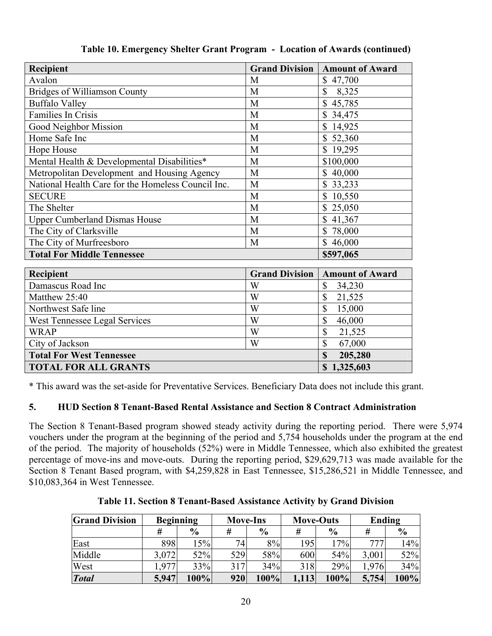| Recipient                                          | <b>Grand Division</b> | <b>Amount of Award</b> |
|----------------------------------------------------|-----------------------|------------------------|
| Avalon                                             | M                     | \$47,700               |
| <b>Bridges of Williamson County</b>                | M                     | $\mathbf S$<br>8,325   |
| <b>Buffalo Valley</b>                              | M                     | \$45,785               |
| Families In Crisis                                 | M                     | \$34,475               |
| Good Neighbor Mission                              | M                     | 14,925                 |
| Home Safe Inc                                      | M                     | \$52,360               |
| Hope House                                         | M                     | \$19,295               |
| Mental Health & Developmental Disabilities*        | M                     | \$100,000              |
| Metropolitan Development and Housing Agency        | M                     | 40,000                 |
| National Health Care for the Homeless Council Inc. | M                     | 33,233                 |
| <b>SECURE</b>                                      | M                     | 10,550                 |
| The Shelter                                        | M                     | 25,050                 |
| <b>Upper Cumberland Dismas House</b>               | M                     | 41,367<br>\$           |
| The City of Clarksville                            | M                     | \$78,000               |
| The City of Murfreesboro                           | M                     | \$46,000               |
| <b>Total For Middle Tennessee</b>                  |                       | \$597,065              |
| Recipient                                          | <b>Grand Division</b> | <b>Amount of Award</b> |
| Damascus Road Inc                                  | W                     | \$<br>34,230           |
| Matthew 25:40                                      | W                     | \$<br>21,525           |
| Northwest Safe line                                | W                     | \$<br>15,000           |
| West Tennessee Legal Services                      | W                     | \$<br>46,000           |
| <b>WRAP</b>                                        | W                     | \$<br>21,525           |
| City of Jackson                                    | W                     | \$<br>67,000           |
| <b>Total For West Tennessee</b>                    | \$<br>205,280         |                        |
| <b>TOTAL FOR ALL GRANTS</b>                        | \$1,325,603           |                        |

**Table 10. Emergency Shelter Grant Program - Location of Awards (continued)**

\* This award was the set-aside for Preventative Services. Beneficiary Data does not include this grant.

# **5. HUD Section 8 Tenant-Based Rental Assistance and Section 8 Contract Administration**

The Section 8 Tenant-Based program showed steady activity during the reporting period. There were 5,974 vouchers under the program at the beginning of the period and 5,754 households under the program at the end of the period. The majority of households (52%) were in Middle Tennessee, which also exhibited the greatest percentage of move-ins and move-outs. During the reporting period, \$29,629,713 was made available for the Section 8 Tenant Based program, with \$4,259,828 in East Tennessee, \$15,286,521 in Middle Tennessee, and \$10,083,364 in West Tennessee.

**Table 11. Section 8 Tenant-Based Assistance Activity by Grand Division** 

| <b>Grand Division</b> | <b>Beginning</b> |               | <b>Move-Ins</b> |               |       | <b>Move-Outs</b> | Ending |               |
|-----------------------|------------------|---------------|-----------------|---------------|-------|------------------|--------|---------------|
|                       | #                | $\frac{0}{0}$ | #               | $\frac{6}{9}$ | #     | $\frac{6}{9}$    | #      | $\frac{6}{6}$ |
| East                  | 898              | $5\%$         | 74 <sub>1</sub> | 8%            | 195   | 17%              | 777    | 14%           |
| Middle                | 3,072            | 52%           | 529             | 58%           | 600   | 54%              | 3,001  | 52%           |
| West                  | .977             | 33%           | 317             | 34%           | 318   | 29%              | 1,976  | 34%           |
| <b>Total</b>          | 5,947            | 100%          | 920             | 100%          | 1,113 | 100%             | 5,754  | 100%          |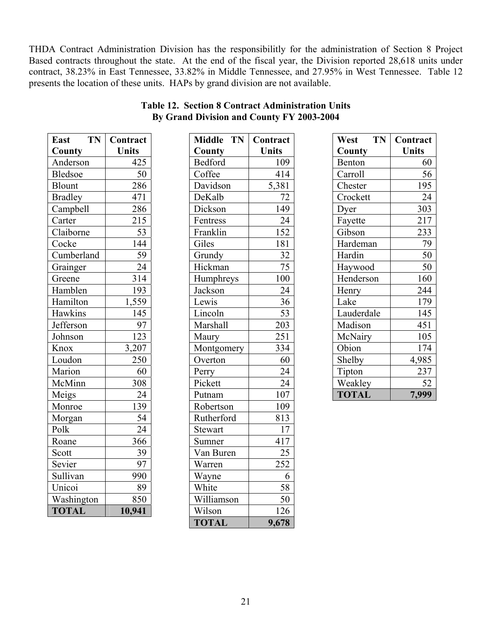THDA Contract Administration Division has the responsibilitly for the administration of Section 8 Project Based contracts throughout the state. At the end of the fiscal year, the Division reported 28,618 units under contract, 38.23% in East Tennessee, 33.82% in Middle Tennessee, and 27.95% in West Tennessee. Table 12 presents the location of these units. HAPs by grand division are not available.

| <b>East</b>    | TN | Contract         |
|----------------|----|------------------|
| County         |    | Units            |
| Anderson       |    | 425              |
| <b>Bledsoe</b> |    | 50               |
| <b>Blount</b>  |    | $\frac{286}{ }$  |
| <b>Bradley</b> |    | 471              |
| Campbell       |    | 286              |
| Carter         |    | 215              |
| Claiborne      |    | 53               |
| Cocke          |    | 144              |
| Cumberland     |    | 59               |
| Grainger       |    | $\overline{2}$ 4 |
| Greene         |    | 314              |
| Hamblen        |    | 193              |
| Hamilton       |    | 1,559            |
| Hawkins        |    | 145              |
| Jefferson      |    | 97               |
| Johnson        |    | 123              |
| Knox           |    | 3,207            |
| Loudon         |    | 250              |
| Marion         |    | 60               |
| McMinn         |    | 308              |
| Meigs          |    | 24               |
| Monroe         |    | 139              |
| Morgan         |    | 54               |
| Polk           |    | $\overline{24}$  |
| Roane          |    | 366              |
| Scott          |    | 39               |
| Sevier         |    | 97               |
| Sullivan       |    | 990              |
| Unicoi         |    | 89               |
| Washington     |    | 850              |
| <b>TOTAL</b>   |    | 10.941           |

| <b>Table 12. Section 8 Contract Administration Units</b> |  |
|----------------------------------------------------------|--|
| By Grand Division and County FY 2003-2004                |  |

| TN<br>East     | Contract     | Middle TN      | Contract        | West         | <b>TN</b> | Contract     |
|----------------|--------------|----------------|-----------------|--------------|-----------|--------------|
| County         | <b>Units</b> | County         | <b>Units</b>    | County       |           | <b>Units</b> |
| Anderson       | 425          | <b>Bedford</b> | 109             | Benton       |           | 60           |
| Bledsoe        | 50           | Coffee         | 414             | Carroll      |           | 56           |
| Blount         | 286          | Davidson       | 5,381           | Chester      |           | 195          |
| <b>Bradley</b> | 471          | DeKalb         | 72              | Crockett     |           | 24           |
| Campbell       | 286          | Dickson        | 149             | Dyer         |           | 303          |
| Carter         | 215          | Fentress       | 24              | Fayette      |           | 217          |
| Claiborne      | 53           | Franklin       | 152             | Gibson       |           | 233          |
| Cocke          | 144          | Giles          | 181             | Hardeman     |           | 79           |
| Cumberland     | 59           | Grundy         | 32              | Hardin       |           | 50           |
| Grainger       | 24           | Hickman        | $\overline{75}$ | Haywood      |           | 50           |
| Greene         | 314          | Humphreys      | 100             | Henderson    |           | 160          |
| Hamblen        | 193          | Jackson        | 24              | Henry        |           | 244          |
| Hamilton       | 1,559        | Lewis          | 36              | Lake         |           | 179          |
| Hawkins        | 145          | Lincoln        | 53              | Lauderdale   |           | 145          |
| Jefferson      | 97           | Marshall       | 203             | Madison      |           | 451          |
| Johnson        | 123          | Maury          | 251             | McNairy      |           | 105          |
| Knox           | 3,207        | Montgomery     | 334             | Obion        |           | 174          |
| Loudon         | 250          | Overton        | 60              | Shelby       |           | 4,985        |
| Marion         | 60           | Perry          | 24              | Tipton       |           | 237          |
| McMinn         | 308          | Pickett        | 24              | Weakley      |           | 52           |
| Meigs          | 24           | Putnam         | 107             | <b>TOTAL</b> |           | 7,999        |
| Monroe         | 139          | Robertson      | 109             |              |           |              |
| Morgan         | 54           | Rutherford     | 813             |              |           |              |
| Polk           | 24           | <b>Stewart</b> | 17              |              |           |              |
| Roane          | 366          | Sumner         | 417             |              |           |              |
| Scott          | 39           | Van Buren      | $\overline{25}$ |              |           |              |
| Sevier         | 97           | Warren         | 252             |              |           |              |
| Sullivan       | 990          | Wayne          | 6               |              |           |              |
| Unicoi         | 89           | White          | 58              |              |           |              |
| Washington     | 850          | Williamson     | 50              |              |           |              |
| <b>TOTAL</b>   | 10,941       | Wilson         | 126             |              |           |              |
|                |              | <b>TOTAL</b>   | 9,678           |              |           |              |
|                |              |                |                 |              |           |              |

| TN<br>West   | Contract |
|--------------|----------|
| County       | Units    |
| Benton       | 60       |
| Carroll      | 56       |
| Chester      | 195      |
| Crockett     | 24       |
| Dyer         | 303      |
| Fayette      | 217      |
| Gibson       | 233      |
| Hardeman     | 79       |
| Hardin       | 50       |
| Haywood      | 50       |
| Henderson    | 160      |
| Henry        | 244      |
| Lake         | 179      |
| Lauderdale   | 145      |
| Madison      | 451      |
| McNairy      | 105      |
| Obion        | 174      |
| Shelby       | 4,985    |
| Tipton       | 237      |
| Weakley      | 52       |
| <b>TOTAL</b> | 7,999    |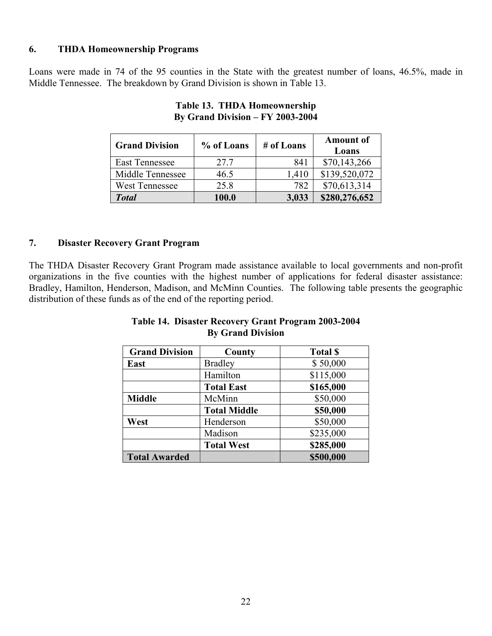#### **6. THDA Homeownership Programs**

Loans were made in 74 of the 95 counties in the State with the greatest number of loans, 46.5%, made in Middle Tennessee. The breakdown by Grand Division is shown in Table 13.

| <b>Grand Division</b> | % of Loans | # of Loans | <b>Amount of</b><br>Loans |
|-----------------------|------------|------------|---------------------------|
| <b>East Tennessee</b> | 27.7       | 841        | \$70,143,266              |
| Middle Tennessee      | 46.5       | 1,410      | \$139,520,072             |
| <b>West Tennessee</b> | 25.8       | 782        | \$70,613,314              |
| <b>Total</b>          | 100.0      | 3,033      | \$280,276,652             |

#### **Table 13. THDA Homeownership By Grand Division – FY 2003-2004**

#### **7. Disaster Recovery Grant Program**

The THDA Disaster Recovery Grant Program made assistance available to local governments and non-profit organizations in the five counties with the highest number of applications for federal disaster assistance: Bradley, Hamilton, Henderson, Madison, and McMinn Counties. The following table presents the geographic distribution of these funds as of the end of the reporting period.

#### **Table 14. Disaster Recovery Grant Program 2003-2004 By Grand Division**

| <b>Grand Division</b> | County              | <b>Total \$</b> |
|-----------------------|---------------------|-----------------|
| East                  | <b>Bradley</b>      | \$50,000        |
|                       | Hamilton            | \$115,000       |
|                       | <b>Total East</b>   | \$165,000       |
| <b>Middle</b>         | McMinn              | \$50,000        |
|                       | <b>Total Middle</b> | \$50,000        |
| West                  | Henderson           | \$50,000        |
|                       | Madison             | \$235,000       |
|                       | <b>Total West</b>   | \$285,000       |
| <b>Total Awarded</b>  |                     | \$500,000       |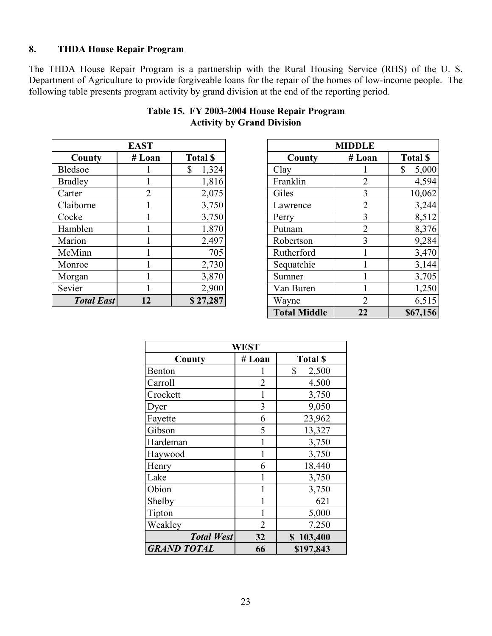### **8. THDA House Repair Program**

The THDA House Repair Program is a partnership with the Rural Housing Service (RHS) of the U. S. Department of Agriculture to provide forgiveable loans for the repair of the homes of low-income people. The following table presents program activity by grand division at the end of the reporting period.

| <b>EAST</b>       |        |                 |  |  |  |  |
|-------------------|--------|-----------------|--|--|--|--|
| County            | # Loan | <b>Total \$</b> |  |  |  |  |
| <b>Bledsoe</b>    |        | \$<br>1,324     |  |  |  |  |
| <b>Bradley</b>    |        | 1,816           |  |  |  |  |
| Carter            | 2      | 2,075           |  |  |  |  |
| Claiborne         |        | 3,750           |  |  |  |  |
| Cocke             |        | 3,750           |  |  |  |  |
| Hamblen           |        | 1,870           |  |  |  |  |
| Marion            |        | 2,497           |  |  |  |  |
| McMinn            |        | 705             |  |  |  |  |
| Monroe            |        | 2,730           |  |  |  |  |
| Morgan            |        | 3,870           |  |  |  |  |
| Sevier            |        | 2,900           |  |  |  |  |
| <b>Total East</b> | 12     | \$27,287        |  |  |  |  |

# **Table 15. FY 2003-2004 House Repair Program Activity by Grand Division**

|                   | <b>EAST</b> |                 |                     | <b>MIDDLE</b>  |                 |
|-------------------|-------------|-----------------|---------------------|----------------|-----------------|
| County            | # Loan      | <b>Total \$</b> | County              | # Loan         | <b>Total \$</b> |
| Bledsoe           |             | \$<br>1,324     | Clay                |                | \$<br>5,000     |
| <b>Bradley</b>    |             | 1,816           | Franklin            | $\overline{2}$ | 4,594           |
| Carter            | 2           | 2,075           | Giles               | 3              | 10,062          |
| Claiborne         |             | 3,750           | Lawrence            | 2              | 3,244           |
| Cocke             |             | 3,750           | Perry               | 3              | 8,512           |
| Hamblen           |             | 1,870           | Putnam              | $\overline{2}$ | 8,376           |
| Marion            |             | 2,497           | Robertson           | 3              | 9,284           |
| McMinn            |             | 705             | Rutherford          |                | 3,470           |
| Monroe            |             | 2,730           | Sequatchie          |                | 3,144           |
| Morgan            |             | 3,870           | Sumner              |                | 3,705           |
| Sevier            |             | 2,900           | Van Buren           |                | 1,250           |
| <b>Total East</b> | 12          | \$27,287        | Wayne               | 2              | 6,515           |
|                   |             |                 | <b>Total Middle</b> | 22             | \$67,156        |

| <b>WEST</b>        |                |                 |  |  |  |  |
|--------------------|----------------|-----------------|--|--|--|--|
| County             | # Loan         | <b>Total \$</b> |  |  |  |  |
| Benton             |                | \$<br>2,500     |  |  |  |  |
| Carroll            | $\overline{2}$ | 4,500           |  |  |  |  |
| Crockett           | 1              | 3,750           |  |  |  |  |
| Dyer               | 3              | 9,050           |  |  |  |  |
| Fayette            | 6              | 23,962          |  |  |  |  |
| Gibson             | 5              | 13,327          |  |  |  |  |
| Hardeman           | 1              | 3,750           |  |  |  |  |
| Haywood            | 1              | 3,750           |  |  |  |  |
| Henry              | 6              | 18,440          |  |  |  |  |
| Lake               | 1              | 3,750           |  |  |  |  |
| Obion              | 1              | 3,750           |  |  |  |  |
| Shelby             | 1              | 621             |  |  |  |  |
| Tipton             |                | 5,000           |  |  |  |  |
| Weakley            | $\overline{2}$ | 7,250           |  |  |  |  |
| <b>Total West</b>  | 32             | \$103,400       |  |  |  |  |
| <b>GRAND TOTAL</b> | 66             | \$197,843       |  |  |  |  |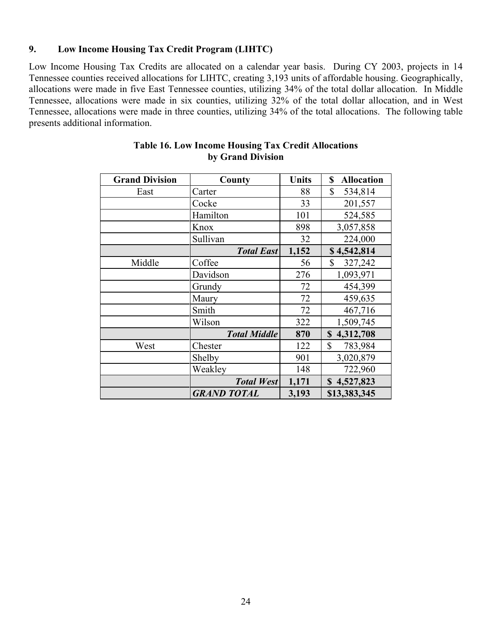#### **9. Low Income Housing Tax Credit Program (LIHTC)**

Low Income Housing Tax Credits are allocated on a calendar year basis. During CY 2003, projects in 14 Tennessee counties received allocations for LIHTC, creating 3,193 units of affordable housing. Geographically, allocations were made in five East Tennessee counties, utilizing 34% of the total dollar allocation. In Middle Tennessee, allocations were made in six counties, utilizing 32% of the total dollar allocation, and in West Tennessee, allocations were made in three counties, utilizing 34% of the total allocations. The following table presents additional information.

| <b>Grand Division</b> | County              | <b>Units</b> | <b>Allocation</b><br>\$ |
|-----------------------|---------------------|--------------|-------------------------|
| East                  | Carter              | 88           | $\mathbb{S}$<br>534,814 |
|                       | Cocke               | 33           | 201,557                 |
|                       | Hamilton            | 101          | 524,585                 |
|                       | Knox                | 898          | 3,057,858               |
|                       | Sullivan            | 32           | 224,000                 |
|                       | <b>Total East</b>   | 1,152        | \$4,542,814             |
| Middle                | Coffee              | 56           | \$<br>327,242           |
|                       | Davidson            | 276          | 1,093,971               |
|                       | Grundy              | 72           | 454,399                 |
|                       | Maury               | 72           | 459,635                 |
|                       | Smith               | 72           | 467,716                 |
|                       | Wilson              | 322          | 1,509,745               |
|                       | <b>Total Middle</b> | 870          | 4,312,708<br>S          |
| West                  | Chester             | 122          | \$<br>783,984           |
|                       | Shelby              | 901          | 3,020,879               |
|                       | Weakley             | 148          | 722,960                 |
|                       | <b>Total West</b>   | 1,171        | 4,527,823<br>\$         |
|                       | <b>GRAND TOTAL</b>  | 3,193        | \$13,383,345            |

#### **Table 16. Low Income Housing Tax Credit Allocations by Grand Division**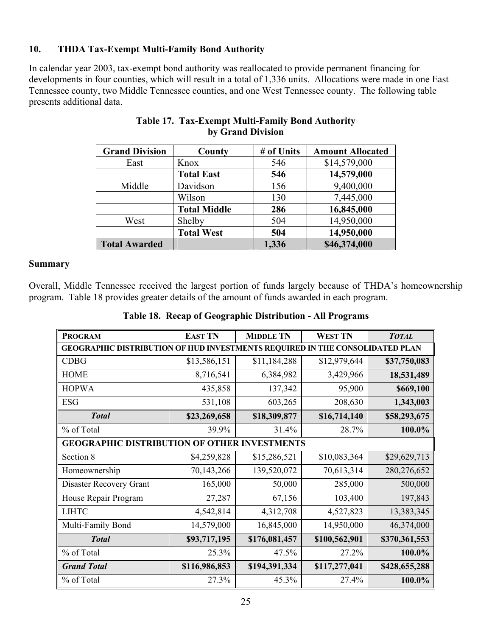# **10. THDA Tax-Exempt Multi-Family Bond Authority**

In calendar year 2003, tax-exempt bond authority was reallocated to provide permanent financing for developments in four counties, which will result in a total of 1,336 units. Allocations were made in one East Tennessee county, two Middle Tennessee counties, and one West Tennessee county. The following table presents additional data.

| <b>Grand Division</b> | County              | # of Units | <b>Amount Allocated</b> |
|-----------------------|---------------------|------------|-------------------------|
| East                  | Knox                | 546        | \$14,579,000            |
|                       | <b>Total East</b>   | 546        | 14,579,000              |
| Middle                | Davidson            | 156        | 9,400,000               |
|                       | Wilson              | 130        | 7,445,000               |
|                       | <b>Total Middle</b> | 286        | 16,845,000              |
| West                  | Shelby              | 504        | 14,950,000              |
|                       | <b>Total West</b>   | 504        | 14,950,000              |
| <b>Total Awarded</b>  |                     | 1,336      | \$46,374,000            |

# **Table 17. Tax-Exempt Multi-Family Bond Authority by Grand Division**

#### **Summary**

Overall, Middle Tennessee received the largest portion of funds largely because of THDA's homeownership program. Table 18 provides greater details of the amount of funds awarded in each program.

|  |  | Table 18. Recap of Geographic Distribution - All Programs |  |
|--|--|-----------------------------------------------------------|--|
|--|--|-----------------------------------------------------------|--|

| <b>PROGRAM</b>                                                               | <b>EAST TN</b> | <b>MIDDLE TN</b> | <b>WEST TN</b> | <b>TOTAL</b>  |
|------------------------------------------------------------------------------|----------------|------------------|----------------|---------------|
| GEOGRAPHIC DISTRIBUTION OF HUD INVESTMENTS REQUIRED IN THE CONSOLIDATED PLAN |                |                  |                |               |
| <b>CDBG</b>                                                                  | \$13,586,151   | \$11,184,288     | \$12,979,644   | \$37,750,083  |
| <b>HOME</b>                                                                  | 8,716,541      | 6,384,982        | 3,429,966      | 18,531,489    |
| <b>HOPWA</b>                                                                 | 435,858        | 137,342          | 95,900         | \$669,100     |
| <b>ESG</b>                                                                   | 531,108        | 603,265          | 208,630        | 1,343,003     |
| <b>Total</b>                                                                 | \$23,269,658   | \$18,309,877     | \$16,714,140   | \$58,293,675  |
| % of Total                                                                   | 39.9%          | 31.4%            | 28.7%          | 100.0%        |
| <b>GEOGRAPHIC DISTRIBUTION OF OTHER INVESTMENTS</b>                          |                |                  |                |               |
| Section 8                                                                    | \$4,259,828    | \$15,286,521     | \$10,083,364   | \$29,629,713  |
| Homeownership                                                                | 70,143,266     | 139,520,072      | 70,613,314     | 280,276,652   |
| Disaster Recovery Grant                                                      | 165,000        | 50,000           | 285,000        | 500,000       |
| House Repair Program                                                         | 27,287         | 67,156           | 103,400        | 197,843       |
| <b>LIHTC</b>                                                                 | 4,542,814      | 4,312,708        | 4,527,823      | 13,383,345    |
| Multi-Family Bond                                                            | 14,579,000     | 16,845,000       | 14,950,000     | 46,374,000    |
| <b>Total</b>                                                                 | \$93,717,195   | \$176,081,457    | \$100,562,901  | \$370,361,553 |
| % of Total                                                                   | 25.3%          | 47.5%            | 27.2%          | 100.0%        |
| <b>Grand Total</b>                                                           | \$116,986,853  | \$194,391,334    | \$117,277,041  | \$428,655,288 |
| % of Total                                                                   | 27.3%          | 45.3%            | 27.4%          | 100.0%        |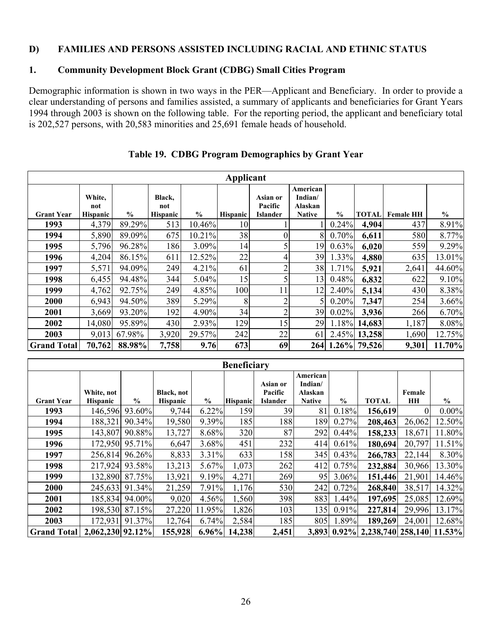#### **D) FAMILIES AND PERSONS ASSISTED INCLUDING RACIAL AND ETHNIC STATUS**

# **1. Community Development Block Grant (CDBG) Small Cities Program**

Demographic information is shown in two ways in the PER—Applicant and Beneficiary. In order to provide a clear understanding of persons and families assisted, a summary of applicants and beneficiaries for Grant Years 1994 through 2003 is shown on the following table. For the reporting period, the applicant and beneficiary total is 202,527 persons, with 20,583 minorities and 25,691 female heads of household.

|                    | Applicant                        |               |                                  |               |                 |                                        |                                                 |               |              |                  |               |
|--------------------|----------------------------------|---------------|----------------------------------|---------------|-----------------|----------------------------------------|-------------------------------------------------|---------------|--------------|------------------|---------------|
| <b>Grant Year</b>  | White,<br>not<br><b>Hispanic</b> | $\frac{0}{0}$ | Black,<br>not<br><b>Hispanic</b> | $\frac{0}{0}$ | <b>Hispanic</b> | Asian or<br>Pacific<br><b>Islander</b> | American<br>Indian/<br>Alaskan<br><b>Native</b> | $\frac{6}{6}$ | <b>TOTAL</b> | <b>Female HH</b> | $\frac{0}{0}$ |
| 1993               | 4,379                            | 89.29%        | 513                              | 10.46%        | 10              |                                        |                                                 | 0.24%         | 4,904        | 437              | 8.91%         |
| 1994               | 5,890                            | 89.09%        | 675                              | 10.21%        | 38              |                                        | 8                                               | 0.70%         | 6,611        | 580              | 8.77%         |
| 1995               | 5,796                            | 96.28%        | 186                              | 3.09%         | 14              |                                        | 19                                              | 0.63%         | 6,020        | 559              | 9.29%         |
| 1996               | 4,204                            | 86.15%        | 611                              | 12.52%        | 22              | 4                                      | 39                                              | 1.33%         | 4,880        | 635              | 13.01%        |
| 1997               | 5,571                            | 94.09%        | 249                              | 4.21%         | 61              | 2                                      | 38                                              | 1.71%         | 5,921        | 2,641            | 44.60%        |
| 1998               | 6,455                            | 94.48%        | 344                              | 5.04%         | 15              |                                        | 13                                              | 0.48%         | 6,832        | 622              | 9.10%         |
| 1999               | 4,762                            | 92.75%        | 249                              | 4.85%         | 100             | 11                                     | 12                                              | 2.40%         | 5,134        | 430              | 8.38%         |
| 2000               | 6,943                            | 94.50%        | 389                              | 5.29%         | 8               | $\overline{c}$                         |                                                 | 0.20%         | 7,347        | 254              | 3.66%         |
| 2001               | 3,669                            | 93.20%        | 192                              | 4.90%         | 34              | $\overline{2}$                         | 39                                              | 0.02%         | 3,936        | 266              | 6.70%         |
| 2002               | 14,080                           | 95.89%        | 430                              | 2.93%         | 129             | 15                                     | 29                                              | 1.18%         | 14,683       | 1,187            | 8.08%         |
| 2003               | 9,013                            | 67.98%        | 3,920                            | 29.57%        | 242             | 22                                     | 61                                              | 2.45%         | 13,258       | 1,690            | 12.75%        |
| <b>Grand Total</b> | 70,762                           | 88.98%        | 7,758                            | 9.76          | 673             | 69                                     | 264                                             |               | 1.26% 79,526 | 9,301            | 11.70%        |

### **Table 19. CDBG Program Demographics by Grant Year**

|                    | <b>Beneficiary</b>            |                |                               |               |                 |                                        |                                                 |               |                                      |                     |               |
|--------------------|-------------------------------|----------------|-------------------------------|---------------|-----------------|----------------------------------------|-------------------------------------------------|---------------|--------------------------------------|---------------------|---------------|
| <b>Grant Year</b>  | White, not<br><b>Hispanic</b> | $\frac{0}{0}$  | Black, not<br><b>Hispanic</b> | $\frac{0}{0}$ | <b>Hispanic</b> | Asian or<br>Pacific<br><b>Islander</b> | American<br>Indian/<br>Alaskan<br><b>Native</b> | $\frac{0}{0}$ | <b>TOTAL</b>                         | Female<br><b>HH</b> | $\frac{0}{0}$ |
| 1993               | 146,596                       | 93.60%         | 9,744                         | 6.22%         | 159             | 39                                     | 81                                              | 0.18%         | 156,619                              |                     | $0.00\%$      |
| 1994               | 188,321                       | 90.34%         | 19,580                        | 9.39%         | 185             | 188                                    | 189                                             | 0.27%         | 208,463                              | 26,062              | 12.50%        |
| 1995               | 143,807                       | 90.88%         | 13,727                        | 8.68%         | 320             | 87                                     | 292                                             | $0.44\%$      | 158,233                              | 18,671              | 11.80%        |
| 1996               |                               | 172,950 95.71% | 6,647                         | 3.68%         | 451             | 232                                    | 414                                             | 0.61%         | 180,694                              | 20,797              | 11.51%        |
| 1997               |                               | 256,814 96.26% | 8,833                         | 3.31%         | 633             | 158                                    | 345                                             | 0.43%         | 266,783                              | 22,144              | 8.30%         |
| 1998               |                               | 217,924 93.58% | 13,213                        | 5.67%         | 1,073           | 262                                    | 412                                             | 0.75%         | 232,884                              | 30,966              | 13.30%        |
| 1999               |                               | 132,890 87.75% | 13,921                        | 9.19%         | 4,271           | 269                                    | 95                                              | 3.06%         | 151,446                              | 21,901              | 14.46%        |
| 2000               |                               | 245,633 91.34% | 21,259                        | 7.91%         | 1,176           | 530                                    | 242                                             | 0.72%         | 268,840                              | 38,517              | 14.32%        |
| 2001               |                               | 185,834 94.00% | 9,020                         | 4.56%         | 1,560           | 398                                    | 883                                             | 1.44%         | 197,695                              | 25,085              | 12.69%        |
| 2002               |                               | 198,530 87.15% | 27,220                        | 11.95%        | 1,826           | 103                                    | 135                                             | 0.91%         | 227,814                              | 29,996              | 13.17%        |
| 2003               | 172,931                       | 91.37%         | 12,764                        | 6.74%         | 2,584           | 185                                    | 805                                             | 1.89%         | 189,269                              | 24,001              | 12.68%        |
| <b>Grand Total</b> | 2,062,230 92.12%              |                | 155,928                       | $6.96\%$      | 14,238          | 2,451                                  |                                                 |               | 3,893 0.92% 2,238,740 258,140 11.53% |                     |               |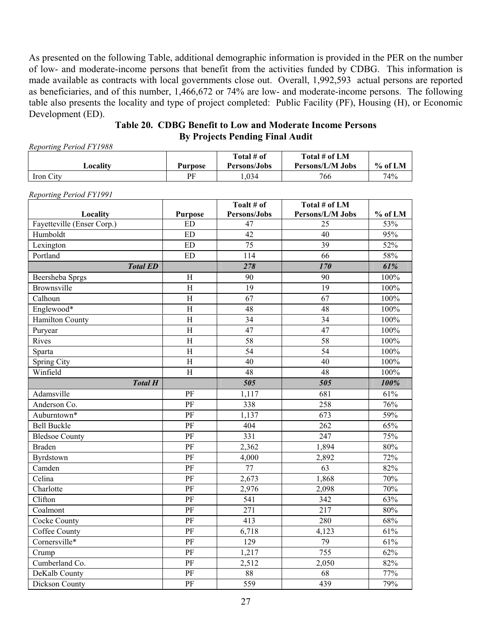As presented on the following Table, additional demographic information is provided in the PER on the number of low- and moderate-income persons that benefit from the activities funded by CDBG. This information is made available as contracts with local governments close out. Overall, 1,992,593 actual persons are reported as beneficiaries, and of this number, 1,466,672 or 74% are low- and moderate-income persons. The following table also presents the locality and type of project completed: Public Facility (PF), Housing (H), or Economic Development (ED).

**Table 20. CDBG Benefit to Low and Moderate Income Persons By Projects Pending Final Audit** 

*Reporting Period FY1988* 

|           |         | Total # of   | Total # of LM    |           |
|-----------|---------|--------------|------------------|-----------|
| ∟ocalitv  | Purpose | Persons/Jobs | Persons/L/M Jobs | $%$ of LM |
| Iron City | РF      | .034         | 766              | 74%       |

|                                        |                             | Toalt # of<br>Persons/Jobs | Total # of LM<br>Persons/L/M Jobs |                  |
|----------------------------------------|-----------------------------|----------------------------|-----------------------------------|------------------|
| Locality<br>Fayetteville (Enser Corp.) | <b>Purpose</b><br><b>ED</b> | 47                         | 25                                | $%$ of LM<br>53% |
| Humboldt                               | <b>ED</b>                   | 42                         | 40                                | 95%              |
| Lexington                              | <b>ED</b>                   | 75                         | 39                                | 52%              |
| Portland                               | <b>ED</b>                   | 114                        | 66                                | 58%              |
|                                        |                             | 278                        | 170                               | 61%              |
| <b>Total ED</b>                        | $\rm H$                     | 90                         | 90                                | 100%             |
| Beersheba Sprgs<br>Brownsville         | $\, {\rm H}$                | $\overline{19}$            | $\overline{19}$                   | 100%             |
| Calhoun                                | $\rm H$                     | 67                         | 67                                | 100%             |
|                                        | $\rm H$                     | 48                         |                                   | 100%             |
| Englewood*                             | $\rm H$                     | 34                         | 48<br>34                          | 100%             |
| <b>Hamilton County</b>                 | $\rm H$                     | 47                         | 47                                | 100%             |
| Puryear                                | $\rm H$                     | 58                         | 58                                |                  |
| Rives                                  |                             | 54                         | 54                                | 100%             |
| Sparta                                 | $\overline{\mathrm{H}}$     |                            |                                   | 100%             |
| Spring City                            | $\rm H$                     | 40                         | 40                                | 100%             |
| Winfield                               | $\rm H$                     | 48                         | 48                                | 100%             |
| <b>Total H</b>                         |                             | 505                        | 505                               | 100%             |
| Adamsville                             | PF                          | 1,117                      | 681                               | 61%              |
| Anderson Co.                           | PF                          | 338                        | 258                               | 76%              |
| Auburntown*                            | PF                          | 1,137                      | 673                               | 59%              |
| <b>Bell Buckle</b>                     | PF                          | 404                        | 262                               | 65%              |
| <b>Bledsoe County</b>                  | PF                          | 331                        | 247                               | 75%              |
| <b>Braden</b>                          | PF                          | 2,362                      | 1,894                             | 80%              |
| Byrdstown                              | PF                          | 4,000                      | 2,892                             | 72%              |
| Camden                                 | $\overline{\text{PF}}$      | $\overline{77}$            | $\overline{63}$                   | 82%              |
| Celina                                 | PF                          | 2,673                      | 1,868                             | 70%              |
| Charlotte                              | PF                          | 2,976                      | 2,098                             | 70%              |
| Clifton                                | PF                          | 541                        | 342                               | 63%              |
| Coalmont                               | PF                          | 271                        | 217                               | 80%              |
| Cocke County                           | $\overline{\text{PF}}$      | 413                        | 280                               | 68%              |
| Coffee County                          | $\overline{\text{PF}}$      | 6,718                      | 4,123                             | 61%              |
| Cornersville*                          | PF                          | 129                        | 79                                | 61%              |
| Crump                                  | PF                          | 1,217                      | 755                               | 62%              |
| Cumberland Co.                         | PF                          | 2,512                      | 2,050                             | 82%              |
| DeKalb County                          | PF                          | 88                         | 68                                | 77%              |
| <b>Dickson County</b>                  | $\overline{\text{PF}}$      | $\overline{559}$           | 439                               | 79%              |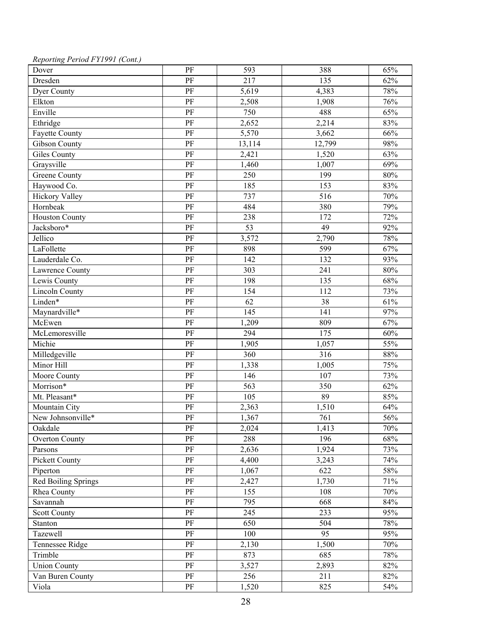| Reporting Period FY1991 (Cont.) |  |
|---------------------------------|--|
|---------------------------------|--|

| Dover                 | $\rm PF$               | 593    | 388    | 65%    |
|-----------------------|------------------------|--------|--------|--------|
| Dresden               | PF                     | 217    | 135    | 62%    |
| Dyer County           | $\rm PF$               | 5,619  | 4,383  | 78%    |
| Elkton                | PF                     | 2,508  | 1,908  | 76%    |
| Enville               | PF                     | 750    | 488    | 65%    |
| Ethridge              | $\overline{PF}$        | 2,652  | 2,214  | 83%    |
| Fayette County        | PF                     | 5,570  | 3,662  | 66%    |
| <b>Gibson County</b>  | $\rm PF$               | 13,114 | 12,799 | 98%    |
| <b>Giles County</b>   | $\overline{\text{PF}}$ | 2,421  | 1,520  | 63%    |
| Graysville            | PF                     | 1,460  | 1,007  | 69%    |
| Greene County         | PF                     | 250    | 199    | $80\%$ |
| Haywood Co.           | PF                     | 185    | 153    | 83%    |
| <b>Hickory Valley</b> | $\rm PF$               | 737    | 516    | 70%    |
| Hornbeak              | $\rm PF$               | 484    | 380    | 79%    |
| <b>Houston County</b> | PF                     | 238    | 172    | 72%    |
| Jacksboro*            | PF                     | 53     | 49     | 92%    |
| Jellico               | $\overline{PF}$        | 3,572  | 2,790  | 78%    |
| LaFollette            | PF                     | 898    | 599    | 67%    |
| Lauderdale Co.        | PF                     | 142    | 132    | 93%    |
| Lawrence County       | PF                     | 303    | 241    | 80%    |
| Lewis County          | PF                     | 198    | 135    | 68%    |
| <b>Lincoln County</b> | PF                     | 154    | 112    | 73%    |
| Linden*               | PF                     | 62     | 38     | 61%    |
| Maynardville*         | $\rm PF$               | 145    | 141    | 97%    |
| McEwen                | $\overline{PF}$        | 1,209  | 809    | 67%    |
| McLemoresville        | PF                     | 294    | 175    | 60%    |
| Michie                | PF                     | 1,905  | 1,057  | 55%    |
| Milledgeville         | $\rm PF$               | 360    | 316    | 88%    |
| Minor Hill            | PF                     | 1,338  | 1,005  | 75%    |
| Moore County          | PF                     | 146    | 107    | 73%    |
| Morrison*             | PF                     | 563    | 350    | 62%    |
| Mt. Pleasant*         | PF                     | 105    | 89     | 85%    |
| Mountain City         | PF                     | 2,363  | 1,510  | 64%    |
| New Johnsonville*     | PF                     | 1,367  | 761    | 56%    |
| Oakdale               | PF                     | 2,024  | 1,413  | 70%    |
| <b>Overton County</b> | $\rm PF$               | 288    | 196    | 68%    |
| Parsons               | PF                     | 2,636  | 1,924  | 73%    |
| <b>Pickett County</b> | $\rm PF$               | 4,400  | 3,243  | 74%    |
| Piperton              | $\rm PF$               | 1,067  | 622    | 58%    |
| Red Boiling Springs   | PF                     | 2,427  | 1,730  | 71%    |
| Rhea County           | $\rm PF$               | 155    | 108    | 70%    |
| Savannah              | PF                     | 795    | 668    | 84%    |
| <b>Scott County</b>   | PF                     | 245    | 233    | 95%    |
| Stanton               | $\rm PF$               | 650    | 504    | 78%    |
| Tazewell              | PF                     | 100    | 95     | 95%    |
| Tennessee Ridge       | $\rm PF$               | 2,130  | 1,500  | 70%    |
| Trimble               | $\rm PF$               | 873    | 685    | 78%    |
| <b>Union County</b>   | PF                     | 3,527  | 2,893  | 82%    |
| Van Buren County      | PF                     | 256    | 211    | 82%    |
| Viola                 | $\rm PF$               | 1,520  | 825    | 54%    |
|                       |                        |        |        |        |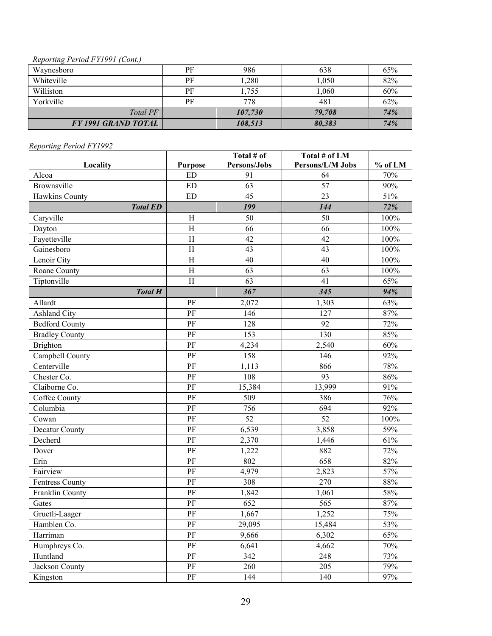#### *Reporting Period FY1991 (Cont.)*

| Waynesboro                 | PF | 986     | 638    | 65% |
|----------------------------|----|---------|--------|-----|
| Whiteville                 | PF | 1,280   | 1,050  | 82% |
| Williston                  | PF | 1,755   | 1,060  | 60% |
| Yorkville                  | PF | 778     | 481    | 62% |
| Total PF                   |    | 107,730 | 79.708 | 74% |
| <b>FY 1991 GRAND TOTAL</b> |    | 108,513 | 80,383 | 74% |

|                        |                | Total # of   | Total # of LM    |         |
|------------------------|----------------|--------------|------------------|---------|
| Locality               | <b>Purpose</b> | Persons/Jobs | Persons/L/M Jobs | % of LM |
| Alcoa                  | ED             | 91           | 64               | 70%     |
| Brownsville            | <b>ED</b>      | 63           | 57               | 90%     |
| Hawkins County         | <b>ED</b>      | 45           | 23               | 51%     |
| <b>Total ED</b>        |                | 199          | 144              | 72%     |
| Caryville              | $\rm H$        | 50           | 50               | 100%    |
| Dayton                 | $\rm H$        | 66           | 66               | 100%    |
| Fayetteville           | $\, {\rm H}$   | 42           | 42               | 100%    |
| Gainesboro             | $\rm H$        | 43           | 43               | 100%    |
| Lenoir City            | $\overline{H}$ | 40           | 40               | 100%    |
| Roane County           | $\rm H$        | 63           | 63               | 100%    |
| Tiptonville            | $\rm H$        | 63           | 41               | 65%     |
| <b>Total H</b>         |                | 367          | 345              | 94%     |
| Allardt                | PF             | 2,072        | 1,303            | 63%     |
| <b>Ashland City</b>    | PF             | 146          | 127              | 87%     |
| <b>Bedford County</b>  | PF             | 128          | 92               | 72%     |
| <b>Bradley County</b>  | PF             | 153          | 130              | 85%     |
| <b>Brighton</b>        | PF             | 4,234        | 2,540            | 60%     |
| Campbell County        | PF             | 158          | 146              | 92%     |
| Centerville            | PF             | 1,113        | 866              | 78%     |
| Chester Co.            | PF             | 108          | 93               | 86%     |
| Claiborne Co.          | PF             | 15,384       | 13,999           | 91%     |
| Coffee County          | PF             | 509          | 386              | 76%     |
| Columbia               | PF             | 756          | 694              | 92%     |
| Cowan                  | PF             | 52           | 52               | 100%    |
| Decatur County         | PF             | 6,539        | 3,858            | 59%     |
| Decherd                | PF             | 2,370        | 1,446            | 61%     |
| Dover                  | PF             | 1,222        | 882              | 72%     |
| Erin                   | PF             | 802          | 658              | 82%     |
| Fairview               | PF             | 4,979        | 2,823            | 57%     |
| <b>Fentress County</b> | PF             | 308          | 270              | 88%     |
| Franklin County        | PF             | 1,842        | 1,061            | 58%     |
| Gates                  | PF             | 652          | 565              | 87%     |
| Gruetli-Laager         | PF             | 1,667        | 1,252            | 75%     |
| Hamblen Co.            | PF             | 29,095       | 15,484           | 53%     |
| Harriman               | PF             | 9,666        | 6,302            | 65%     |
| Humphreys Co.          | $\rm PF$       | 6,641        | 4,662            | 70%     |
| Huntland               | $\rm PF$       | 342          | 248              | 73%     |
| Jackson County         | $\rm PF$       | 260          | 205              | 79%     |
| Kingston               | PF             | 144          | 140              | 97%     |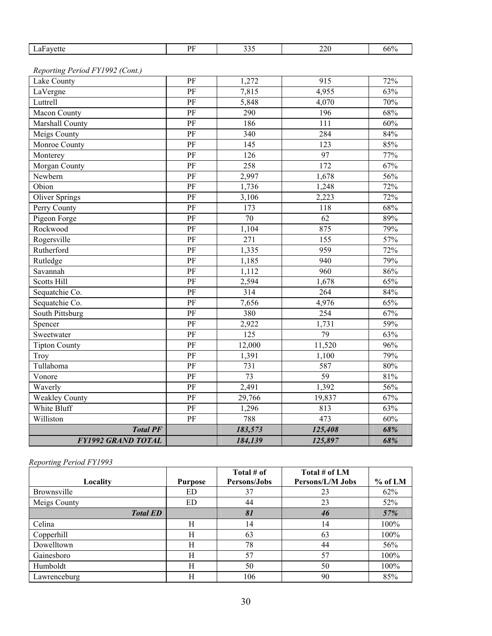| $-1$ | DЕ | $\sim$<br>- - - | ייטר.<br>$-1$ | . .<br>00% |
|------|----|-----------------|---------------|------------|
|      |    |                 |               |            |

*Reporting Period FY1992 (Cont.)* 

| Tullahoma<br>Vonore<br>Waverly<br><b>Weakley County</b><br>White Bluff<br>Williston<br><b>Total PF</b> | PF<br>PF<br>PF<br>PF<br>PF<br>PF<br>PF<br>PF<br>PF<br>PF<br>PF | 380<br>2,922<br>125<br>12,000<br>1,391<br>731<br>$\overline{73}$<br>2,491<br>29,766<br>1,296<br>788<br>183,573 | 254<br>1,731<br>$\overline{79}$<br>11,520<br>1,100<br>587<br>59<br>1,392<br>19,837<br>813<br>473<br>125,408 | 67%<br>59%<br>63%<br>96%<br>79%<br>80%<br>81%<br>56%<br>67%<br>63%<br>60%<br>68% |
|--------------------------------------------------------------------------------------------------------|----------------------------------------------------------------|----------------------------------------------------------------------------------------------------------------|-------------------------------------------------------------------------------------------------------------|----------------------------------------------------------------------------------|
|                                                                                                        |                                                                |                                                                                                                |                                                                                                             |                                                                                  |
|                                                                                                        |                                                                |                                                                                                                |                                                                                                             |                                                                                  |
|                                                                                                        |                                                                |                                                                                                                |                                                                                                             |                                                                                  |
|                                                                                                        |                                                                |                                                                                                                |                                                                                                             |                                                                                  |
|                                                                                                        |                                                                |                                                                                                                |                                                                                                             |                                                                                  |
|                                                                                                        |                                                                |                                                                                                                |                                                                                                             |                                                                                  |
| Troy                                                                                                   |                                                                |                                                                                                                |                                                                                                             |                                                                                  |
| <b>Tipton County</b>                                                                                   |                                                                |                                                                                                                |                                                                                                             |                                                                                  |
| Sweetwater                                                                                             |                                                                |                                                                                                                |                                                                                                             |                                                                                  |
| Spencer                                                                                                |                                                                |                                                                                                                |                                                                                                             |                                                                                  |
| South Pittsburg                                                                                        |                                                                |                                                                                                                |                                                                                                             |                                                                                  |
| Sequatchie Co.                                                                                         | PF                                                             | 7,656                                                                                                          | 4,976                                                                                                       | 65%                                                                              |
| Sequatchie Co.                                                                                         | PF                                                             | 314                                                                                                            | 264                                                                                                         | 84%                                                                              |
| <b>Scotts Hill</b>                                                                                     | PF                                                             | 2,594                                                                                                          | 1,678                                                                                                       | 65%                                                                              |
| Savannah                                                                                               | PF                                                             | 1,112                                                                                                          | 960                                                                                                         | 86%                                                                              |
| Rutledge                                                                                               | PF                                                             | 1,185                                                                                                          | 940                                                                                                         | 79%                                                                              |
| Rutherford                                                                                             | PF                                                             | 1,335                                                                                                          | 959                                                                                                         | 72%                                                                              |
| Rogersville                                                                                            | PF                                                             | 271                                                                                                            | 155                                                                                                         | 57%                                                                              |
| Rockwood                                                                                               | PF                                                             | 1,104                                                                                                          | 875                                                                                                         | 79%                                                                              |
| Pigeon Forge                                                                                           | PF                                                             | $\overline{70}$                                                                                                | 62                                                                                                          | 89%                                                                              |
| Perry County                                                                                           | PF                                                             | 173                                                                                                            | 118                                                                                                         | 68%                                                                              |
| <b>Oliver Springs</b>                                                                                  | PF                                                             | 3,106                                                                                                          | 2,223                                                                                                       | 72%                                                                              |
| Obion                                                                                                  | PF                                                             | 1,736                                                                                                          | 1,248                                                                                                       | 72%                                                                              |
| Newbern                                                                                                | PF                                                             | 2,997                                                                                                          | 1,678                                                                                                       | 56%                                                                              |
| Morgan County                                                                                          | PF                                                             | 258                                                                                                            | 172                                                                                                         | 67%                                                                              |
| Monterey                                                                                               | PF                                                             | 126                                                                                                            | 97                                                                                                          | 77%                                                                              |
| Monroe County                                                                                          | PF                                                             | 145                                                                                                            | 123                                                                                                         | 85%                                                                              |
| Meigs County                                                                                           | $\rm PF$                                                       | 340                                                                                                            | 284                                                                                                         | 84%                                                                              |
| Marshall County                                                                                        | PF                                                             | 186                                                                                                            | 111                                                                                                         | 60%                                                                              |
| Macon County                                                                                           | PF                                                             | 290                                                                                                            | 196                                                                                                         | 68%                                                                              |
| Luttrell                                                                                               | PF                                                             | 5,848                                                                                                          | 4,070                                                                                                       | 70%                                                                              |
| LaVergne                                                                                               | PF                                                             | 7,815                                                                                                          | 4,955                                                                                                       | 63%                                                                              |
| Lake County                                                                                            | PF                                                             | 1,272                                                                                                          | 915                                                                                                         | 72%                                                                              |

|                 |                | Total # of   | Total # of LM    |           |
|-----------------|----------------|--------------|------------------|-----------|
| Locality        | <b>Purpose</b> | Persons/Jobs | Persons/L/M Jobs | $%$ of LM |
| Brownsville     | ED             | 37           | 23               | 62%       |
| Meigs County    | ED             | 44           | 23               | 52%       |
| <b>Total ED</b> |                | 81           | 46               | 57%       |
| Celina          | Н              | 14           | 14               | $100\%$   |
| Copperhill      | Н              | 63           | 63               | 100%      |
| Dowelltown      | H              | 78           | 44               | 56%       |
| Gainesboro      | H              | 57           | 57               | 100%      |
| Humboldt        | H              | 50           | 50               | 100%      |
| Lawrenceburg    | H              | 106          | 90               | 85%       |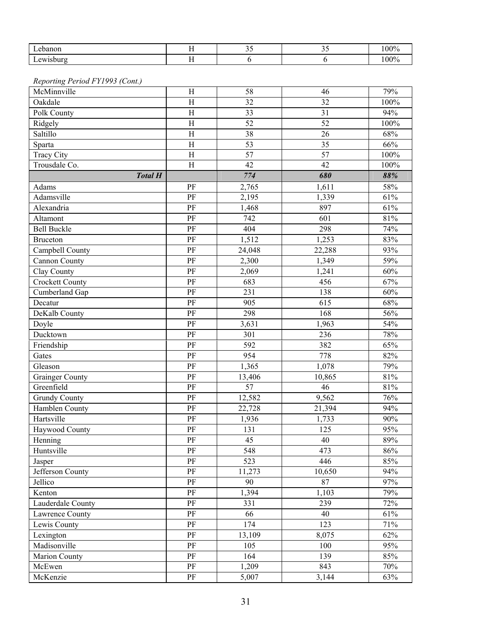| Lebanon                         | H                       | 35              | 35     | 100%   |
|---------------------------------|-------------------------|-----------------|--------|--------|
| Lewisburg                       | H                       | 6               | 6      | 100%   |
|                                 |                         |                 |        |        |
| Reporting Period FY1993 (Cont.) |                         |                 |        |        |
| McMinnville                     | H                       | 58              | 46     | 79%    |
| Oakdale                         | $\rm H$                 | 32              | 32     | 100%   |
| Polk County                     | H                       | 33              | 31     | 94%    |
| Ridgely                         | $\,$ H                  | 52              | 52     | 100%   |
| Saltillo                        | H                       | 38              | 26     | 68%    |
| Sparta                          | $\rm H$                 | $\overline{53}$ | 35     | 66%    |
| <b>Tracy City</b>               | $\overline{\mathrm{H}}$ | 57              | 57     | 100%   |
| Trousdale Co.                   | H                       | 42              | 42     | 100%   |
| <b>Total H</b>                  |                         | 774             | 680    | 88%    |
| Adams                           | PF                      | 2,765           | 1,611  | 58%    |
| Adamsville                      | PF                      | 2,195           | 1,339  | 61%    |
| Alexandria                      | PF                      | 1,468           | 897    | 61%    |
|                                 | PF                      | 742             | 601    | 81%    |
| Altamont                        |                         |                 |        |        |
| <b>Bell Buckle</b>              | $\rm PF$                | 404             | 298    | 74%    |
| <b>Bruceton</b>                 | PF                      | 1,512           | 1,253  | 83%    |
| Campbell County                 | PF                      | 24,048          | 22,288 | 93%    |
| <b>Cannon County</b>            | PF                      | 2,300           | 1,349  | 59%    |
| Clay County                     | PF                      | 2,069           | 1,241  | 60%    |
| <b>Crockett County</b>          | PF                      | 683             | 456    | 67%    |
| Cumberland Gap                  | PF                      | 231             | 138    | 60%    |
| Decatur                         | PF                      | 905             | 615    | 68%    |
| DeKalb County                   | PF                      | 298             | 168    | 56%    |
| Doyle                           | PF                      | 3,631           | 1,963  | 54%    |
| Ducktown                        | PF                      | 301             | 236    | 78%    |
| Friendship                      | PF                      | 592             | 382    | 65%    |
| Gates                           | PF                      | 954             | 778    | 82%    |
| Gleason                         | PF                      | 1,365           | 1,078  | 79%    |
| <b>Grainger County</b>          | PF                      | 13,406          | 10,865 | 81%    |
| Greenfield                      | PF                      | 57              | 46     | 81%    |
| <b>Grundy County</b>            | PF                      | 12,582          | 9,562  | 76%    |
| Hamblen County                  | PF                      | 22,728          | 21,394 | 94%    |
| Hartsville                      | PF                      | 1,936           | 1,733  | 90%    |
| Haywood County                  | $\rm PF$                | 131             | 125    | 95%    |
| Henning                         | PF                      | 45              | 40     | 89%    |
| Huntsville                      | PF                      | 548             | 473    | $86\%$ |
| Jasper                          | PF                      | 523             | 446    | 85%    |
| Jefferson County                | $\rm PF$                | 11,273          | 10,650 | 94%    |
| Jellico                         | $\rm PF$                | 90              | 87     | 97%    |
| Kenton                          | $\rm PF$                | 1,394           | 1,103  | 79%    |
| Lauderdale County               | $\rm PF$                | 331             | 239    | 72%    |
| Lawrence County                 | $\rm PF$                | 66              | 40     | 61%    |
| Lewis County                    | PF                      | 174             | 123    | 71%    |
| Lexington                       | PF                      | 13,109          | 8,075  | 62%    |
| Madisonville                    | $\rm PF$                | 105             | 100    | 95%    |
| Marion County                   | PF                      | 164             | 139    | 85%    |
| McEwen                          | $\rm PF$                | 1,209           | 843    | 70%    |
| McKenzie                        | PF                      | 5,007           | 3,144  | 63%    |
|                                 |                         |                 |        |        |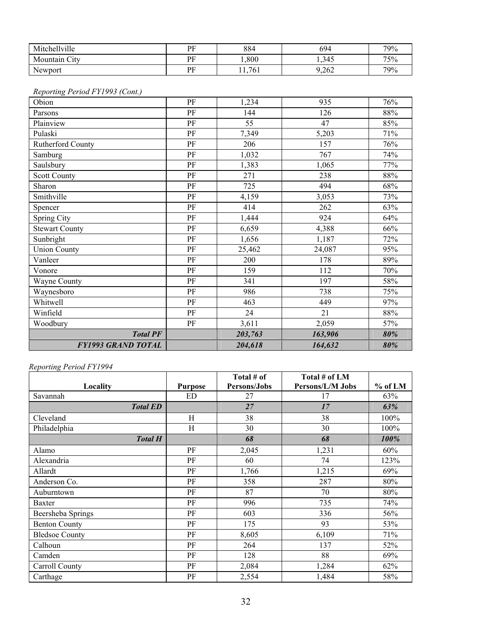| Mitchellville | ÞЕ        | 884      | 694   | 79% |
|---------------|-----------|----------|-------|-----|
| Mountain City | ÞЕ        | ,800     | 1,345 | 75% |
| Newport       | DЕ<br>. . | 761<br>. | 9,262 | 79% |

#### *Reporting Period FY1993 (Cont.)*

| Obion                     | PF       | 1,234   | 935     | 76%    |
|---------------------------|----------|---------|---------|--------|
| Parsons                   | PF       | 144     | 126     | 88%    |
| Plainview                 | PF       | 55      | 47      | 85%    |
| Pulaski                   | PF       | 7,349   | 5,203   | 71%    |
| Rutherford County         | PF       | 206     | 157     | 76%    |
| Samburg                   | PF       | 1,032   | 767     | 74%    |
| Saulsbury                 | PF       | 1,383   | 1,065   | 77%    |
| <b>Scott County</b>       | PF       | 271     | 238     | 88%    |
| Sharon                    | PF       | 725     | 494     | 68%    |
| Smithville                | PF       | 4,159   | 3,053   | 73%    |
| Spencer                   | PF       | 414     | 262     | 63%    |
| Spring City               | $\rm PF$ | 1,444   | 924     | 64%    |
| <b>Stewart County</b>     | PF       | 6,659   | 4,388   | 66%    |
| Sunbright                 | $\rm PF$ | 1,656   | 1,187   | 72%    |
| <b>Union County</b>       | PF       | 25,462  | 24,087  | 95%    |
| Vanleer                   | $\rm PF$ | 200     | 178     | 89%    |
| Vonore                    | PF       | 159     | 112     | 70%    |
| Wayne County              | PF       | 341     | 197     | 58%    |
| Waynesboro                | $\rm PF$ | 986     | 738     | 75%    |
| Whitwell                  | PF       | 463     | 449     | 97%    |
| Winfield                  | PF       | 24      | 21      | $88\%$ |
| Woodbury                  | PF       | 3,611   | 2,059   | 57%    |
| <b>Total PF</b>           |          | 203,763 | 163,906 | 80%    |
| <b>FY1993 GRAND TOTAL</b> |          | 204,618 | 164,632 | 80%    |
|                           |          |         |         |        |

|                       |                | Total # of   | Total # of LM    |         |
|-----------------------|----------------|--------------|------------------|---------|
| Locality              | <b>Purpose</b> | Persons/Jobs | Persons/L/M Jobs | % of LM |
| Savannah              | ED             | 27           | 17               | 63%     |
| <b>Total ED</b>       |                | 27           | 17               | 63%     |
| Cleveland             | H              | 38           | 38               | 100%    |
| Philadelphia          | H              | 30           | 30               | 100%    |
| <b>Total H</b>        |                | 68           | 68               | 100%    |
| Alamo                 | PF             | 2,045        | 1,231            | 60%     |
| Alexandria            | PF             | 60           | 74               | 123%    |
| Allardt               | PF             | 1,766        | 1,215            | 69%     |
| Anderson Co.          | PF             | 358          | 287              | 80%     |
| Auburntown            | PF             | 87           | 70               | 80%     |
| Baxter                | PF             | 996          | 735              | 74%     |
| Beersheba Springs     | PF             | 603          | 336              | 56%     |
| <b>Benton County</b>  | PF             | 175          | 93               | 53%     |
| <b>Bledsoe County</b> | PF             | 8,605        | 6,109            | 71%     |
| Calhoun               | PF             | 264          | 137              | 52%     |
| Camden                | PF             | 128          | 88               | 69%     |
| Carroll County        | PF             | 2,084        | 1,284            | 62%     |
| Carthage              | PF             | 2,554        | 1,484            | 58%     |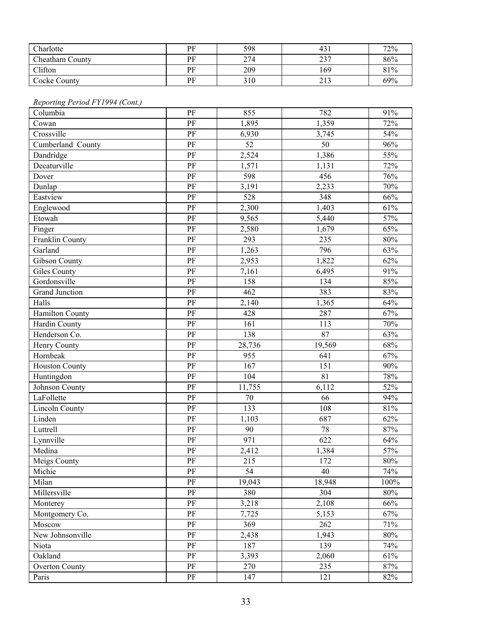| Charlotte              | PF | 598 | 431 | 72% |
|------------------------|----|-----|-----|-----|
| <b>Cheatham County</b> | PF | 274 | 237 | 86% |
| Clifton                | PF | 209 | 169 | 81% |
| Cocke County           | PF | 310 | 213 | 69% |

#### *Reporting Period FY1994 (Cont.)*

| Columbia              | PF       | 855    | 782    | 91%    |
|-----------------------|----------|--------|--------|--------|
| Cowan                 | PF       | 1,895  | 1,359  | 72%    |
| Crossville            | PF       | 6,930  | 3,745  | 54%    |
| Cumberland County     | PF       | 52     | 50     | 96%    |
| Dandridge             | $\rm PF$ | 2,524  | 1,386  | 55%    |
| Decaturville          | PF       | 1,571  | 1,131  | 72%    |
| Dover                 | PF       | 598    | 456    | 76%    |
| Dunlap                | PF       | 3,191  | 2,233  | 70%    |
| Eastview              | PF       | 528    | 348    | 66%    |
| Englewood             | PF       | 2,300  | 1,403  | 61%    |
| Etowah                | PF       | 9,565  | 5,440  | 57%    |
| Finger                | PF       | 2,580  | 1,679  | 65%    |
| Franklin County       | PF       | 293    | 235    | 80%    |
| Garland               | PF       | 1,263  | 796    | 63%    |
| <b>Gibson County</b>  | $\rm PF$ | 2,953  | 1,822  | 62%    |
| <b>Giles County</b>   | PF       | 7,161  | 6,495  | 91%    |
| Gordonsville          | PF       | 158    | 134    | 85%    |
| Grand Junction        | PF       | 462    | 383    | 83%    |
| Halls                 | PF       | 2,140  | 1,365  | 64%    |
| Hamilton County       | PF       | 428    | 287    | 67%    |
| Hardin County         | PF       | 161    | 113    | 70%    |
| Henderson Co.         | PF       | 138    | 87     | 63%    |
| Henry County          | PF       | 28,736 | 19,569 | 68%    |
| Hornbeak              | PF       | 955    | 641    | 67%    |
| <b>Houston County</b> | PF       | 167    | 151    | 90%    |
| Huntingdon            | $\rm PF$ | 104    | 81     | 78%    |
| Johnson County        | PF       | 11,755 | 6,112  | 52%    |
| LaFollette            | PF       | 70     | 66     | 94%    |
| <b>Lincoln County</b> | PF       | 133    | 108    | 81%    |
| Linden                | PF       | 1,103  | 687    | 62%    |
| Luttrell              | PF       | 90     | 78     | 87%    |
| Lynnville             | $\rm PF$ | 971    | 622    | 64%    |
| Medina                | PF       | 2,412  | 1,384  | 57%    |
| Meigs County          | PF       | 215    | 172    | $80\%$ |
| Michie                | PF       | 54     | 40     | 74%    |
| Milan                 | $\rm PF$ | 19,043 | 18,948 | 100%   |
| Millersville          | PF       | 380    | 304    | 80%    |
| Monterey              | PF       | 3,218  | 2,108  | 66%    |
| Montgomery Co.        | $\rm PF$ | 7,725  | 5,153  | 67%    |
| Moscow                | $\rm PF$ | 369    | 262    | 71%    |
| New Johnsonville      | PF       | 2,438  | 1,943  | $80\%$ |
| Niota                 | PF       | 187    | 139    | 74%    |
| Oakland               | PF       | 3,393  | 2,060  | 61%    |
| <b>Overton County</b> | PF       | 270    | 235    | 87%    |
| Paris                 | PF       | 147    | 121    | 82%    |
|                       |          |        |        |        |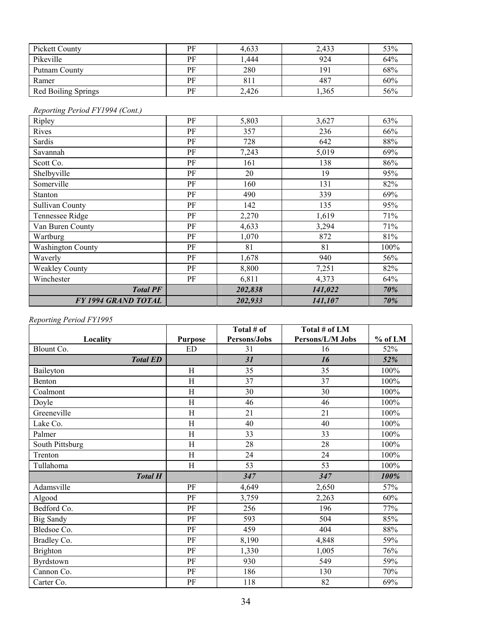| Pickett County      | PF | 4,633 | 2,433 | 53% |
|---------------------|----|-------|-------|-----|
| Pikeville           | PF | L.444 | 924   | 64% |
| Putnam County       | PF | 280   | 191   | 68% |
| Ramer               | PF | 811   | 487   | 60% |
| Red Boiling Springs | РF | 2,426 | .365  | 56% |

#### *Reporting Period FY1994 (Cont.)*

| Ripley                   | PF | 5,803   | 3,627   | 63%  |
|--------------------------|----|---------|---------|------|
| Rives                    | PF | 357     | 236     | 66%  |
| Sardis                   | PF | 728     | 642     | 88%  |
| Savannah                 | PF | 7,243   | 5,019   | 69%  |
| Scott Co.                | PF | 161     | 138     | 86%  |
| Shelbyville              | PF | 20      | 19      | 95%  |
| Somerville               | PF | 160     | 131     | 82%  |
| Stanton                  | PF | 490     | 339     | 69%  |
| <b>Sullivan County</b>   | PF | 142     | 135     | 95%  |
| Tennessee Ridge          | PF | 2,270   | 1,619   | 71%  |
| Van Buren County         | PF | 4,633   | 3,294   | 71%  |
| Wartburg                 | PF | 1,070   | 872     | 81%  |
| <b>Washington County</b> | PF | 81      | 81      | 100% |
| Waverly                  | PF | 1,678   | 940     | 56%  |
| <b>Weakley County</b>    | PF | 8,800   | 7,251   | 82%  |
| Winchester               | PF | 6,811   | 4,373   | 64%  |
| <b>Total PF</b>          |    | 202,838 | 141,022 | 70%  |
| FY 1994 GRAND TOTAL      |    | 202,933 | 141,107 | 70%  |

|                  |                | Total # of   | Total # of LM    |           |
|------------------|----------------|--------------|------------------|-----------|
| Locality         | <b>Purpose</b> | Persons/Jobs | Persons/L/M Jobs | $%$ of LM |
| Blount Co.       | <b>ED</b>      | 31           | 16               | 52%       |
| <b>Total ED</b>  |                | 31           | 16               | 52%       |
| Baileyton        | H              | 35           | 35               | 100%      |
| Benton           | H              | 37           | 37               | 100%      |
| Coalmont         | H              | 30           | 30               | 100%      |
| Doyle            | H              | 46           | 46               | 100%      |
| Greeneville      | H              | 21           | 21               | 100%      |
| Lake Co.         | H              | 40           | 40               | 100%      |
| Palmer           | H              | 33           | 33               | 100%      |
| South Pittsburg  | H              | 28           | 28               | 100%      |
| Trenton          | H              | 24           | 24               | 100%      |
| Tullahoma        | H              | 53           | 53               | 100%      |
| <b>Total H</b>   |                | 347          | 347              | 100%      |
| Adamsville       | PF             | 4,649        | 2,650            | 57%       |
| Algood           | PF             | 3,759        | 2,263            | 60%       |
| Bedford Co.      | PF             | 256          | 196              | 77%       |
| <b>Big Sandy</b> | PF             | 593          | 504              | 85%       |
| Bledsoe Co.      | PF             | 459          | 404              | 88%       |
| Bradley Co.      | PF             | 8,190        | 4,848            | 59%       |
| <b>Brighton</b>  | PF             | 1,330        | 1,005            | 76%       |
| Byrdstown        | PF             | 930          | 549              | 59%       |
| Cannon Co.       | PF             | 186          | 130              | 70%       |
| Carter Co.       | PF             | 118          | 82               | 69%       |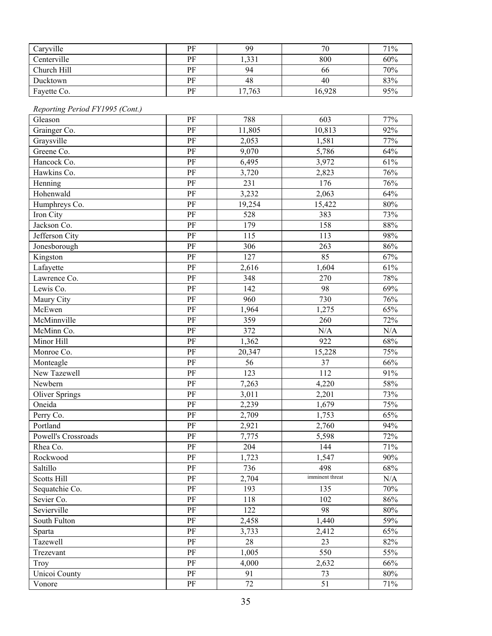| Caryville   | PF | 99     | 70     | 71% |
|-------------|----|--------|--------|-----|
| Centerville | РF | 1,331  | 800    | 60% |
| Church Hill | PF | 94     | 66     | 70% |
| Ducktown    | PF | 48     | 40     | 83% |
| Fayette Co. | PF | 17,763 | 16,928 | 95% |

#### *Reporting Period FY1995 (Cont.)*

| Gleason               | PF       | 788    | 603             | 77% |
|-----------------------|----------|--------|-----------------|-----|
| Grainger Co.          | PF       | 11,805 | 10,813          | 92% |
| Graysville            | PF       | 2,053  | 1,581           | 77% |
| Greene Co.            | PF       | 9,070  | 5,786           | 64% |
| Hancock Co.           | $\rm PF$ | 6,495  | 3,972           | 61% |
| Hawkins Co.           | PF       | 3,720  | 2,823           | 76% |
| Henning               | PF       | 231    | 176             | 76% |
| Hohenwald             | PF       | 3,232  | 2,063           | 64% |
| Humphreys Co.         | PF       | 19,254 | 15,422          | 80% |
| Iron City             | PF       | 528    | 383             | 73% |
| Jackson Co.           | PF       | 179    | 158             | 88% |
| Jefferson City        | PF       | 115    | 113             | 98% |
| Jonesborough          | PF       | 306    | 263             | 86% |
| Kingston              | PF       | 127    | 85              | 67% |
| Lafayette             | PF       | 2,616  | 1,604           | 61% |
| Lawrence Co.          | PF       | 348    | 270             | 78% |
| Lewis Co.             | PF       | 142    | 98              | 69% |
| Maury City            | PF       | 960    | 730             | 76% |
| McEwen                | PF       | 1,964  | 1,275           | 65% |
| McMinnville           | PF       | 359    | 260             | 72% |
| McMinn Co.            | PF       | 372    | N/A             | N/A |
| Minor Hill            | PF       | 1,362  | 922             | 68% |
| Monroe Co.            | PF       | 20,347 | 15,228          | 75% |
| Monteagle             | PF       | 56     | 37              | 66% |
| New Tazewell          | PF       | 123    | 112             | 91% |
| Newbern               | PF       | 7,263  | 4,220           | 58% |
| <b>Oliver Springs</b> | PF       | 3,011  | 2,201           | 73% |
| Oneida                | PF       | 2,239  | 1,679           | 75% |
| Perry Co.             | PF       | 2,709  | 1,753           | 65% |
| Portland              | PF       | 2,921  | 2,760           | 94% |
| Powell's Crossroads   | PF       | 7,775  | 5,598           | 72% |
| Rhea Co.              | PF       | 204    | 144             | 71% |
| Rockwood              | PF       | 1,723  | 1,547           | 90% |
| Saltillo              | PF       | 736    | 498             | 68% |
| Scotts Hill           | PF       | 2,704  | imminent threat | N/A |
| Sequatchie Co.        | $\rm PF$ | 193    | 135             | 70% |
| Sevier Co.            | $\rm PF$ | 118    | 102             | 86% |
| Sevierville           | $\rm PF$ | 122    | 98              | 80% |
| South Fulton          | PF       | 2,458  | 1,440           | 59% |
| Sparta                | $\rm PF$ | 3,733  | 2,412           | 65% |
| Tazewell              | PF       | 28     | 23              | 82% |
| Trezevant             | PF       | 1,005  | 550             | 55% |
| Troy                  | PF       | 4,000  | 2,632           | 66% |
| <b>Unicoi County</b>  | PF       | 91     | 73              | 80% |
| Vonore                | PF       | 72     | 51              | 71% |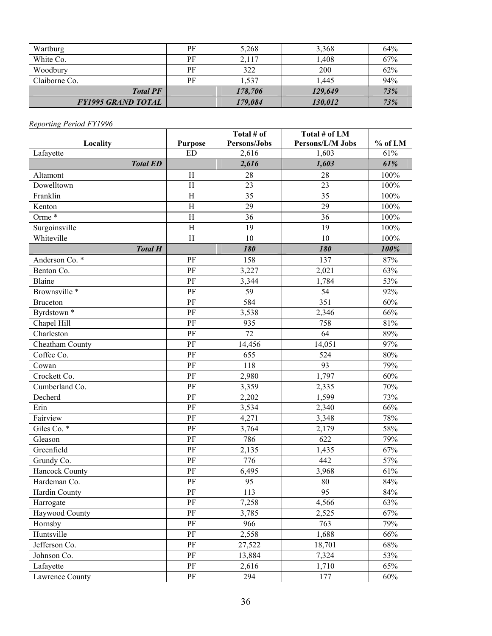| Wartburg                  | РF | 5,268   | 3,368   | 64% |
|---------------------------|----|---------|---------|-----|
| White Co.                 | PF | 2,117   | l,408   | 67% |
| Woodbury                  | PF | 322     | 200     | 62% |
| Claiborne Co.             | PF | 1,537   | 1,445   | 94% |
| <b>Total PF</b>           |    | 178,706 | 129,649 | 73% |
| <b>FY1995 GRAND TOTAL</b> |    | 179,084 | 130,012 | 73% |

|                          |                           | Total # of   | Total # of LM    |         |
|--------------------------|---------------------------|--------------|------------------|---------|
| Locality                 | <b>Purpose</b>            | Persons/Jobs | Persons/L/M Jobs | % of LM |
| Lafayette                | <b>ED</b>                 | 2,616        | 1,603            | 61%     |
| <b>Total ED</b>          |                           | 2,616        | 1,603            | 61%     |
| Altamont                 | $\boldsymbol{\mathrm{H}}$ | 28           | 28               | 100%    |
| Dowelltown               | H                         | 23           | 23               | 100%    |
| Franklin                 | $\rm H$                   | 35           | 35               | 100%    |
| Kenton                   | H                         | 29           | 29               | 100%    |
| Orme <sup>*</sup>        | $\rm H$                   | 36           | 36               | 100%    |
| Surgoinsville            | $\rm H$                   | 19           | 19               | 100%    |
| Whiteville               | $\rm H$                   | 10           | 10               | 100%    |
| <b>Total H</b>           |                           | 180          | 180              | 100%    |
| Anderson Co. *           | PF                        | 158          | 137              | 87%     |
| Benton Co.               | PF                        | 3,227        | 2,021            | 63%     |
| <b>Blaine</b>            | PF                        | 3,344        | 1,784            | 53%     |
| Brownsville <sup>*</sup> | PF                        | 59           | 54               | 92%     |
| <b>Bruceton</b>          | PF                        | 584          | 351              | 60%     |
| Byrdstown *              | PF                        | 3,538        | 2,346            | 66%     |
| Chapel Hill              | PF                        | 935          | 758              | 81%     |
| Charleston               | PF                        | 72           | 64               | 89%     |
| Cheatham County          | PF                        | 14,456       | 14,051           | 97%     |
| Coffee Co.               | PF                        | 655          | 524              | 80%     |
| Cowan                    | PF                        | 118          | 93               | 79%     |
| Crockett Co.             | $\rm PF$                  | 2,980        | 1,797            | 60%     |
| Cumberland Co.           | PF                        | 3,359        | 2,335            | 70%     |
| Decherd                  | PF                        | 2,202        | 1,599            | 73%     |
| Erin                     | PF                        | 3,534        | 2,340            | 66%     |
| Fairview                 | PF                        | 4,271        | 3,348            | 78%     |
| Giles Co. *              | PF                        | 3,764        | 2,179            | 58%     |
| Gleason                  | PF                        | 786          | 622              | 79%     |
| Greenfield               | PF                        | 2,135        | 1,435            | 67%     |
| Grundy Co.               | PF                        | 776          | 442              | 57%     |
| Hancock County           | PF                        | 6,495        | 3,968            | 61%     |
| Hardeman Co.             | PF                        | 95           | 80               | 84%     |
| Hardin County            | PF                        | 113          | 95               | 84%     |
| Harrogate                | PF                        | 7,258        | 4,566            | 63%     |
| Haywood County           | PF                        | 3,785        | 2,525            | 67%     |
| Hornsby                  | $\rm PF$                  | 966          | 763              | 79%     |
| Huntsville               | PF                        | 2,558        | 1,688            | 66%     |
| Jefferson Co.            | PF                        | 27,522       | 18,701           | 68%     |
| Johnson Co.              | $\rm PF$                  | 13,884       | 7,324            | 53%     |
| Lafayette                | $\rm PF$                  | 2,616        | 1,710            | 65%     |
| Lawrence County          | PF                        | 294          | 177              | 60%     |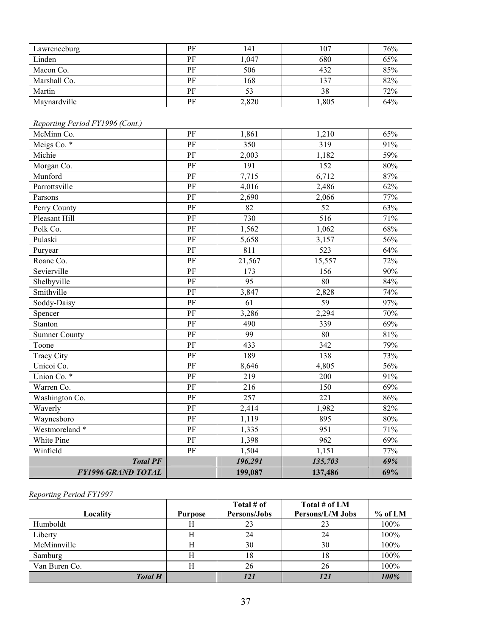| Lawrenceburg | PF | 141   | 107  | 76% |
|--------------|----|-------|------|-----|
| Linden       | PF | 1,047 | 680  | 65% |
| Macon Co.    | PF | 506   | 432  | 85% |
| Marshall Co. | PF | 168   | 137  | 82% |
| Martin       | PF |       | 38   | 72% |
| Maynardville | PF | 2,820 | ,805 | 64% |

# *Reporting Period FY1996 (Cont.)*

| McMinn Co.                | PF              | 1,861   | 1,210            | 65% |
|---------------------------|-----------------|---------|------------------|-----|
| Meigs Co. *               | $\rm PF$        | 350     | 319              | 91% |
| Michie                    | $\rm PF$        | 2,003   | 1,182            | 59% |
| Morgan Co.                | $\rm PF$        | 191     | 152              | 80% |
| Munford                   | PF              | 7,715   | 6,712            | 87% |
| Parrottsville             | $\rm PF$        | 4,016   | 2,486            | 62% |
| Parsons                   | $\rm PF$        | 2,690   | 2,066            | 77% |
| Perry County              | $\rm PF$        | 82      | $\overline{52}$  | 63% |
| Pleasant Hill             | $\rm PF$        | 730     | 516              | 71% |
| Polk Co.                  | PF              | 1,562   | 1,062            | 68% |
| Pulaski                   | PF              | 5,658   | 3,157            | 56% |
| Puryear                   | $\rm PF$        | 811     | 523              | 64% |
| Roane Co.                 | PF              | 21,567  | 15,557           | 72% |
| Sevierville               | PF              | 173     | 156              | 90% |
| Shelbyville               | $\rm PF$        | 95      | 80               | 84% |
| Smithville                | $\rm PF$        | 3,847   | 2,828            | 74% |
| Soddy-Daisy               | PF              | 61      | 59               | 97% |
| Spencer                   | $\rm PF$        | 3,286   | 2,294            | 70% |
| Stanton                   | PF              | 490     | 339              | 69% |
| <b>Sumner County</b>      | PF              | 99      | 80               | 81% |
| Toone                     | PF              | 433     | $\overline{342}$ | 79% |
| <b>Tracy City</b>         | PF              | 189     | 138              | 73% |
| Unicoi Co.                | PF              | 8,646   | 4,805            | 56% |
| Union Co. *               | PF              | 219     | 200              | 91% |
| Warren Co.                | $\rm PF$        | 216     | 150              | 69% |
| Washington Co.            | PF              | 257     | 221              | 86% |
| Waverly                   | $\rm PF$        | 2,414   | 1,982            | 82% |
| Waynesboro                | $\rm PF$        | 1,119   | 895              | 80% |
| Westmoreland *            | $\rm PF$        | 1,335   | 951              | 71% |
| White Pine                | $\overline{PF}$ | 1,398   | 962              | 69% |
| Winfield                  | PF              | 1,504   | 1,151            | 77% |
| <b>Total PF</b>           |                 | 196,291 | 135,703          | 69% |
| <b>FY1996 GRAND TOTAL</b> |                 | 199,087 | 137,486          | 69% |

#### *Reporting Period FY1997*

|                |         | Total # of   | Total # of LM    |           |
|----------------|---------|--------------|------------------|-----------|
| Locality       | Purpose | Persons/Jobs | Persons/L/M Jobs | $%$ of LM |
| Humboldt       | Н       | 23           | 23               | 100%      |
| Liberty        |         | 24           | 24               | 100%      |
| McMinnville    |         | 30           | 30               | 100%      |
| Samburg        |         | 18           | 18               | 100%      |
| Van Buren Co.  |         | 26           | 26               | 100%      |
| <b>Total H</b> |         | 121          | 121              | 100%      |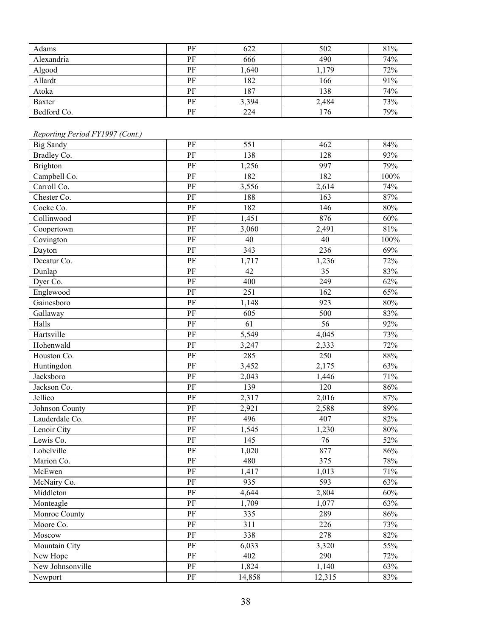| Adams         | PF | 622   | 502   | 81% |
|---------------|----|-------|-------|-----|
| Alexandria    | PF | 666   | 490   | 74% |
| Algood        | PF | 1,640 | 1,179 | 72% |
| Allardt       | PF | 182   | 166   | 91% |
| Atoka         | PF | 187   | 138   | 74% |
| <b>Baxter</b> | PF | 3,394 | 2,484 | 73% |
| Bedford Co.   | PF | 224   | 176   | 79% |

### *Reporting Period FY1997 (Cont.)*

| Reporting Period P1199/ (Cont.) |          |        |        |         |
|---------------------------------|----------|--------|--------|---------|
| <b>Big Sandy</b>                | $\rm PF$ | 551    | 462    | 84%     |
| Bradley Co.                     | $\rm PF$ | 138    | 128    | 93%     |
| Brighton                        | PF       | 1,256  | 997    | 79%     |
| Campbell Co.                    | PF       | 182    | 182    | $100\%$ |
| Carroll Co.                     | $\rm PF$ | 3,556  | 2,614  | 74%     |
| Chester Co.                     | $\rm PF$ | 188    | 163    | 87%     |
| Cocke Co.                       | $\rm PF$ | 182    | 146    | $80\%$  |
| Collinwood                      | $\rm PF$ | 1,451  | 876    | 60%     |
| Coopertown                      | $\rm PF$ | 3,060  | 2,491  | 81%     |
| Covington                       | $\rm PF$ | 40     | 40     | $100\%$ |
| Dayton                          | $\rm PF$ | 343    | 236    | 69%     |
| Decatur Co.                     | PF       | 1,717  | 1,236  | 72%     |
| Dunlap                          | $\rm PF$ | 42     | 35     | 83%     |
| Dyer Co.                        | PF       | 400    | 249    | 62%     |
| Englewood                       | $\rm PF$ | 251    | 162    | 65%     |
| Gainesboro                      | $\rm PF$ | 1,148  | 923    | $80\%$  |
| Gallaway                        | $\rm PF$ | 605    | 500    | 83%     |
| Halls                           | $\rm PF$ | 61     | 56     | 92%     |
| Hartsville                      | $\rm PF$ | 5,549  | 4,045  | 73%     |
| Hohenwald                       | PF       | 3,247  | 2,333  | 72%     |
| Houston Co.                     | $\rm PF$ | 285    | 250    | $88\%$  |
| Huntingdon                      | $\rm PF$ | 3,452  | 2,175  | 63%     |
| Jacksboro                       | $\rm PF$ | 2,043  | 1,446  | 71%     |
| Jackson Co.                     | PF       | 139    | 120    | 86%     |
| Jellico                         | $\rm PF$ | 2,317  | 2,016  | 87%     |
| Johnson County                  | $\rm PF$ | 2,921  | 2,588  | 89%     |
| Lauderdale Co.                  | $\rm PF$ | 496    | 407    | 82%     |
| Lenoir City                     | $\rm PF$ | 1,545  | 1,230  | $80\%$  |
| Lewis Co.                       | $\rm PF$ | 145    | 76     | 52%     |
| Lobelville                      | $\rm PF$ | 1,020  | 877    | 86%     |
| Marion Co.                      | $\rm PF$ | 480    | 375    | 78%     |
| McEwen                          | $\rm PF$ | 1,417  | 1,013  | 71%     |
| McNairy Co.                     | PF       | 935    | 593    | 63%     |
| Middleton                       | PF       | 4,644  | 2,804  | 60%     |
| Monteagle                       | $\rm PF$ | 1,709  | 1,077  | 63%     |
| Monroe County                   | PF       | 335    | 289    | 86%     |
| Moore Co.                       | $\rm PF$ | 311    | 226    | 73%     |
| Moscow                          | PF       | 338    | 278    | 82%     |
| Mountain City                   | PF       | 6,033  | 3,320  | 55%     |
| New Hope                        | $\rm PF$ | 402    | 290    | 72%     |
| New Johnsonville                | $\rm PF$ | 1,824  | 1,140  | 63%     |
| Newport                         | PF       | 14,858 | 12,315 | 83%     |
|                                 |          |        |        |         |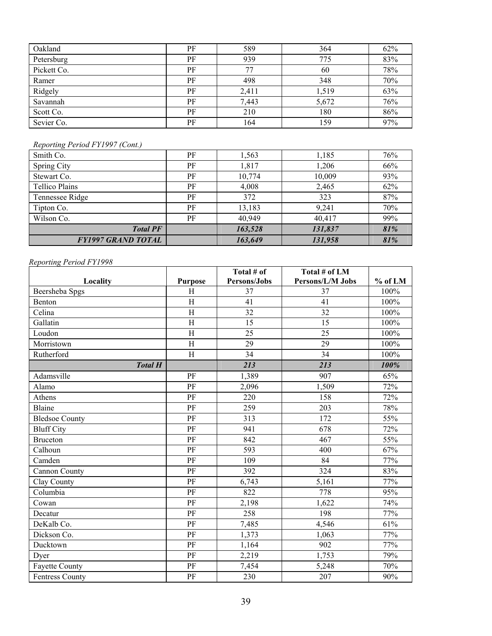| Oakland     | PF | 589   | 364   | 62% |
|-------------|----|-------|-------|-----|
| Petersburg  | PF | 939   | 775   | 83% |
| Pickett Co. | PF | 77    | 60    | 78% |
| Ramer       | PF | 498   | 348   | 70% |
| Ridgely     | PF | 2,411 | 1,519 | 63% |
| Savannah    | PF | 7,443 | 5,672 | 76% |
| Scott Co.   | PF | 210   | 180   | 86% |
| Sevier Co.  | PF | 164   | 159   | 97% |

### *Reporting Period FY1997 (Cont.)*

| Smith Co.                 | PF | 1,563   | 1,185   | 76% |
|---------------------------|----|---------|---------|-----|
| Spring City               | PF | 1,817   | 1,206   | 66% |
| Stewart Co.               | PF | 10,774  | 10,009  | 93% |
| <b>Tellico Plains</b>     | PF | 4,008   | 2,465   | 62% |
| Tennessee Ridge           | PF | 372     | 323     | 87% |
| Tipton Co.                | PF | 13,183  | 9,241   | 70% |
| Wilson Co.                | PF | 40,949  | 40,417  | 99% |
| <b>Total PF</b>           |    | 163,528 | 131,837 | 81% |
| <b>FY1997 GRAND TOTAL</b> |    | 163,649 | 131,958 | 81% |

### *Reporting Period FY1998*

|                        |                        | Total # of   | Total # of LM    |         |
|------------------------|------------------------|--------------|------------------|---------|
| Locality               | <b>Purpose</b>         | Persons/Jobs | Persons/L/M Jobs | % of LM |
| Beersheba Spgs         | H                      | 37           | 37               | 100%    |
| Benton                 | H                      | 41           | 41               | 100%    |
| Celina                 | H                      | 32           | 32               | 100%    |
| Gallatin               | H                      | 15           | 15               | 100%    |
| Loudon                 | H                      | 25           | 25               | 100%    |
| Morristown             | H                      | 29           | 29               | 100%    |
| Rutherford             | H                      | 34           | 34               | 100%    |
| <b>Total H</b>         |                        | 213          | 213              | 100%    |
| Adamsville             | PF                     | 1,389        | 907              | 65%     |
| Alamo                  | PF                     | 2,096        | 1,509            | 72%     |
| Athens                 | PF                     | 220          | 158              | 72%     |
| Blaine                 | PF                     | 259          | 203              | 78%     |
| <b>Bledsoe County</b>  | PF                     | 313          | 172              | 55%     |
| <b>Bluff City</b>      | PF                     | 941          | 678              | 72%     |
| <b>Bruceton</b>        | PF                     | 842          | 467              | 55%     |
| Calhoun                | PF                     | 593          | 400              | 67%     |
| Camden                 | PF                     | 109          | 84               | 77%     |
| <b>Cannon County</b>   | PF                     | 392          | 324              | 83%     |
| Clay County            | PF                     | 6,743        | 5,161            | 77%     |
| Columbia               | PF                     | 822          | 778              | 95%     |
| Cowan                  | $\overline{\text{PF}}$ | 2,198        | 1,622            | 74%     |
| Decatur                | PF                     | 258          | 198              | 77%     |
| DeKalb Co.             | PF                     | 7,485        | 4,546            | 61%     |
| Dickson Co.            | PF                     | 1,373        | 1,063            | 77%     |
| Ducktown               | PF                     | 1,164        | 902              | 77%     |
| Dyer                   | PF                     | 2,219        | 1,753            | 79%     |
| <b>Fayette County</b>  | PF                     | 7,454        | 5,248            | 70%     |
| <b>Fentress County</b> | PF                     | 230          | 207              | 90%     |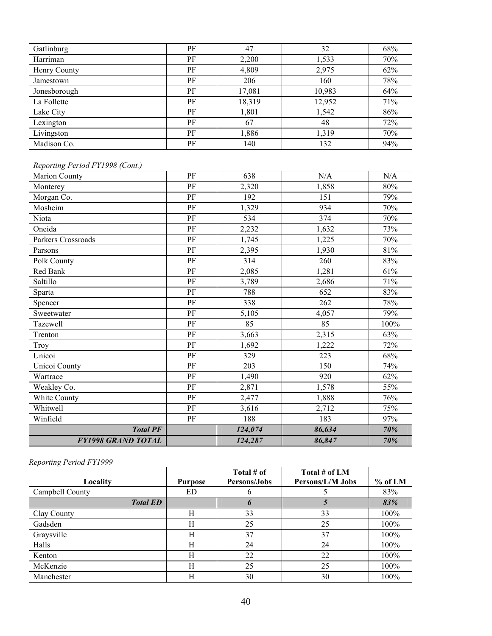| Gatlinburg   | PF | 47     | 32     | 68% |
|--------------|----|--------|--------|-----|
| Harriman     | PF | 2,200  | 1,533  | 70% |
| Henry County | PF | 4,809  | 2,975  | 62% |
| Jamestown    | PF | 206    | 160    | 78% |
| Jonesborough | PF | 17,081 | 10,983 | 64% |
| La Follette  | PF | 18,319 | 12,952 | 71% |
| Lake City    | PF | 1,801  | 1,542  | 86% |
| Lexington    | PF | 67     | 48     | 72% |
| Livingston   | PF | 1,886  | 1,319  | 70% |
| Madison Co.  | PF | 140    | 132    | 94% |

### *Reporting Period FY1998 (Cont.)*

| <b>Marion County</b>      | PF       | 638     | N/A    | N/A    |
|---------------------------|----------|---------|--------|--------|
| Monterey                  | PF       | 2,320   | 1,858  | 80%    |
| Morgan Co.                | PF       | 192     | 151    | 79%    |
| Mosheim                   | PF       | 1,329   | 934    | 70%    |
| Niota                     | PF       | 534     | 374    | 70%    |
| Oneida                    | PF       | 2,232   | 1,632  | 73%    |
| Parkers Crossroads        | $\rm PF$ | 1,745   | 1,225  | 70%    |
| Parsons                   | PF       | 2,395   | 1,930  | $81\%$ |
| Polk County               | PF       | 314     | 260    | 83%    |
| Red Bank                  | PF       | 2,085   | 1,281  | 61%    |
| Saltillo                  | PF       | 3,789   | 2,686  | 71%    |
| Sparta                    | PF       | 788     | 652    | 83%    |
| Spencer                   | PF       | 338     | 262    | 78%    |
| Sweetwater                | PF       | 5,105   | 4,057  | 79%    |
| Tazewell                  | $\rm PF$ | 85      | 85     | 100%   |
| Trenton                   | PF       | 3,663   | 2,315  | 63%    |
| Troy                      | PF       | 1,692   | 1,222  | 72%    |
| Unicoi                    | PF       | 329     | 223    | 68%    |
| <b>Unicoi County</b>      | PF       | 203     | 150    | 74%    |
| Wartrace                  | PF       | 1,490   | 920    | 62%    |
| Weakley Co.               | PF       | 2,871   | 1,578  | 55%    |
| White County              | PF       | 2,477   | 1,888  | 76%    |
| Whitwell                  | PF       | 3,616   | 2,712  | 75%    |
| Winfield                  | PF       | 188     | 183    | 97%    |
| <b>Total PF</b>           |          | 124,074 | 86,634 | 70%    |
| <b>FY1998 GRAND TOTAL</b> |          | 124,287 | 86,847 | 70%    |

#### *Reporting Period FY1999*

| $\sim$          |                | Total # of   | Total # of LM    |         |
|-----------------|----------------|--------------|------------------|---------|
| Locality        | <b>Purpose</b> | Persons/Jobs | Persons/L/M Jobs | % of LM |
| Campbell County | ED             |              |                  | 83%     |
| <b>Total ED</b> |                | $\mathbf b$  |                  | 83%     |
| Clay County     | H              | 33           | 33               | 100%    |
| Gadsden         | Н              | 25           | 25               | $100\%$ |
| Graysville      | H              | 37           | 37               | 100%    |
| Halls           | H              | 24           | 24               | 100%    |
| Kenton          | H              | 22           | 22               | 100%    |
| McKenzie        | H              | 25           | 25               | 100%    |
| Manchester      | H              | 30           | 30               | $100\%$ |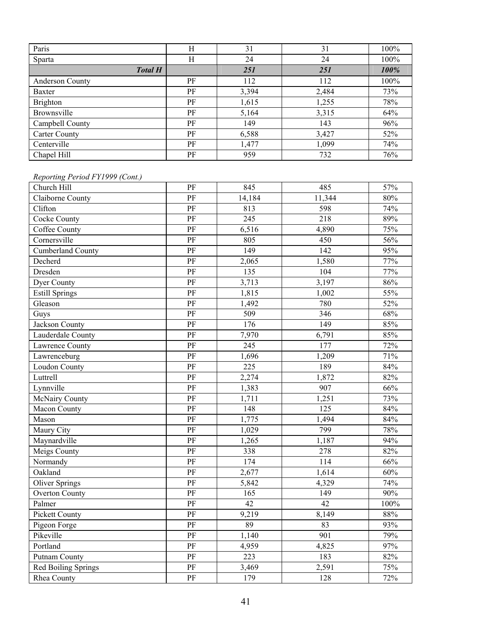| Paris                  | Н  | 31    | 31    | 100% |
|------------------------|----|-------|-------|------|
| <b>Sparta</b>          | Н  | 24    | 24    | 100% |
| <b>Total H</b>         |    | 251   | 251   | 100% |
| <b>Anderson County</b> | PF | 112   | 112   | 100% |
| Baxter                 | PF | 3,394 | 2,484 | 73%  |
| Brighton               | PF | 1,615 | 1,255 | 78%  |
| Brownsville            | PF | 5,164 | 3,315 | 64%  |
| Campbell County        | PF | 149   | 143   | 96%  |
| <b>Carter County</b>   | PF | 6,588 | 3,427 | 52%  |
| Centerville            | PF | 1,477 | 1,099 | 74%  |
| Chapel Hill            | PF | 959   | 732   | 76%  |

# *Reporting Period FY1999 (Cont.)*

| Reporting Period FY1999 (Cont.) |                        |                  |                  |      |
|---------------------------------|------------------------|------------------|------------------|------|
| Church Hill                     | PF                     | 845              | 485              | 57%  |
| Claiborne County                | PF                     | 14,184           | 11,344           | 80%  |
| Clifton                         | PF                     | 813              | 598              | 74%  |
| Cocke County                    | $\overline{\text{PF}}$ | 245              | 218              | 89%  |
| Coffee County                   | $\overline{PF}$        | 6,516            | 4,890            | 75%  |
| Cornersville                    | PF                     | 805              | 450              | 56%  |
| <b>Cumberland County</b>        | $\overline{\text{PF}}$ | 149              | $\overline{142}$ | 95%  |
| Decherd                         | PF                     | 2,065            | 1,580            | 77%  |
| Dresden                         | PF                     | 135              | 104              | 77%  |
| <b>Dyer County</b>              | PF                     | 3,713            | 3,197            | 86%  |
| <b>Estill Springs</b>           | PF                     | 1,815            | 1,002            | 55%  |
| Gleason                         | PF                     | 1,492            | 780              | 52%  |
| Guys                            | PF                     | 509              | 346              | 68%  |
| Jackson County                  | $\rm PF$               | 176              | 149              | 85%  |
| Lauderdale County               | $\rm PF$               | 7,970            | 6,791            | 85%  |
| <b>Lawrence County</b>          | $\rm PF$               | 245              | 177              | 72%  |
| Lawrenceburg                    | PF                     | 1,696            | 1,209            | 71%  |
| <b>Loudon County</b>            | $\overline{\text{PF}}$ | 225              | 189              | 84%  |
| Luttrell                        | $\overline{\text{PF}}$ | 2,274            | 1,872            | 82%  |
| Lynnville                       | $\overline{PF}$        | 1,383            | 907              | 66%  |
| McNairy County                  | PF                     | 1,711            | 1,251            | 73%  |
| Macon County                    | $\overline{\text{PF}}$ | 148              | $\overline{125}$ | 84%  |
| Mason                           | PF                     | 1,775            | 1,494            | 84%  |
| Maury City                      | PF                     | 1,029            | 799              | 78%  |
| Maynardville                    | PF                     | 1,265            | 1,187            | 94%  |
| Meigs County                    | $\overline{\text{PF}}$ | 338              | 278              | 82%  |
| Normandy                        | PF                     | $\overline{174}$ | 114              | 66%  |
| Oakland                         | PF                     | 2,677            | 1,614            | 60%  |
| <b>Oliver Springs</b>           | PF                     | 5,842            | 4,329            | 74%  |
| <b>Overton County</b>           | PF                     | 165              | 149              | 90%  |
| Palmer                          | PF                     | $\overline{42}$  | 42               | 100% |
| <b>Pickett County</b>           | PF                     | 9,219            | 8,149            | 88%  |
| Pigeon Forge                    | $\overline{\text{PF}}$ | $\overline{89}$  | 83               | 93%  |
| Pikeville                       | PF                     | 1,140            | 901              | 79%  |
| Portland                        | PF                     | 4,959            | 4,825            | 97%  |
| <b>Putnam County</b>            | PF                     | 223              | 183              | 82%  |
| <b>Red Boiling Springs</b>      | PF                     | 3,469            | 2,591            | 75%  |
| Rhea County                     | PF                     | 179              | 128              | 72%  |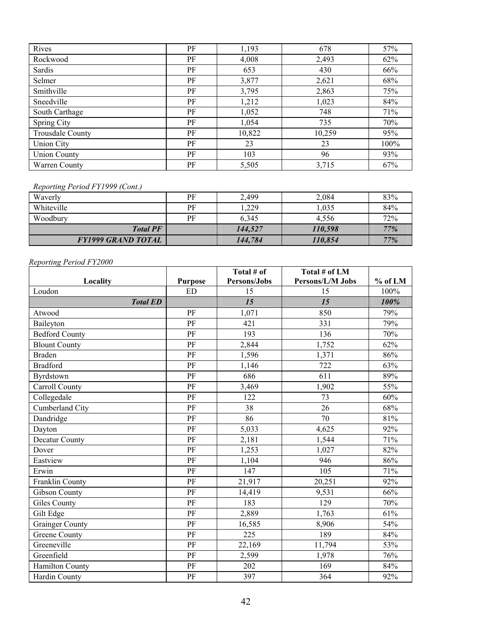| Rives                   | PF | 1,193  | 678    | 57%     |
|-------------------------|----|--------|--------|---------|
| Rockwood                | PF | 4,008  | 2,493  | 62%     |
| Sardis                  | PF | 653    | 430    | 66%     |
| Selmer                  | PF | 3,877  | 2,621  | 68%     |
| Smithville              | PF | 3,795  | 2,863  | 75%     |
| Sneedville              | PF | 1,212  | 1,023  | 84%     |
| South Carthage          | PF | 1,052  | 748    | 71%     |
| Spring City             | PF | 1,054  | 735    | 70%     |
| <b>Trousdale County</b> | PF | 10,822 | 10,259 | 95%     |
| Union City              | PF | 23     | 23     | $100\%$ |
| <b>Union County</b>     | PF | 103    | 96     | 93%     |
| Warren County           | PF | 5,505  | 3,715  | 67%     |

#### *Reporting Period FY1999 (Cont.)*

| Waverly                   | PF | 2,499   | 2,084   | 83% |
|---------------------------|----|---------|---------|-----|
| Whiteville                | PF | .229    | 1,035   | 84% |
| Woodbury                  | PF | 6.345   | 4.556   | 72% |
| <b>Total PF</b>           |    | 144.527 | 110,598 | 77% |
| <b>FY1999 GRAND TOTAL</b> |    | 144,784 | 110,854 | 77% |

#### *Reporting Period FY2000*

|                        |                | Total # of   | Total # of LM    |           |
|------------------------|----------------|--------------|------------------|-----------|
| Locality               | <b>Purpose</b> | Persons/Jobs | Persons/L/M Jobs | $%$ of LM |
| Loudon                 | <b>ED</b>      | 15           | 15               | 100%      |
| <b>Total ED</b>        |                | 15           | 15               | 100%      |
| Atwood                 | PF             | 1,071        | 850              | 79%       |
| Baileyton              | PF             | 421          | 331              | 79%       |
| <b>Bedford County</b>  | PF             | 193          | 136              | 70%       |
| <b>Blount County</b>   | PF             | 2,844        | 1,752            | 62%       |
| <b>Braden</b>          | PF             | 1,596        | 1,371            | 86%       |
| <b>Bradford</b>        | PF             | 1,146        | 722              | 63%       |
| Byrdstown              | PF             | 686          | 611              | 89%       |
| <b>Carroll County</b>  | PF             | 3,469        | 1,902            | 55%       |
| Collegedale            | PF             | 122          | 73               | 60%       |
| Cumberland City        | PF             | 38           | 26               | 68%       |
| Dandridge              | PF             | 86           | 70               | 81%       |
| Dayton                 | PF             | 5,033        | 4,625            | 92%       |
| Decatur County         | PF             | 2,181        | 1,544            | 71%       |
| Dover                  | PF             | 1,253        | 1,027            | 82%       |
| Eastview               | PF             | 1,104        | 946              | 86%       |
| Erwin                  | PF             | 147          | 105              | 71%       |
| Franklin County        | PF             | 21,917       | 20,251           | 92%       |
| <b>Gibson County</b>   | PF             | 14,419       | 9,531            | 66%       |
| <b>Giles County</b>    | PF             | 183          | 129              | 70%       |
| Gilt Edge              | PF             | 2,889        | 1,763            | 61%       |
| <b>Grainger County</b> | PF             | 16,585       | 8,906            | 54%       |
| <b>Greene County</b>   | PF             | 225          | 189              | 84%       |
| Greeneville            | PF             | 22,169       | 11,794           | 53%       |
| Greenfield             | PF             | 2,599        | 1,978            | 76%       |
| Hamilton County        | PF             | 202          | 169              | 84%       |
| <b>Hardin County</b>   | PF             | 397          | 364              | 92%       |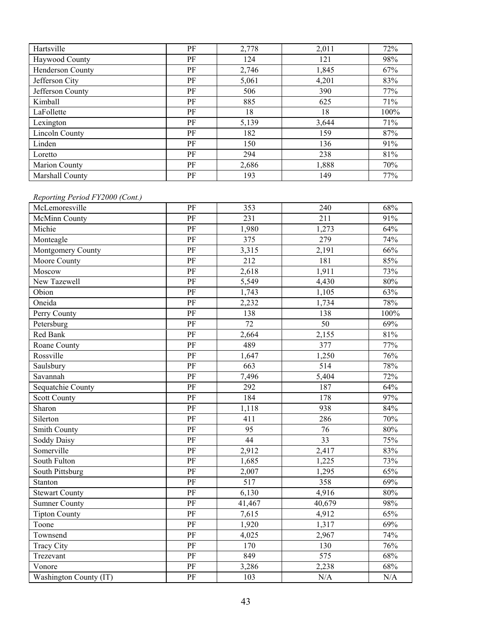| Hartsville            | PF | 2,778 | 2,011 | 72%  |
|-----------------------|----|-------|-------|------|
| Haywood County        | PF | 124   | 121   | 98%  |
| Henderson County      | PF | 2,746 | 1,845 | 67%  |
| Jefferson City        | PF | 5,061 | 4,201 | 83%  |
| Jefferson County      | PF | 506   | 390   | 77%  |
| Kimball               | PF | 885   | 625   | 71%  |
| LaFollette            | PF | 18    | 18    | 100% |
| Lexington             | PF | 5,139 | 3,644 | 71%  |
| <b>Lincoln County</b> | PF | 182   | 159   | 87%  |
| Linden                | PF | 150   | 136   | 91%  |
| Loretto               | PF | 294   | 238   | 81%  |
| Marion County         | PF | 2,686 | 1,888 | 70%  |
| Marshall County       | PF | 193   | 149   | 77%  |

#### *Reporting Period FY2000 (Cont.)*

| 1.1                    |                        |                 |        |      |
|------------------------|------------------------|-----------------|--------|------|
| McLemoresville         | PF                     | 353             | 240    | 68%  |
| McMinn County          | PF                     | 231             | 211    | 91%  |
| Michie                 | $\overline{\text{PF}}$ | 1,980           | 1,273  | 64%  |
| Monteagle              | PF                     | 375             | 279    | 74%  |
| Montgomery County      | PF                     | 3,315           | 2,191  | 66%  |
| Moore County           | PF                     | 212             | 181    | 85%  |
| Moscow                 | PF                     | 2,618           | 1,911  | 73%  |
| New Tazewell           | $\rm PF$               | 5,549           | 4,430  | 80%  |
| Obion                  | PF                     | 1,743           | 1,105  | 63%  |
| Oneida                 | PF                     | 2,232           | 1,734  | 78%  |
| Perry County           | PF                     | 138             | 138    | 100% |
| Petersburg             | PF                     | 72              | 50     | 69%  |
| Red Bank               | $\rm PF$               | 2,664           | 2,155  | 81%  |
| Roane County           | PF                     | 489             | 377    | 77%  |
| Rossville              | PF                     | 1,647           | 1,250  | 76%  |
| Saulsbury              | PF                     | 663             | 514    | 78%  |
| Savannah               | PF                     | 7,496           | 5,404  | 72%  |
| Sequatchie County      | PF                     | 292             | 187    | 64%  |
| <b>Scott County</b>    | PF                     | 184             | 178    | 97%  |
| Sharon                 | PF                     | 1,118           | 938    | 84%  |
| Silerton               | PF                     | 411             | 286    | 70%  |
| Smith County           | $\rm PF$               | 95              | 76     | 80%  |
| Soddy Daisy            | PF                     | $\overline{44}$ | 33     | 75%  |
| Somerville             | $\rm PF$               | 2,912           | 2,417  | 83%  |
| South Fulton           | $\rm PF$               | 1,685           | 1,225  | 73%  |
| South Pittsburg        | $\rm PF$               | 2,007           | 1,295  | 65%  |
| Stanton                | $\rm PF$               | 517             | 358    | 69%  |
| <b>Stewart County</b>  | $\rm PF$               | 6,130           | 4,916  | 80%  |
| <b>Sumner County</b>   | $\rm PF$               | 41,467          | 40,679 | 98%  |
| <b>Tipton County</b>   | PF                     | 7,615           | 4,912  | 65%  |
| Toone                  | PF                     | 1,920           | 1,317  | 69%  |
| Townsend               | PF                     | 4,025           | 2,967  | 74%  |
| <b>Tracy City</b>      | $\rm PF$               | 170             | 130    | 76%  |
| Trezevant              | $\rm PF$               | 849             | 575    | 68%  |
| Vonore                 | PF                     | 3,286           | 2,238  | 68%  |
| Washington County (IT) | PF                     | 103             | N/A    | N/A  |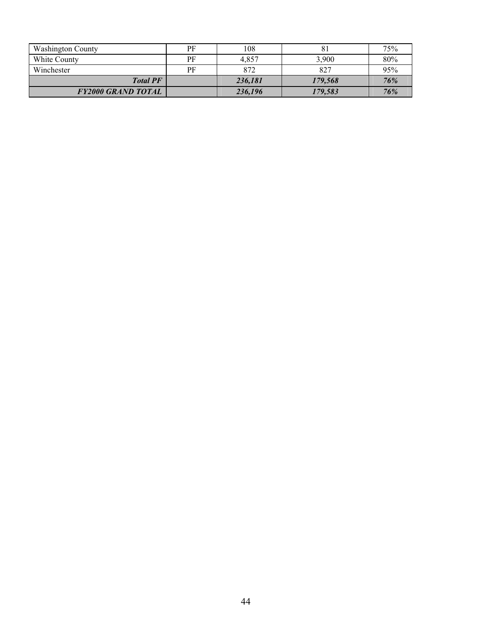| <b>Washington County</b>  | РF | 108     |         | 75% |
|---------------------------|----|---------|---------|-----|
| White County              | PF | 4.857   | 3,900   | 80% |
| Winchester                | PF | 872     | 827     | 95% |
| <b>Total PF</b>           |    | 236,181 | 179,568 | 76% |
| <b>FY2000 GRAND TOTAL</b> |    | 236,196 | 179,583 | 76% |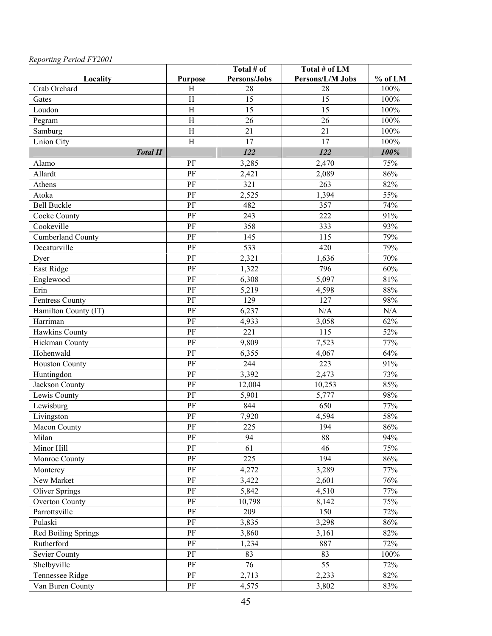|                          |                 | Total # of   | Total # of LM    |         |
|--------------------------|-----------------|--------------|------------------|---------|
| Locality                 | <b>Purpose</b>  | Persons/Jobs | Persons/L/M Jobs | % of LM |
| Crab Orchard             | H               | 28           | 28               | 100%    |
| Gates                    | H               | 15           | 15               | 100%    |
| Loudon                   | $\mathbf H$     | 15           | 15               | $100\%$ |
| Pegram                   | $\, {\rm H}$    | 26           | 26               | 100%    |
| Samburg                  | $\rm H$         | 21           | 21               | 100%    |
| <b>Union City</b>        | H               | 17           | 17               | 100%    |
| <b>Total H</b>           |                 | 122          | 122              | 100%    |
| Alamo                    | PF              | 3,285        | 2,470            | 75%     |
| Allardt                  | PF              | 2,421        | 2,089            | 86%     |
| Athens                   | PF              | 321          | 263              | 82%     |
| Atoka                    | PF              | 2,525        | 1,394            | 55%     |
| <b>Bell Buckle</b>       | $\rm PF$        | 482          | 357              | 74%     |
| <b>Cocke County</b>      | PF              | 243          | 222              | 91%     |
| Cookeville               | PF              | 358          | 333              | 93%     |
| <b>Cumberland County</b> | PF              | 145          | 115              | 79%     |
| Decaturville             | PF              | 533          | 420              | 79%     |
| Dyer                     | PF              | 2,321        | 1,636            | 70%     |
| East Ridge               | PF              | 1,322        | 796              | 60%     |
| Englewood                | PF              | 6,308        | 5,097            | 81%     |
| Erin                     | PF              | 5,219        | 4,598            | $88\%$  |
| <b>Fentress County</b>   | PF              | 129          | 127              | 98%     |
| Hamilton County (IT)     | PF              | 6,237        | N/A              | N/A     |
| Harriman                 | PF              | 4,933        | 3,058            | 62%     |
| Hawkins County           | PF              | 221          | 115              | 52%     |
| Hickman County           | PF              | 9,809        | 7,523            | 77%     |
| Hohenwald                | $\overline{PF}$ | 6,355        | 4,067            | 64%     |
| <b>Houston County</b>    | PF              | 244          | 223              | 91%     |
| Huntingdon               | PF              | 3,392        | 2,473            | 73%     |
| Jackson County           | PF              | 12,004       | 10,253           | 85%     |
| Lewis County             | PF              | 5,901        | 5,777            | 98%     |
| Lewisburg                | PF              | 844          | 650              | 77%     |
| Livingston               | PF              | 7,920        | 4,594            | 58%     |
| <b>Macon County</b>      | PF              | 225          | 194              | 86%     |
| Milan                    | PF              | 94           | 88               | 94%     |
| Minor Hill               | $\rm PF$        | 61           | 46               | 75%     |
| Monroe County            | $\rm PF$        | 225          | 194              | 86%     |
| Monterey                 | $\rm PF$        | 4,272        | 3,289            | 77%     |
| New Market               | PF              | 3,422        | 2,601            | 76%     |
| <b>Oliver Springs</b>    | $\rm PF$        | 5,842        | 4,510            | 77%     |
| <b>Overton County</b>    | PF              | 10,798       | 8,142            | 75%     |
| Parrottsville            | PF              | 209          | 150              | 72%     |
| Pulaski                  | $\rm PF$        | 3,835        | 3,298            | 86%     |
| Red Boiling Springs      | PF              | 3,860        | 3,161            | 82%     |
| Rutherford               | PF              | 1,234        | 887              | 72%     |
| <b>Sevier County</b>     | $\rm PF$        | 83           | 83               | 100%    |
| Shelbyville              | $\rm PF$        | 76           | $\overline{55}$  | 72%     |
| Tennessee Ridge          | $\rm PF$        | 2,713        | 2,233            | 82%     |
| Van Buren County         | $\rm PF$        | 4,575        | 3,802            | 83%     |

### *Reporting Period FY2001*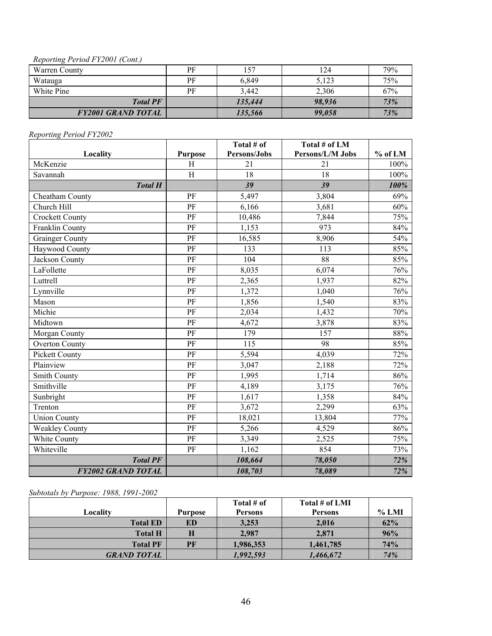#### *Reporting Period FY2001 (Cont.)*

| $\sim$<br>Warren County   | PF | 157     | 124    | 79% |
|---------------------------|----|---------|--------|-----|
| Watauga                   | PF | 6,849   | 5,123  | 75% |
| White Pine                | PF | 3,442   | 2,306  | 67% |
| <b>Total PF</b>           |    | 135,444 | 98.936 | 73% |
| <b>FY2001 GRAND TOTAL</b> |    | 135,566 | 99,058 | 73% |

# *Reporting Period FY2002*

| Locality                  | <b>Purpose</b>            | Total # of<br>Persons/Jobs | Total # of LM<br>Persons/L/M Jobs | $%$ of LM |
|---------------------------|---------------------------|----------------------------|-----------------------------------|-----------|
| McKenzie                  | H                         | 21                         | 21                                | 100%      |
| Savannah                  | $\boldsymbol{\mathrm{H}}$ | 18                         | 18                                | 100%      |
| <b>Total H</b>            |                           | 39                         | 39                                | 100%      |
| Cheatham County           | PF                        | 5,497                      | 3,804                             | 69%       |
| Church Hill               | PF                        | 6,166                      | 3,681                             | 60%       |
| <b>Crockett County</b>    | PF                        | 10,486                     | 7,844                             | 75%       |
| Franklin County           | PF                        | 1,153                      | 973                               | 84%       |
| <b>Grainger County</b>    | PF                        | 16,585                     | 8,906                             | 54%       |
| Haywood County            | PF                        | 133                        | 113                               | 85%       |
| Jackson County            | PF                        | 104                        | 88                                | 85%       |
| LaFollette                | PF                        | 8,035                      | 6,074                             | 76%       |
| Luttrell                  | PF                        | 2,365                      | 1,937                             | 82%       |
| Lynnville                 | PF                        | 1,372                      | 1,040                             | 76%       |
| Mason                     | PF                        | 1,856                      | 1,540                             | 83%       |
| Michie                    | PF                        | 2,034                      | 1,432                             | 70%       |
| Midtown                   | PF                        | 4,672                      | 3,878                             | 83%       |
| Morgan County             | PF                        | 179                        | 157                               | 88%       |
| <b>Overton County</b>     | PF                        | 115                        | 98                                | 85%       |
| <b>Pickett County</b>     | PF                        | 5,594                      | 4,039                             | 72%       |
| Plainview                 | PF                        | 3,047                      | 2,188                             | 72%       |
| <b>Smith County</b>       | PF                        | 1,995                      | 1,714                             | 86%       |
| Smithville                | PF                        | 4,189                      | 3,175                             | 76%       |
| Sunbright                 | PF                        | 1,617                      | 1,358                             | 84%       |
| Trenton                   | PF                        | 3,672                      | 2,299                             | 63%       |
| <b>Union County</b>       | PF                        | 18,021                     | 13,804                            | 77%       |
| <b>Weakley County</b>     | PF                        | 5,266                      | 4,529                             | 86%       |
| White County              | PF                        | 3,349                      | 2,525                             | 75%       |
| Whiteville                | PF                        | 1,162                      | 854                               | 73%       |
| <b>Total PF</b>           |                           | 108,664                    | 78,050                            | 72%       |
| <b>FY2002 GRAND TOTAL</b> |                           | 108,703                    | 78,089                            | 72%       |

*Subtotals by Purpose: 1988, 1991-2002* 

|                    |                | Total # of     | Total # of LMI |          |
|--------------------|----------------|----------------|----------------|----------|
| Localitv           | <b>Purpose</b> | <b>Persons</b> | <b>Persons</b> | $\%$ LMI |
| <b>Total ED</b>    | ED             | 3,253          | 2,016          | 62%      |
| <b>Total H</b>     | Н              | 2,987          | 2,871          | 96%      |
| <b>Total PF</b>    | PF             | 1,986,353      | 1,461,785      | 74%      |
| <b>GRAND TOTAL</b> |                | 1,992,593      | 1,466,672      | 74%      |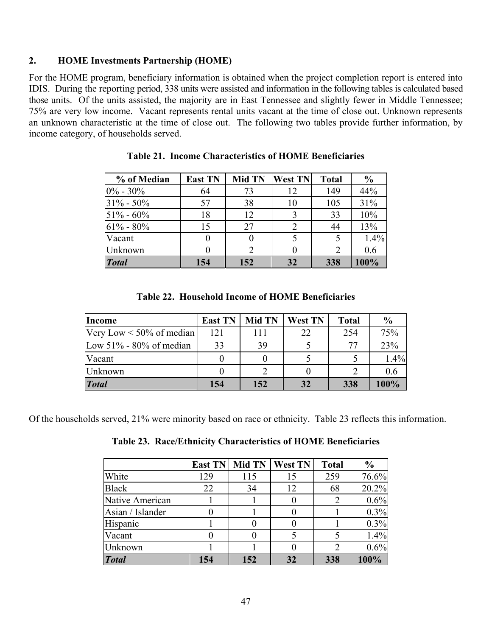#### **2. HOME Investments Partnership (HOME)**

For the HOME program, beneficiary information is obtained when the project completion report is entered into IDIS. During the reporting period, 338 units were assisted and information in the following tables is calculated based those units. Of the units assisted, the majority are in East Tennessee and slightly fewer in Middle Tennessee; 75% are very low income. Vacant represents rental units vacant at the time of close out. Unknown represents an unknown characteristic at the time of close out. The following two tables provide further information, by income category, of households served.

| % of Median   | <b>East TN</b> | <b>Mid TN</b> | <b>West TN</b> | <b>Total</b> | $\frac{0}{0}$ |
|---------------|----------------|---------------|----------------|--------------|---------------|
| $0\% - 30\%$  | 64             | 73            | 12             | 149          | 44%           |
| $31\% - 50\%$ | 57             | 38            | 10             | 105          | 31%           |
| $51\% - 60\%$ | 18             | 12            |                | 33           | 10%           |
| $61\% - 80\%$ | 15             | 27            | 2              | 44           | 13%           |
| Vacant        |                |               |                |              | 1.4%          |
| Unknown       |                |               |                | 2            | 0.6           |
| <b>Total</b>  | 154            | 152           | 32             | 338          | 100%          |

**Table 21. Income Characteristics of HOME Beneficiaries** 

**Table 22. Household Income of HOME Beneficiaries** 

| Income                         | <b>East TN</b> | <b>Mid TN</b> | <b>West TN</b> | Total | $\frac{0}{0}$ |
|--------------------------------|----------------|---------------|----------------|-------|---------------|
| Very Low $\leq 50\%$ of median | 121            | 111           | 22             | 254   | 75%           |
| Low $51\%$ - 80% of median     | 33             | 39            |                | 77    | 23%           |
| <b>Vacant</b>                  |                |               |                |       | 1.4%          |
| Unknown                        |                |               |                |       | 0.6           |
| <b>Total</b>                   | 154            | 152           | 32             | 338   | 100%          |

Of the households served, 21% were minority based on race or ethnicity. Table 23 reflects this information.

**Table 23. Race/Ethnicity Characteristics of HOME Beneficiaries** 

|                  | <b>East TN</b> | <b>Mid TN</b> | West TN | <b>Total</b>                | $\frac{0}{0}$ |
|------------------|----------------|---------------|---------|-----------------------------|---------------|
| White            | 129            | 115           | 15      | 259                         | 76.6%         |
| <b>Black</b>     | 22             | 34            | 12      | 68                          | 20.2%         |
| Native American  |                |               |         |                             | 0.6%          |
| Asian / Islander |                |               |         |                             | 0.3%          |
| Hispanic         |                |               |         |                             | 0.3%          |
| Vacant           |                |               |         |                             | 1.4%          |
| Unknown          |                |               |         | $\mathcal{D}_{\mathcal{L}}$ | 0.6%          |
| <b>Total</b>     | 154            | 152           | 32      | 338                         | 100%          |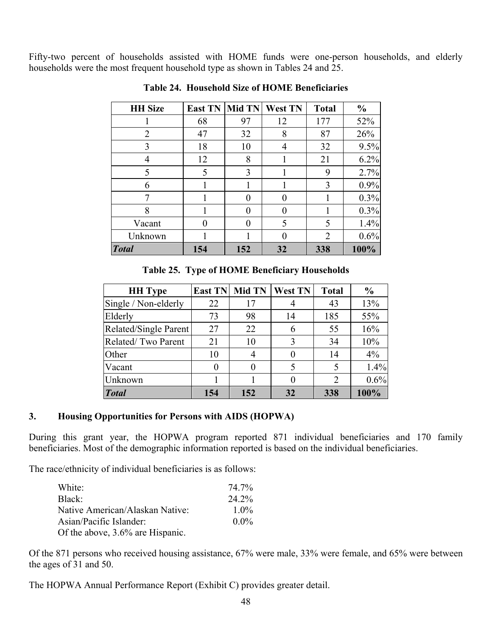Fifty-two percent of households assisted with HOME funds were one-person households, and elderly households were the most frequent household type as shown in Tables 24 and 25.

| <b>HH</b> Size | <b>East TN</b> | <b>Mid TN</b> | West TN | <b>Total</b>   | $\frac{0}{0}$ |
|----------------|----------------|---------------|---------|----------------|---------------|
|                | 68             | 97            | 12      | 177            | 52%           |
| $\overline{2}$ | 47             | 32            | 8       | 87             | 26%           |
| 3              | 18             | 10            | 4       | 32             | 9.5%          |
| 4              | 12             | 8             |         | 21             | 6.2%          |
| 5              | 5              | 3             |         | 9              | 2.7%          |
| 6              |                |               |         | 3              | 0.9%          |
| 7              |                | 0             |         |                | 0.3%          |
| 8              |                | $\mathbf{0}$  |         |                | 0.3%          |
| Vacant         | 0              | $\mathbf{0}$  | 5       | 5              | 1.4%          |
| Unknown        |                |               | ∩       | $\overline{2}$ | 0.6%          |
| <b>Total</b>   | 154            | 152           | 32      | 338            | 100%          |

**Table 24. Household Size of HOME Beneficiaries** 

**Table 25. Type of HOME Beneficiary Households** 

| <b>HH</b> Type        | <b>East TN</b> | <b>Mid TN</b> | <b>West TN</b> | <b>Total</b> | $\frac{6}{6}$ |
|-----------------------|----------------|---------------|----------------|--------------|---------------|
| Single / Non-elderly  | 22             | 17            |                | 43           | 13%           |
| Elderly               | 73             | 98            | 14             | 185          | 55%           |
| Related/Single Parent | 27             | 22            | 6              | 55           | 16%           |
| Related/Two Parent    | 21             | 10            | 3              | 34           | 10%           |
| Other                 | 10             |               |                | 14           | 4%            |
| Vacant                |                |               |                |              | 1.4%          |
| Unknown               |                |               |                | 2            | 0.6%          |
| <b>Total</b>          | 154            | 152           | 32             | 338          | 100%          |

#### **3. Housing Opportunities for Persons with AIDS (HOPWA)**

During this grant year, the HOPWA program reported 871 individual beneficiaries and 170 family beneficiaries. Most of the demographic information reported is based on the individual beneficiaries.

The race/ethnicity of individual beneficiaries is as follows:

| White:                           | 74.7%   |
|----------------------------------|---------|
| Black:                           | 24.2%   |
| Native American/Alaskan Native:  | $1.0\%$ |
| Asian/Pacific Islander:          | $0.0\%$ |
| Of the above, 3.6% are Hispanic. |         |

Of the 871 persons who received housing assistance, 67% were male, 33% were female, and 65% were between the ages of 31 and 50.

The HOPWA Annual Performance Report (Exhibit C) provides greater detail.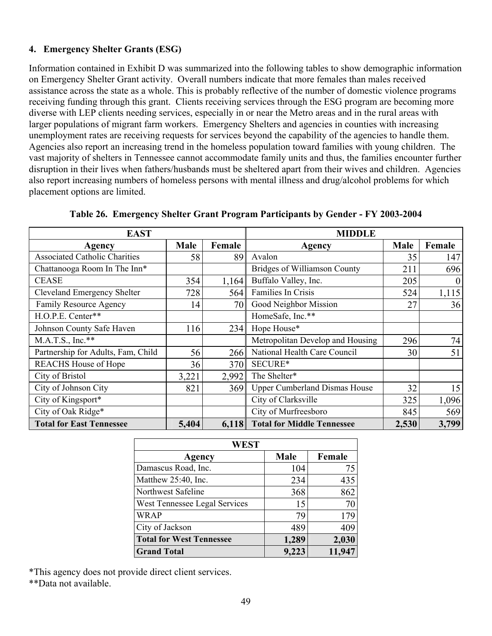### **4. Emergency Shelter Grants (ESG)**

Information contained in Exhibit D was summarized into the following tables to show demographic information on Emergency Shelter Grant activity. Overall numbers indicate that more females than males received assistance across the state as a whole. This is probably reflective of the number of domestic violence programs receiving funding through this grant. Clients receiving services through the ESG program are becoming more diverse with LEP clients needing services, especially in or near the Metro areas and in the rural areas with larger populations of migrant farm workers. Emergency Shelters and agencies in counties with increasing unemployment rates are receiving requests for services beyond the capability of the agencies to handle them. Agencies also report an increasing trend in the homeless population toward families with young children. The vast majority of shelters in Tennessee cannot accommodate family units and thus, the families encounter further disruption in their lives when fathers/husbands must be sheltered apart from their wives and children. Agencies also report increasing numbers of homeless persons with mental illness and drug/alcohol problems for which placement options are limited.

| <b>EAST</b>                          |       |        | <b>MIDDLE</b>                        |             |          |  |  |
|--------------------------------------|-------|--------|--------------------------------------|-------------|----------|--|--|
| Agency                               | Male  | Female | Agency                               | <b>Male</b> | Female   |  |  |
| <b>Associated Catholic Charities</b> | 58    | 89     | Avalon                               | 35          | 147      |  |  |
| Chattanooga Room In The Inn*         |       |        | <b>Bridges of Williamson County</b>  | 211         | 696      |  |  |
| <b>CEASE</b>                         | 354   | 1,164  | Buffalo Valley, Inc.                 | 205         | $\theta$ |  |  |
| Cleveland Emergency Shelter          | 728   | 564    | Families In Crisis                   | 524         | 1,115    |  |  |
| Family Resource Agency               | 14    | 70     | Good Neighbor Mission                | 27          | 36       |  |  |
| H.O.P.E. Center**                    |       |        | HomeSafe, Inc.**                     |             |          |  |  |
| Johnson County Safe Haven            | 116   | 234    | Hope House*                          |             |          |  |  |
| $M.A.T.S., Inc.**$                   |       |        | Metropolitan Develop and Housing     | 296         | 74       |  |  |
| Partnership for Adults, Fam, Child   | 56    | 266    | National Health Care Council         | 30          | 51       |  |  |
| <b>REACHS</b> House of Hope          | 36    | 370    | SECURE*                              |             |          |  |  |
| City of Bristol                      | 3,221 | 2,992  | The Shelter*                         |             |          |  |  |
| City of Johnson City                 | 821   | 369    | <b>Upper Cumberland Dismas House</b> | 32          | 15       |  |  |
| City of Kingsport*                   |       |        | City of Clarksville                  | 325         | 1,096    |  |  |
| City of Oak Ridge*                   |       |        | City of Murfreesboro                 | 845         | 569      |  |  |
| <b>Total for East Tennessee</b>      | 5,404 | 6,118  | <b>Total for Middle Tennessee</b>    | 2,530       | 3,799    |  |  |

|  |  |  | Table 26. Emergency Shelter Grant Program Participants by Gender - FY 2003-2004 |
|--|--|--|---------------------------------------------------------------------------------|
|  |  |  |                                                                                 |

| WEST                            |             |        |  |  |  |  |  |  |  |
|---------------------------------|-------------|--------|--|--|--|--|--|--|--|
| Agency                          | <b>Male</b> | Female |  |  |  |  |  |  |  |
| Damascus Road, Inc.             | 104         | 75     |  |  |  |  |  |  |  |
| Matthew 25:40, Inc.             | 234         | 435    |  |  |  |  |  |  |  |
| Northwest Safeline              | 368         | 862    |  |  |  |  |  |  |  |
| West Tennessee Legal Services   | 15          | 70     |  |  |  |  |  |  |  |
| <b>WRAP</b>                     | 79          | 179    |  |  |  |  |  |  |  |
| City of Jackson                 | 489         | 409    |  |  |  |  |  |  |  |
| <b>Total for West Tennessee</b> | 1,289       | 2,030  |  |  |  |  |  |  |  |
| <b>Grand Total</b>              | 9,223       | 11,947 |  |  |  |  |  |  |  |

\*This agency does not provide direct client services.

\*\*Data not available.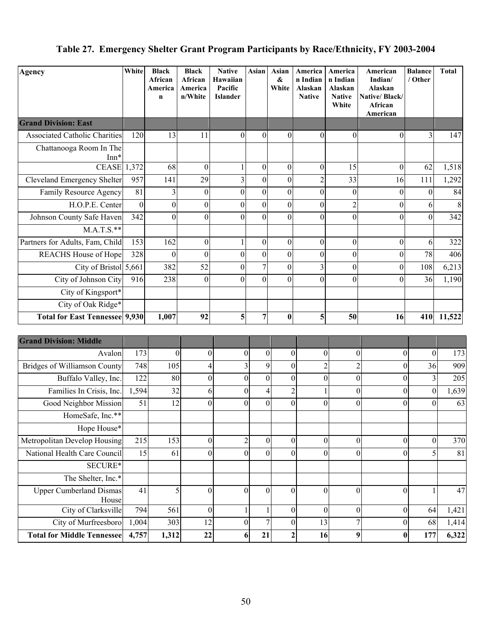# **Table 27. Emergency Shelter Grant Program Participants by Race/Ethnicity, FY 2003-2004**

| Agency                                  | White    | <b>Black</b><br>African<br>America<br>n | <b>Black</b><br>African<br>America<br>n/White | <b>Native</b><br>Hawaiian<br>Pacific<br><b>Islander</b> | Asian            | Asian<br>&<br>White | America<br>n Indian<br>Alaskan<br><b>Native</b> | America<br>n Indian<br>Alaskan<br><b>Native</b><br>White | American<br>Indian/<br>Alaskan<br>Native/Black/<br>African<br>American | <b>Balance</b><br>/ Other    | <b>Total</b> |
|-----------------------------------------|----------|-----------------------------------------|-----------------------------------------------|---------------------------------------------------------|------------------|---------------------|-------------------------------------------------|----------------------------------------------------------|------------------------------------------------------------------------|------------------------------|--------------|
| <b>Grand Division: East</b>             |          |                                         |                                               |                                                         |                  |                     |                                                 |                                                          |                                                                        |                              |              |
| <b>Associated Catholic Charities</b>    | 120      | 13                                      | 11                                            | $\overline{0}$                                          | $\theta$         | $\boldsymbol{0}$    | $\overline{0}$                                  | $\boldsymbol{0}$                                         | $\theta$                                                               | 3                            | 147          |
| Chattanooga Room In The<br>$Inn*$       |          |                                         |                                               |                                                         |                  |                     |                                                 |                                                          |                                                                        |                              |              |
| <b>CEASE</b> 1,372                      |          | 68                                      | $\boldsymbol{0}$                              |                                                         | $\boldsymbol{0}$ | $\boldsymbol{0}$    | $\boldsymbol{0}$                                | 15                                                       | $\mathbf{0}$                                                           | 62                           | 1,518        |
| <b>Cleveland Emergency Shelter</b>      | 957      | 141                                     | 29                                            | $\overline{3}$                                          | $\boldsymbol{0}$ | $\overline{0}$      | $\overline{c}$                                  | 33                                                       | 16                                                                     | 111                          | 1,292        |
| Family Resource Agency                  | 81       | 3                                       | $\theta$                                      | $\theta$                                                | $\Omega$         | $\mathbf{0}$        | $\theta$                                        | $\boldsymbol{0}$                                         | $\boldsymbol{0}$                                                       | $\theta$                     | 84           |
| H.O.P.E. Center                         | $\theta$ | $\boldsymbol{0}$                        | $\boldsymbol{0}$                              | $\theta$                                                | $\theta$         | $\boldsymbol{0}$    | $\overline{0}$                                  | $\overline{c}$                                           | $\boldsymbol{0}$                                                       | 6                            | 8            |
| Johnson County Safe Haven               | 342      | $\theta$                                | $\boldsymbol{0}$                              | $\theta$                                                | $\Omega$         | $\mathbf{0}$        | $\theta$                                        | $\mathbf{0}$                                             | $\overline{0}$                                                         | $\mathbf{0}$                 | 342          |
| $M.A.T.S.**$                            |          |                                         |                                               |                                                         |                  |                     |                                                 |                                                          |                                                                        |                              |              |
| Partners for Adults, Fam, Child         | 153      | 162                                     | $\theta$                                      |                                                         | $\overline{0}$   | 0                   | $\overline{0}$                                  | $\boldsymbol{0}$                                         | $\boldsymbol{0}$                                                       | 6                            | 322          |
| <b>REACHS</b> House of Hope             | 328      | $\theta$                                | $\theta$                                      | $\theta$                                                | $\Omega$         | $\boldsymbol{0}$    | $\boldsymbol{0}$                                | $\boldsymbol{0}$                                         | $\mathbf{0}$                                                           | 78                           | 406          |
| City of Bristol 5,661                   |          | 382                                     | 52                                            | $\theta$                                                | 7                | $\boldsymbol{0}$    | 3                                               | $\boldsymbol{0}$                                         | $\boldsymbol{0}$                                                       | 108                          | 6,213        |
| City of Johnson City                    | 916      | 238                                     | $\theta$                                      | $\theta$                                                | $\Omega$         | $\theta$            | $\theta$                                        | $\theta$                                                 | $\theta$                                                               | 36                           | 1,190        |
| City of Kingsport*                      |          |                                         |                                               |                                                         |                  |                     |                                                 |                                                          |                                                                        |                              |              |
| City of Oak Ridge*                      |          |                                         |                                               |                                                         |                  |                     |                                                 |                                                          |                                                                        |                              |              |
| <b>Total for East Tennessee 9,930</b>   |          | 1,007                                   | 92                                            | 5                                                       | $\overline{7}$   | $\bf{0}$            | 5                                               | 50                                                       | 16                                                                     | 410                          | 11,522       |
| <b>Grand Division: Middle</b>           |          |                                         |                                               |                                                         |                  |                     |                                                 |                                                          |                                                                        |                              |              |
| Avalon                                  | 173      | $\boldsymbol{0}$                        |                                               | $\vert 0 \vert$                                         | $\boldsymbol{0}$ | $\boldsymbol{0}$    | $\overline{0}$                                  | $\boldsymbol{0}$                                         | $\boldsymbol{0}$<br>$\mathbf{0}$                                       | $\boldsymbol{0}$             | 173          |
| <b>Bridges of Williamson County</b>     | 748      | 105                                     |                                               | 4                                                       | $\overline{3}$   | 9                   | $\overline{0}$                                  | $\overline{c}$                                           | $\overline{c}$                                                         | 36<br>$\Omega$               | 909          |
| Buffalo Valley, Inc.                    | 122      | 80                                      |                                               | $\vert 0 \vert$                                         | $\boldsymbol{0}$ | $\boldsymbol{0}$    | $\boldsymbol{0}$                                | $\boldsymbol{0}$                                         | $\boldsymbol{0}$                                                       | 3<br>$\theta$                | 205          |
| Families In Crisis, Inc.                | 1,594    | 32                                      |                                               | 6                                                       | $\boldsymbol{0}$ | 4                   | $\mathbf{2}$                                    |                                                          | $\boldsymbol{0}$                                                       | $\boldsymbol{0}$<br>0        | 1,639        |
| Good Neighbor Mission                   | 51       | 12                                      |                                               | $\overline{0}$                                          | $\overline{0}$   | $\mathbf{0}$        | $\boldsymbol{0}$                                | $\overline{0}$                                           | $\mathbf{0}$                                                           | $\overline{0}$<br>$\theta$   | 63           |
| HomeSafe, Inc.**                        |          |                                         |                                               |                                                         |                  |                     |                                                 |                                                          |                                                                        |                              |              |
| Hope House*                             |          |                                         |                                               |                                                         |                  |                     |                                                 |                                                          |                                                                        |                              |              |
| Metropolitan Develop Housing            | 215      | 153                                     |                                               | $\overline{0}$                                          | $\overline{2}$   | $\boldsymbol{0}$    | $\boldsymbol{0}$                                | $\boldsymbol{0}$                                         | $\boldsymbol{0}$                                                       | $\boldsymbol{0}$<br>$\theta$ | 370          |
| National Health Care Council            | 15       | 61                                      |                                               | $\overline{0}$                                          | $\boldsymbol{0}$ | $\boldsymbol{0}$    | $\mathbf{0}$                                    | $\boldsymbol{0}$                                         | $\boldsymbol{0}$                                                       | 5<br>$\theta$                | 81           |
| SECURE*                                 |          |                                         |                                               |                                                         |                  |                     |                                                 |                                                          |                                                                        |                              |              |
| The Shelter, Inc.*                      |          |                                         |                                               |                                                         |                  |                     |                                                 |                                                          |                                                                        |                              |              |
| <b>Upper Cumberland Dismas</b><br>House | 41       |                                         | 5                                             | $\overline{0}$                                          | $\mathbf{0}$     | $\boldsymbol{0}$    | $\overline{0}$                                  | $\boldsymbol{0}$                                         | $\mathbf{0}$<br>$\theta$                                               | 1                            | 47           |
| City of Clarksville                     | 794      | 561                                     |                                               | $\overline{0}$                                          | $\mathbf{1}$     | 1                   | $\boldsymbol{0}$                                | $\boldsymbol{0}$                                         | $\boldsymbol{0}$                                                       | 64<br>$\theta$               | 1,421        |
| City of Murfreesboro                    | 1,004    | 303                                     | 12                                            |                                                         | $\mathbf{0}$     | $\boldsymbol{7}$    | $\boldsymbol{0}$<br>13                          |                                                          | $\overline{7}$                                                         | 68<br>$\mathbf{0}$           | 1,414        |
| <b>Total for Middle Tennessee</b>       | 4,757    | 1,312                                   | 22                                            |                                                         | 6<br>21          |                     | $\mathbf{2}$<br>16                              |                                                          | $\boldsymbol{9}$                                                       | 177<br>$\bf{0}$              | 6,322        |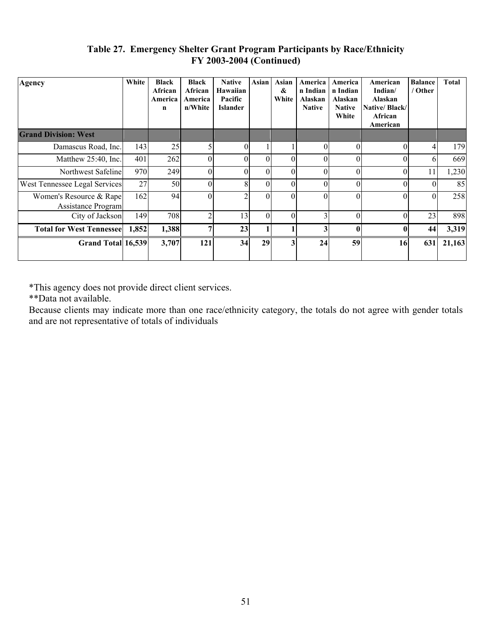#### **Table 27. Emergency Shelter Grant Program Participants by Race/Ethnicity FY 2003-2004 (Continued)**

| Agency                                        | White | <b>Black</b><br>African<br>America<br>n | <b>Black</b><br>African<br>America<br>n/White | <b>Native</b><br>Hawaiian<br>Pacific<br><b>Islander</b> | Asian    | Asian<br>&<br>White     | America<br>n Indian<br>Alaskan<br><b>Native</b> | America<br>n Indian<br>Alaskan<br><b>Native</b><br>White | American<br>Indian/<br>Alaskan<br>Native/Black/<br>African<br>American | <b>Balance</b><br>/ Other | <b>Total</b> |
|-----------------------------------------------|-------|-----------------------------------------|-----------------------------------------------|---------------------------------------------------------|----------|-------------------------|-------------------------------------------------|----------------------------------------------------------|------------------------------------------------------------------------|---------------------------|--------------|
| <b>Grand Division: West</b>                   |       |                                         |                                               |                                                         |          |                         |                                                 |                                                          |                                                                        |                           |              |
| Damascus Road, Inc.                           | 143   | 25                                      | 5                                             | 0                                                       |          |                         |                                                 | $\bigcap$                                                | $\theta$                                                               |                           | 179          |
| Matthew 25:40, Inc.                           | 401   | 262                                     | $\Omega$                                      | $\Omega$                                                | 0        | $\Omega$                | $\Omega$                                        | $\Omega$                                                 | $\theta$                                                               | 6                         | 669          |
| Northwest Safeline                            | 970   | 249                                     | 0                                             | 0                                                       | 0        | $\Omega$                |                                                 | $\Omega$                                                 | $\theta$                                                               | 11                        | 1,230        |
| West Tennessee Legal Services                 | 27    | 50                                      | $\Omega$                                      | 8                                                       | $\Omega$ | $\Omega$                | $\Omega$                                        | $\Omega$                                                 | $\theta$                                                               | $\Omega$                  | 85           |
| Women's Resource & Rape<br>Assistance Program | 162   | 94                                      | 0                                             | ◠                                                       |          | $\Omega$                |                                                 | $\Omega$                                                 | $\theta$                                                               |                           | 258          |
| City of Jackson                               | 149   | 708                                     | $\overline{2}$                                | 13                                                      | $\Omega$ | $\Omega$                | ◠                                               | $\Omega$                                                 | $\theta$                                                               | 23                        | 898          |
| <b>Total for West Tennessee</b>               | 1,852 | 1,388                                   | 7                                             | 23                                                      |          |                         | 3                                               | $\mathbf{0}$                                             | $\mathbf{0}$                                                           | 44                        | 3,319        |
| Grand Total 16,539                            |       | 3,707                                   | 121                                           | 34                                                      | 29       | $\overline{\mathbf{3}}$ | 24                                              | 59                                                       | 16                                                                     | 631                       | 21,163       |

\*This agency does not provide direct client services.

\*\*Data not available.

Because clients may indicate more than one race/ethnicity category, the totals do not agree with gender totals and are not representative of totals of individuals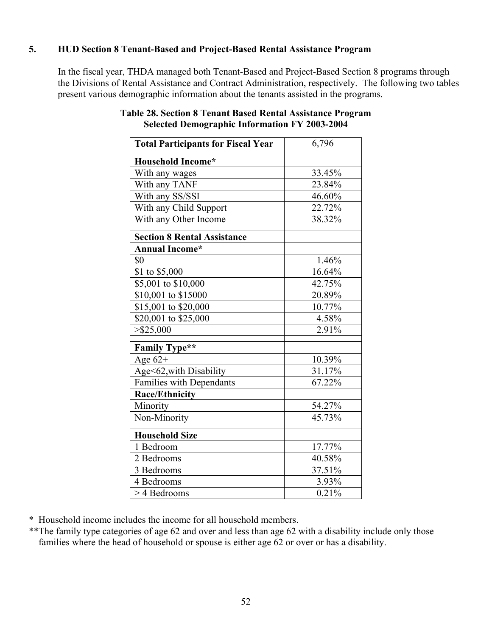# **5. HUD Section 8 Tenant-Based and Project-Based Rental Assistance Program**

In the fiscal year, THDA managed both Tenant-Based and Project-Based Section 8 programs through the Divisions of Rental Assistance and Contract Administration, respectively. The following two tables present various demographic information about the tenants assisted in the programs.

| <b>Total Participants for Fiscal Year</b> | 6,796               |
|-------------------------------------------|---------------------|
| Household Income*                         |                     |
| With any wages                            | 33.45%              |
| With any TANF                             | 23.84%              |
| With any SS/SSI                           | 46.60%              |
| With any Child Support                    | 22.72%              |
| With any Other Income                     | 38.32%              |
| <b>Section 8 Rental Assistance</b>        |                     |
| <b>Annual Income*</b>                     |                     |
| \$0                                       | 1.46%               |
| \$1 to \$5,000                            | 16.64%              |
| \$5,001 to \$10,000                       | 42.75%              |
| \$10,001 to \$15000                       | 20.89%              |
| \$15,001 to \$20,000                      | 10.77%              |
| \$20,001 to \$25,000                      | 4.58%               |
| $>$ \$25,000                              | 2.91%               |
| <b>Family Type**</b>                      |                     |
| Age $62+$                                 | 10.39%              |
| Age<62, with Disability                   | 31.17%              |
| Families with Dependants                  | 67.22%              |
| <b>Race/Ethnicity</b>                     |                     |
| Minority                                  | 54.27%              |
| Non-Minority                              | 45.73%              |
| <b>Household Size</b>                     |                     |
| 1 Bedroom                                 | 17.77%              |
| 2 Bedrooms                                | 40.58%              |
| 3 Bedrooms                                | 37.51%              |
| 4 Bedrooms                                | 3.93%               |
| > 4 Bedrooms                              | $\overline{0.2}1\%$ |

### **Table 28. Section 8 Tenant Based Rental Assistance Program Selected Demographic Information FY 2003-2004**

\* Household income includes the income for all household members.

\*\*The family type categories of age 62 and over and less than age 62 with a disability include only those families where the head of household or spouse is either age 62 or over or has a disability.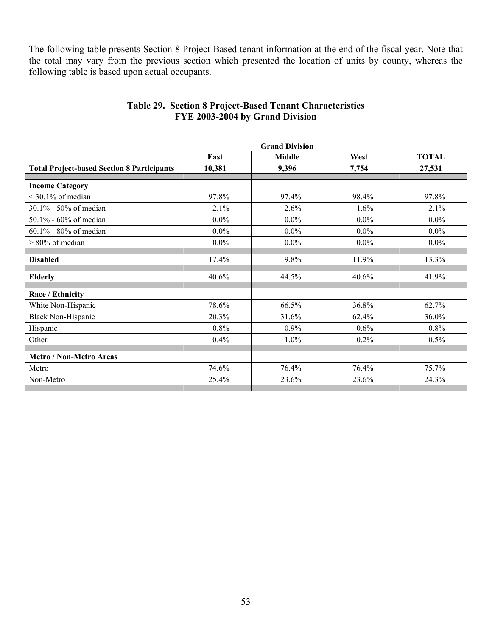The following table presents Section 8 Project-Based tenant information at the end of the fiscal year. Note that the total may vary from the previous section which presented the location of units by county, whereas the following table is based upon actual occupants.

|                                                   | East    | <b>Middle</b> | West    | <b>TOTAL</b> |
|---------------------------------------------------|---------|---------------|---------|--------------|
| <b>Total Project-based Section 8 Participants</b> | 10,381  | 9,396         | 7,754   | 27,531       |
|                                                   |         |               |         |              |
| <b>Income Category</b>                            |         |               |         |              |
| $<$ 30.1% of median                               | 97.8%   | 97.4%         | 98.4%   | 97.8%        |
| 30.1% - 50% of median                             | 2.1%    | 2.6%          | 1.6%    | 2.1%         |
| 50.1% - 60% of median                             | $0.0\%$ | $0.0\%$       | $0.0\%$ | $0.0\%$      |
| $60.1\%$ - 80% of median                          | $0.0\%$ | $0.0\%$       | $0.0\%$ | $0.0\%$      |
| $> 80\%$ of median                                | $0.0\%$ | $0.0\%$       | $0.0\%$ | $0.0\%$      |
|                                                   |         |               |         |              |
| <b>Disabled</b>                                   | 17.4%   | 9.8%          | 11.9%   | 13.3%        |
| <b>Elderly</b>                                    | 40.6%   | 44.5%         | 40.6%   | 41.9%        |
|                                                   |         |               |         |              |
| Race / Ethnicity                                  |         |               |         |              |
| White Non-Hispanic                                | 78.6%   | 66.5%         | 36.8%   | 62.7%        |
| <b>Black Non-Hispanic</b>                         | 20.3%   | 31.6%         | 62.4%   | 36.0%        |
| Hispanic                                          | 0.8%    | 0.9%          | 0.6%    | 0.8%         |
| Other                                             | 0.4%    | 1.0%          | 0.2%    | 0.5%         |
|                                                   |         |               |         |              |
| <b>Metro / Non-Metro Areas</b>                    |         |               |         |              |
| Metro                                             | 74.6%   | 76.4%         | 76.4%   | 75.7%        |
| Non-Metro                                         | 25.4%   | 23.6%         | 23.6%   | 24.3%        |
|                                                   |         |               |         |              |

#### **Table 29. Section 8 Project-Based Tenant Characteristics FYE 2003-2004 by Grand Division**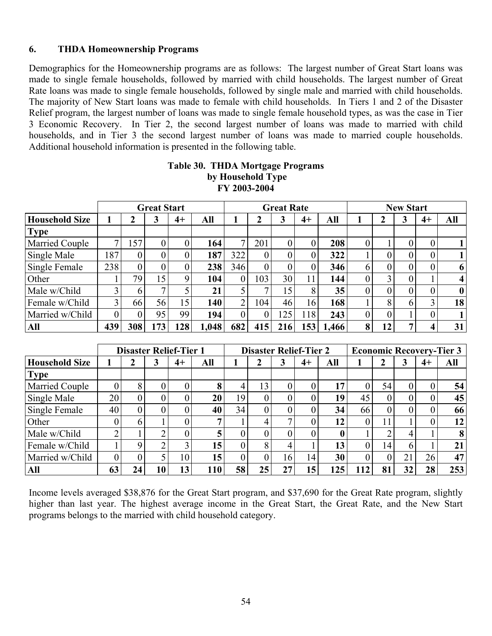#### **6. THDA Homeownership Programs**

Demographics for the Homeownership programs are as follows: The largest number of Great Start loans was made to single female households, followed by married with child households. The largest number of Great Rate loans was made to single female households, followed by single male and married with child households. The majority of New Start loans was made to female with child households. In Tiers 1 and 2 of the Disaster Relief program, the largest number of loans was made to single female household types, as was the case in Tier 3 Economic Recovery. In Tier 2, the second largest number of loans was made to married with child households, and in Tier 3 the second largest number of loans was made to married couple households. Additional household information is presented in the following table.

|                       |     |          | <b>Great Start</b> |             |       | <b>Great Rate</b> |                |     |      | <b>New Start</b> |                |                |          |      |                         |
|-----------------------|-----|----------|--------------------|-------------|-------|-------------------|----------------|-----|------|------------------|----------------|----------------|----------|------|-------------------------|
| <b>Household Size</b> |     | 2        | 3                  | $4+$        | All   |                   |                | 3   | $4+$ | All              |                | ን              | 3        | $4+$ | All                     |
| <b>Type</b>           |     |          |                    |             |       |                   |                |     |      |                  |                |                |          |      |                         |
| <b>Married Couple</b> | 7   | 157      | 0                  | 0           | 164   | 7                 | 201            |     |      | 208              | $\overline{0}$ |                | 0        | 0    |                         |
| Single Male           | 187 | $\theta$ |                    | $\theta$    | 187   | 322               |                |     |      | 322              |                |                |          |      |                         |
| Single Female         | 238 | $\theta$ |                    |             | 238   | 346               |                |     |      | 346              | 6              | $\overline{0}$ |          |      | 6                       |
| Other                 |     | 79       | 5                  | $\mathbf Q$ | 104   | $\overline{0}$    | 103            | 30  | 11   | 144              | $\overline{0}$ | 3              | 0        |      | $\overline{\mathbf{4}}$ |
| Male w/Child          | 3   | 6        |                    |             | 21    |                   |                | 15  | 8    | 35               | $\theta$       | 0              | $\Omega$ |      | $\bf{0}$                |
| Female w/Child        | 3   | 66       | 56                 | 15          | 140   | $\overline{2}$    | 104            | 46  | 16   | 168              |                | 8              | 6        |      | 18                      |
| Married w/Child       | 0   |          | 95                 | 99          | 194   | $\theta$          | $\overline{0}$ | 125 | 118  | 243              | $\overline{0}$ | $\theta$       |          | U    |                         |
| All                   | 439 | 308      | 173                | 128         | 1,048 | 682               | 415            | 216 | 153  | 1,466            | 8              | 12             |          |      | 31                      |

#### **Table 30. THDA Mortgage Programs by Household Type FY 2003-2004**

|                       |    |          |    | <b>Disaster Relief-Tier 1</b> |     |                | <b>Disaster Relief-Tier 2</b><br><b>Economic Recovery-Tier 3</b> |              |    |     |    |          |    |      |     |
|-----------------------|----|----------|----|-------------------------------|-----|----------------|------------------------------------------------------------------|--------------|----|-----|----|----------|----|------|-----|
| <b>Household Size</b> |    | 2        | 3  | 4+                            | All |                |                                                                  | 3            | 4+ | All |    | 2        | 3  | $4+$ | All |
| <b>Type</b>           |    |          |    |                               |     |                |                                                                  |              |    |     |    |          |    |      |     |
| <b>Married Couple</b> |    | 8        |    | 0                             | 8   | 4              | 13                                                               |              |    |     |    | 54       |    |      | 54  |
| Single Male           | 20 | $\Omega$ |    | 0                             | 20  | 19             |                                                                  |              |    | 19  | 45 | 0        |    |      | 45  |
| Single Female         | 40 | $\theta$ |    |                               | 40  | 34             | 0                                                                |              |    | 34  | 66 | $\theta$ |    |      | 66  |
| Other                 |    | h        |    |                               | ៗ   |                | 4                                                                | $\mathbf{r}$ |    | 12  |    |          |    |      | 12  |
| Male w/Child          | ◠  |          |    |                               | 5   | 0              |                                                                  |              |    |     |    |          |    |      | 8   |
| Female w/Child        |    |          |    | 3                             | 15  | $\overline{0}$ | 8                                                                | 4            |    | 13  |    | 14       | 6. |      | 21  |
| Married w/Child       |    |          |    | 10                            | 15  | $\overline{0}$ | 0                                                                | 16           | 14 | 30  |    |          | 21 | 26   | 47  |
| All                   | 63 | 24       | 10 | 13                            | 110 | 58             | 25                                                               | 27           | 15 | 125 |    | 81       | 32 | 28   | 253 |

Income levels averaged \$38,876 for the Great Start program, and \$37,690 for the Great Rate program, slightly higher than last year. The highest average income in the Great Start, the Great Rate, and the New Start programs belongs to the married with child household category.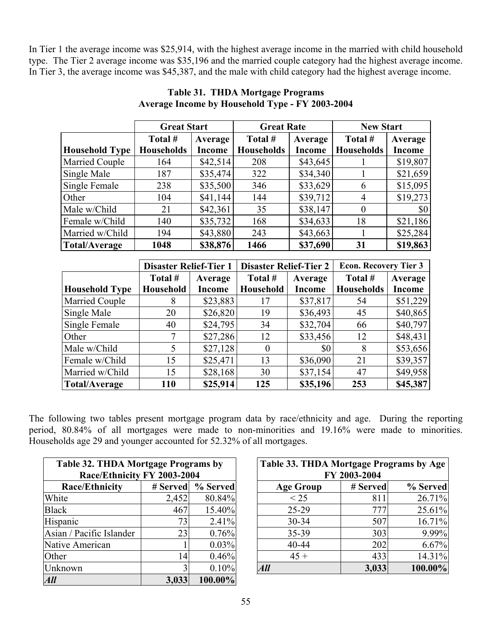In Tier 1 the average income was \$25,914, with the highest average income in the married with child household type. The Tier 2 average income was \$35,196 and the married couple category had the highest average income. In Tier 3, the average income was \$45,387, and the male with child category had the highest average income.

|                       | <b>Great Start</b> |               | <b>Great Rate</b> |               | <b>New Start</b>  |               |
|-----------------------|--------------------|---------------|-------------------|---------------|-------------------|---------------|
|                       | Total #            | Average       | Total #           | Average       | Total #           | Average       |
| <b>Household Type</b> | <b>Households</b>  | <b>Income</b> | <b>Households</b> | <b>Income</b> | <b>Households</b> | <b>Income</b> |
| Married Couple        | 164                | \$42,514      | 208               | \$43,645      |                   | \$19,807      |
| Single Male           | 187                | \$35,474      | 322               | \$34,340      |                   | \$21,659      |
| Single Female         | 238                | \$35,500      | 346               | \$33,629      | 6                 | \$15,095      |
| Other                 | 104                | \$41,144      | 144               | \$39,712      | 4                 | \$19,273      |
| Male w/Child          | 21                 | \$42,361      | 35                | \$38,147      | $\theta$          | \$0           |
| Female w/Child        | 140                | \$35,732      | 168               | \$34,633      | 18                | \$21,186      |
| Married w/Child       | 194                | \$43,880      | 243               | \$43,663      |                   | \$25,284      |
| <b>Total/Average</b>  | 1048               | \$38,876      | 1466              | \$37,690      | 31                | \$19,863      |

#### **Table 31. THDA Mortgage Programs Average Income by Household Type - FY 2003-2004**

|                       | <b>Disaster Relief-Tier 1</b> |               | <b>Disaster Relief-Tier 2</b> |                | <b>Econ. Recovery Tier 3</b> |               |  |
|-----------------------|-------------------------------|---------------|-------------------------------|----------------|------------------------------|---------------|--|
|                       | Total #                       | Average       | Total #                       | Average        | Total #                      | Average       |  |
| <b>Household Type</b> | Household                     | <b>Income</b> | Household                     | <b>Income</b>  | <b>Households</b>            | <b>Income</b> |  |
| Married Couple        | 8                             | \$23,883      | 17                            | \$37,817       | 54                           | \$51,229      |  |
| Single Male           | 20                            | \$26,820      | 19                            | \$36,493       | 45                           | \$40,865      |  |
| Single Female         | 40                            | \$24,795      | 34                            | \$32,704       | 66                           | \$40,797      |  |
| Other                 | 7                             | \$27,286      | 12                            | \$33,456       | 12                           | \$48,431      |  |
| Male w/Child          | 5                             | \$27,128      | $\Omega$                      | S <sub>0</sub> | 8                            | \$53,656      |  |
| Female w/Child        | 15                            | \$25,471      | 13                            | \$36,090       | 21                           | \$39,357      |  |
| Married w/Child       | 15                            | \$28,168      | 30                            | \$37,154       | 47                           | \$49,958      |  |
| <b>Total/Average</b>  | 110                           | \$25,914      | 125                           | \$35,196       | 253                          | \$45,387      |  |

The following two tables present mortgage program data by race/ethnicity and age. During the reporting period, 80.84% of all mortgages were made to non-minorities and 19.16% were made to minorities. Households age 29 and younger accounted for 52.32% of all mortgages.

| Table 32. THDA Mortgage Programs by |                             |                     |  |  |  |  |  |  |  |  |
|-------------------------------------|-----------------------------|---------------------|--|--|--|--|--|--|--|--|
|                                     | Race/Ethnicity FY 2003-2004 |                     |  |  |  |  |  |  |  |  |
| <b>Race/Ethnicity</b>               |                             | # Served   % Served |  |  |  |  |  |  |  |  |
| White                               | 2,452                       | 80.84%              |  |  |  |  |  |  |  |  |
| <b>Black</b>                        | 467                         | 15.40%              |  |  |  |  |  |  |  |  |
| Hispanic                            | 73                          | 2.41%               |  |  |  |  |  |  |  |  |
| Asian / Pacific Islander            | 23                          | 0.76%               |  |  |  |  |  |  |  |  |
| Native American                     |                             | 0.03%               |  |  |  |  |  |  |  |  |
| Other                               | 14                          | 0.46%               |  |  |  |  |  |  |  |  |
| Unknown                             | 3                           | 0.10%               |  |  |  |  |  |  |  |  |
| All                                 | 3,033                       | 100.00%             |  |  |  |  |  |  |  |  |

| Table 32. THDA Mortgage Programs by |          |          | Table 33. THDA Mortgage Programs by Age |                      |         |  |  |  |
|-------------------------------------|----------|----------|-----------------------------------------|----------------------|---------|--|--|--|
| Race/Ethnicity FY 2003-2004         |          |          | FY 2003-2004                            |                      |         |  |  |  |
| <b>Race/Ethnicity</b>               | # Served | % Served | <b>Age Group</b>                        | % Served<br># Served |         |  |  |  |
| White                               | 2,452    | 80.84%   | < 25                                    | 811                  | 26.71%  |  |  |  |
| Black                               | 467      | 15.40%   | 25-29                                   | 777                  | 25.61%  |  |  |  |
| Hispanic                            | 73       | 2.41%    | $30 - 34$                               | 507                  | 16.71%  |  |  |  |
| Asian / Pacific Islander            | 23       | 0.76%    | $35 - 39$                               | 303                  | 9.99%   |  |  |  |
| Native American                     |          | 0.03%    | 40-44                                   | 202                  | 6.67%   |  |  |  |
| Other                               | 141      | 0.46%    | $45 +$                                  | 433                  | 14.31%  |  |  |  |
| Unknown                             |          | 0.10%    | <b>All</b>                              | 3,033                | 100.00% |  |  |  |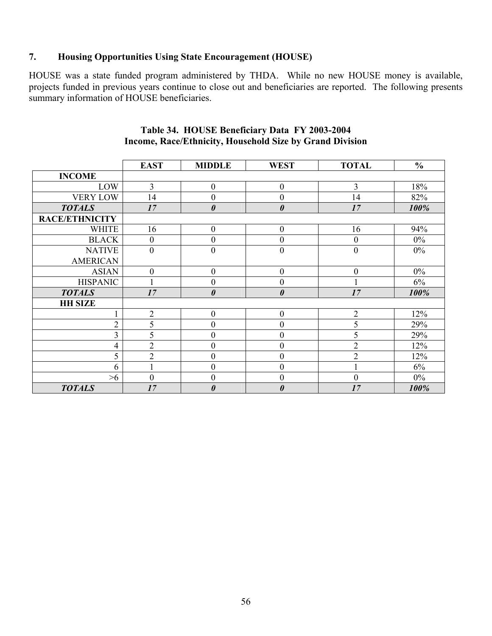#### **7. Housing Opportunities Using State Encouragement (HOUSE)**

HOUSE was a state funded program administered by THDA. While no new HOUSE money is available, projects funded in previous years continue to close out and beneficiaries are reported. The following presents summary information of HOUSE beneficiaries.

|                       | <b>EAST</b>      | <b>MIDDLE</b>         | <b>WEST</b>           | <b>TOTAL</b>     | $\frac{0}{0}$ |
|-----------------------|------------------|-----------------------|-----------------------|------------------|---------------|
| <b>INCOME</b>         |                  |                       |                       |                  |               |
| LOW                   | $\overline{3}$   | $\boldsymbol{0}$      | $\overline{0}$        | $\overline{3}$   | 18%           |
| <b>VERY LOW</b>       | 14               | $\boldsymbol{0}$      | $\overline{0}$        | 14               | 82%           |
| <b>TOTALS</b>         | 17               | $\boldsymbol{\theta}$ | $\boldsymbol{\theta}$ | 17               | 100%          |
| <b>RACE/ETHNICITY</b> |                  |                       |                       |                  |               |
| <b>WHITE</b>          | 16               | $\boldsymbol{0}$      | $\boldsymbol{0}$      | 16               | 94%           |
| <b>BLACK</b>          | $\boldsymbol{0}$ | $\boldsymbol{0}$      | $\boldsymbol{0}$      | $\boldsymbol{0}$ | $0\%$         |
| <b>NATIVE</b>         | $\boldsymbol{0}$ | $\boldsymbol{0}$      | $\overline{0}$        | $\boldsymbol{0}$ | $0\%$         |
| <b>AMERICAN</b>       |                  |                       |                       |                  |               |
| <b>ASIAN</b>          | $\mathbf{0}$     | $\boldsymbol{0}$      | $\boldsymbol{0}$      | $\boldsymbol{0}$ | $0\%$         |
| <b>HISPANIC</b>       |                  | $\boldsymbol{0}$      | $\boldsymbol{0}$      |                  | 6%            |
| <b>TOTALS</b>         | 17               | $\boldsymbol{\theta}$ | $\boldsymbol{\theta}$ | 17               | 100%          |
| <b>HH SIZE</b>        |                  |                       |                       |                  |               |
|                       | $\overline{2}$   | $\boldsymbol{0}$      | $\boldsymbol{0}$      | $\sqrt{2}$       | 12%           |
| $\overline{2}$        | 5                | $\boldsymbol{0}$      | $\overline{0}$        | 5                | 29%           |
| $\overline{3}$        | 5                | $\overline{0}$        | 0                     | 5                | 29%           |
| 4                     | $\overline{2}$   | $\boldsymbol{0}$      | $\overline{0}$        | $\overline{2}$   | 12%           |
| 5                     | $\overline{2}$   | $\boldsymbol{0}$      | $\overline{0}$        | $\overline{2}$   | 12%           |
| 6                     |                  | $\boldsymbol{0}$      | $\overline{0}$        |                  | 6%            |
| >6                    | $\overline{0}$   | $\overline{0}$        | $\overline{0}$        | $\boldsymbol{0}$ | $0\%$         |
| <b>TOTALS</b>         | 17               | $\boldsymbol{\theta}$ | 0                     | 17               | 100%          |

#### **Table 34. HOUSE Beneficiary Data FY 2003-2004 Income, Race/Ethnicity, Household Size by Grand Division**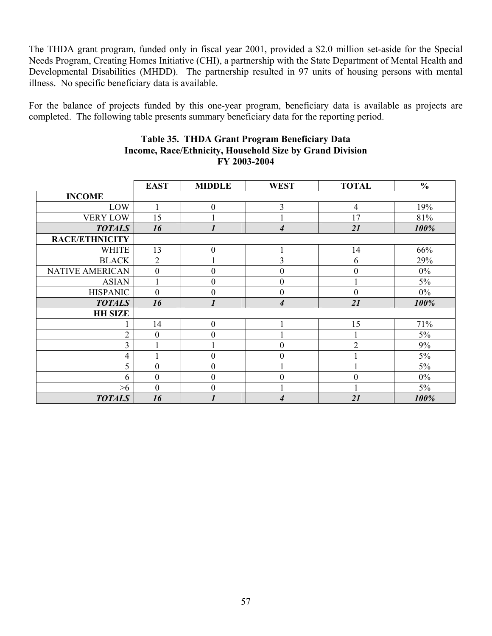The THDA grant program, funded only in fiscal year 2001, provided a \$2.0 million set-aside for the Special Needs Program, Creating Homes Initiative (CHI), a partnership with the State Department of Mental Health and Developmental Disabilities (MHDD). The partnership resulted in 97 units of housing persons with mental illness. No specific beneficiary data is available.

For the balance of projects funded by this one-year program, beneficiary data is available as projects are completed. The following table presents summary beneficiary data for the reporting period.

|                        | <b>EAST</b>    | <b>MIDDLE</b>    | <b>WEST</b>      | <b>TOTAL</b>   | $\frac{0}{0}$ |
|------------------------|----------------|------------------|------------------|----------------|---------------|
| <b>INCOME</b>          |                |                  |                  |                |               |
| LOW                    |                | $\mathbf{0}$     | 3                | $\overline{4}$ | 19%           |
| <b>VERY LOW</b>        | 15             |                  |                  | 17             | 81%           |
| <b>TOTALS</b>          | 16             | $\mathbf{r}$     | 4                | 21             | 100%          |
| <b>RACE/ETHNICITY</b>  |                |                  |                  |                |               |
| <b>WHITE</b>           | 13             | $\boldsymbol{0}$ |                  | 14             | 66%           |
| <b>BLACK</b>           | $\overline{2}$ |                  | 3                | 6              | 29%           |
| <b>NATIVE AMERICAN</b> | $\overline{0}$ | $\mathbf{0}$     | $\overline{0}$   | $\mathbf{0}$   | $0\%$         |
| <b>ASIAN</b>           |                | $\mathbf{0}$     | $\boldsymbol{0}$ |                | 5%            |
| <b>HISPANIC</b>        | $\theta$       | $\mathbf{0}$     | $\boldsymbol{0}$ | $\mathbf{0}$   | $0\%$         |
| <b>TOTALS</b>          | 16             |                  | 4                | 21             | 100%          |
| <b>HH SIZE</b>         |                |                  |                  |                |               |
|                        | 14             | $\mathbf{0}$     |                  | 15             | 71%           |
| $\overline{2}$         | $\overline{0}$ | $\overline{0}$   |                  |                | $5\%$         |
| 3                      |                |                  | $\boldsymbol{0}$ | $\overline{2}$ | 9%            |
| 4                      |                | $\overline{0}$   | $\boldsymbol{0}$ |                | 5%            |
| 5                      | $\theta$       | $\Omega$         |                  |                | 5%            |
| 6                      | $\theta$       | $\overline{0}$   | $\overline{0}$   | $\theta$       | $0\%$         |
| $>6$                   | $\overline{0}$ | $\theta$         |                  |                | $5\%$         |
| <b>TOTALS</b>          | 16             |                  | 4                | 21             | 100%          |

#### **Table 35. THDA Grant Program Beneficiary Data Income, Race/Ethnicity, Household Size by Grand Division FY 2003-2004**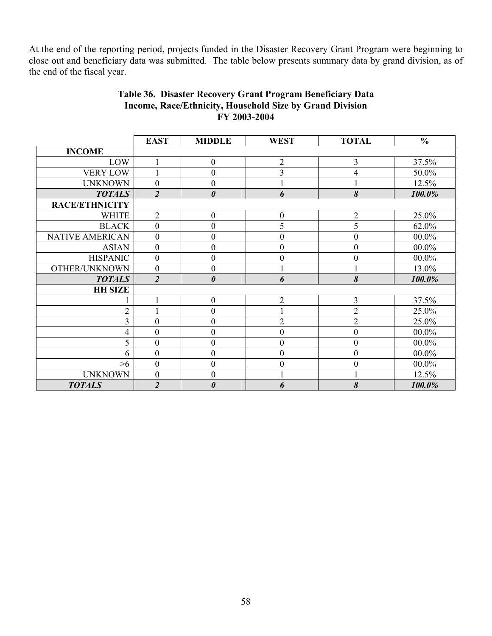At the end of the reporting period, projects funded in the Disaster Recovery Grant Program were beginning to close out and beneficiary data was submitted. The table below presents summary data by grand division, as of the end of the fiscal year.

|                        | <b>EAST</b>      | <b>MIDDLE</b>         | <b>WEST</b>      | <b>TOTAL</b>     | $\frac{0}{0}$ |
|------------------------|------------------|-----------------------|------------------|------------------|---------------|
| <b>INCOME</b>          |                  |                       |                  |                  |               |
| LOW                    | $\mathbf{1}$     | $\boldsymbol{0}$      | $\overline{2}$   | 3                | 37.5%         |
| <b>VERY LOW</b>        |                  | $\mathbf{0}$          | 3                | 4                | 50.0%         |
| <b>UNKNOWN</b>         | $\boldsymbol{0}$ | $\boldsymbol{0}$      |                  |                  | 12.5%         |
| <b>TOTALS</b>          | $\overline{2}$   | $\boldsymbol{\theta}$ | 6                | 8                | 100.0%        |
| <b>RACE/ETHNICITY</b>  |                  |                       |                  |                  |               |
| <b>WHITE</b>           | $\overline{2}$   | $\boldsymbol{0}$      | $\boldsymbol{0}$ | $\overline{2}$   | 25.0%         |
| <b>BLACK</b>           | $\mathbf{0}$     | $\boldsymbol{0}$      | 5                | 5                | 62.0%         |
| <b>NATIVE AMERICAN</b> | $\boldsymbol{0}$ | $\boldsymbol{0}$      | $\boldsymbol{0}$ | $\theta$         | $00.0\%$      |
| <b>ASIAN</b>           | $\boldsymbol{0}$ | $\boldsymbol{0}$      | $\overline{0}$   | $\theta$         | $00.0\%$      |
| <b>HISPANIC</b>        | $\boldsymbol{0}$ | $\overline{0}$        | $\boldsymbol{0}$ | $\theta$         | $00.0\%$      |
| OTHER/UNKNOWN          | $\boldsymbol{0}$ | $\boldsymbol{0}$      |                  |                  | 13.0%         |
| <b>TOTALS</b>          | $\overline{2}$   | $\boldsymbol{\theta}$ | 6                | 8                | 100.0%        |
| <b>HH SIZE</b>         |                  |                       |                  |                  |               |
|                        | 1                | $\boldsymbol{0}$      | $\overline{2}$   | 3                | 37.5%         |
| $\overline{2}$         |                  | $\boldsymbol{0}$      |                  | $\overline{2}$   | 25.0%         |
| 3                      | $\mathbf{0}$     | $\boldsymbol{0}$      | $\overline{2}$   | $\overline{2}$   | 25.0%         |
| $\overline{4}$         | $\mathbf{0}$     | $\boldsymbol{0}$      | $\boldsymbol{0}$ | $\boldsymbol{0}$ | $00.0\%$      |
| 5                      | $\mathbf{0}$     | $\overline{0}$        | $\boldsymbol{0}$ | $\mathbf{0}$     | $00.0\%$      |
| 6                      | $\boldsymbol{0}$ | $\boldsymbol{0}$      | $\boldsymbol{0}$ | $\boldsymbol{0}$ | $00.0\%$      |
| >6                     | $\overline{0}$   | $\boldsymbol{0}$      | $\boldsymbol{0}$ | $\theta$         | $00.0\%$      |
| <b>UNKNOWN</b>         | $\boldsymbol{0}$ | $\boldsymbol{0}$      |                  |                  | 12.5%         |
| <b>TOTALS</b>          | $\overline{2}$   | $\pmb{\theta}$        | 6                | 8                | 100.0%        |

### **Table 36. Disaster Recovery Grant Program Beneficiary Data Income, Race/Ethnicity, Household Size by Grand Division FY 2003-2004**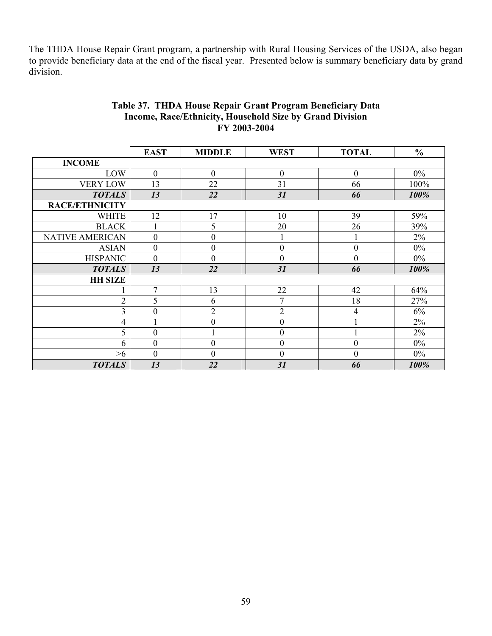The THDA House Repair Grant program, a partnership with Rural Housing Services of the USDA, also began to provide beneficiary data at the end of the fiscal year. Presented below is summary beneficiary data by grand division.

|                        | <b>EAST</b>      | <b>MIDDLE</b>    | <b>WEST</b>      | <b>TOTAL</b>     | $\frac{0}{0}$ |
|------------------------|------------------|------------------|------------------|------------------|---------------|
| <b>INCOME</b>          |                  |                  |                  |                  |               |
| LOW                    | $\boldsymbol{0}$ | $\mathbf{0}$     | $\boldsymbol{0}$ | $\mathbf{0}$     | $0\%$         |
| <b>VERY LOW</b>        | 13               | 22               | 31               | 66               | 100%          |
| <b>TOTALS</b>          | 13               | 22               | 31               | 66               | 100%          |
| <b>RACE/ETHNICITY</b>  |                  |                  |                  |                  |               |
| <b>WHITE</b>           | 12               | 17               | 10               | 39               | 59%           |
| <b>BLACK</b>           |                  | 5                | 20               | 26               | 39%           |
| <b>NATIVE AMERICAN</b> | $\boldsymbol{0}$ | $\boldsymbol{0}$ |                  |                  | 2%            |
| <b>ASIAN</b>           | $\boldsymbol{0}$ | $\boldsymbol{0}$ | $\boldsymbol{0}$ | $\boldsymbol{0}$ | $0\%$         |
| <b>HISPANIC</b>        | $\boldsymbol{0}$ | $\boldsymbol{0}$ | $\mathbf{0}$     | $\mathbf{0}$     | $0\%$         |
| <b>TOTALS</b>          | 13               | 22               | 31               | 66               | 100%          |
| <b>HH SIZE</b>         |                  |                  |                  |                  |               |
|                        | 7                | 13               | 22               | 42               | 64%           |
| $\overline{2}$         | 5                | 6                | 7                | 18               | 27%           |
| 3                      | $\mathbf{0}$     | $\overline{2}$   | $\overline{2}$   | $\overline{4}$   | 6%            |
| $\overline{4}$         |                  | $\boldsymbol{0}$ | $\boldsymbol{0}$ |                  | 2%            |
| 5                      | $\boldsymbol{0}$ | $\mathbf{1}$     | $\boldsymbol{0}$ | 1                | 2%            |
| 6                      | $\boldsymbol{0}$ | $\boldsymbol{0}$ | $\boldsymbol{0}$ | $\boldsymbol{0}$ | $0\%$         |
| >6                     | $\mathbf{0}$     | $\boldsymbol{0}$ | $\mathbf{0}$     | $\boldsymbol{0}$ | $0\%$         |
| <b>TOTALS</b>          | 13               | 22               | 31               | 66               | 100%          |

#### **Table 37. THDA House Repair Grant Program Beneficiary Data Income, Race/Ethnicity, Household Size by Grand Division FY 2003-2004**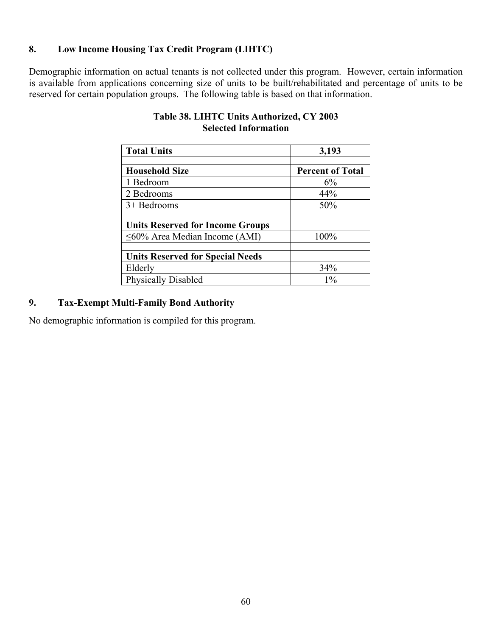# **8. Low Income Housing Tax Credit Program (LIHTC)**

Demographic information on actual tenants is not collected under this program. However, certain information is available from applications concerning size of units to be built/rehabilitated and percentage of units to be reserved for certain population groups. The following table is based on that information.

| <b>Total Units</b>                      | 3,193                   |
|-----------------------------------------|-------------------------|
|                                         |                         |
| <b>Household Size</b>                   | <b>Percent of Total</b> |
| 1 Bedroom                               | 6%                      |
| 2 Bedrooms                              | 44%                     |
| $3+$ Bedrooms                           | 50%                     |
|                                         |                         |
| <b>Units Reserved for Income Groups</b> |                         |
| $\leq 60\%$ Area Median Income (AMI)    | 100%                    |
|                                         |                         |
| <b>Units Reserved for Special Needs</b> |                         |
| Elderly                                 | 34%                     |
| <b>Physically Disabled</b>              | $1\%$                   |

# **Table 38. LIHTC Units Authorized, CY 2003 Selected Information**

#### **9. Tax-Exempt Multi-Family Bond Authority**

No demographic information is compiled for this program.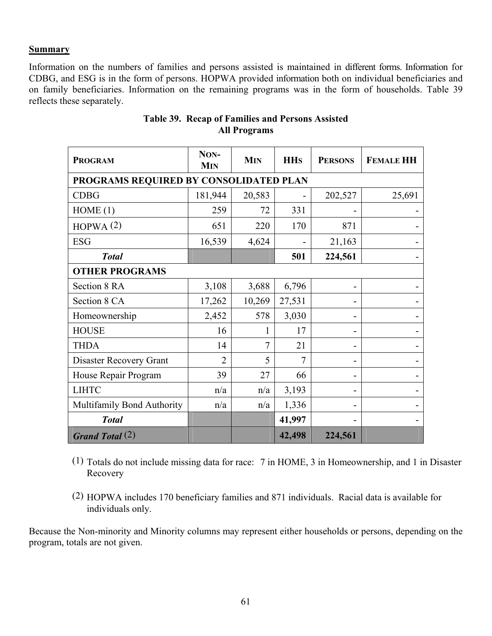#### **Summary**

Information on the numbers of families and persons assisted is maintained in different forms. Information for CDBG, and ESG is in the form of persons. HOPWA provided information both on individual beneficiaries and on family beneficiaries. Information on the remaining programs was in the form of households. Table 39 reflects these separately.

| <b>PROGRAM</b>                         | NON-<br><b>MIN</b> | <b>MIN</b> | <b>HH<sub>s</sub></b> | <b>PERSONS</b> | <b>FEMALE HH</b> |  |  |
|----------------------------------------|--------------------|------------|-----------------------|----------------|------------------|--|--|
| PROGRAMS REQUIRED BY CONSOLIDATED PLAN |                    |            |                       |                |                  |  |  |
| <b>CDBG</b>                            | 181,944            | 20,583     |                       | 202,527        | 25,691           |  |  |
| HOME(1)                                | 259                | 72         | 331                   |                |                  |  |  |
| HOPWA(2)                               | 651                | 220        | 170                   | 871            |                  |  |  |
| <b>ESG</b>                             | 16,539             | 4,624      |                       | 21,163         |                  |  |  |
| <b>Total</b>                           |                    |            | 501                   | 224,561        |                  |  |  |
| <b>OTHER PROGRAMS</b>                  |                    |            |                       |                |                  |  |  |
| Section 8 RA                           | 3,108              | 3,688      | 6,796                 |                |                  |  |  |
| Section 8 CA                           | 17,262             | 10,269     | 27,531                |                |                  |  |  |
| Homeownership                          | 2,452              | 578        | 3,030                 |                |                  |  |  |
| <b>HOUSE</b>                           | 16                 | 1          | 17                    |                |                  |  |  |
| <b>THDA</b>                            | 14                 | 7          | 21                    |                |                  |  |  |
| Disaster Recovery Grant                | $\overline{2}$     | 5          | 7                     |                |                  |  |  |
| House Repair Program                   | 39                 | 27         | 66                    |                |                  |  |  |
| <b>LIHTC</b>                           | n/a                | n/a        | 3,193                 |                |                  |  |  |
| Multifamily Bond Authority             | n/a                | n/a        | 1,336                 |                |                  |  |  |
| <b>Total</b>                           |                    |            | 41,997                |                |                  |  |  |
| <b>Grand Total</b> $(2)$               |                    |            | 42,498                | 224,561        |                  |  |  |

# **Table 39. Recap of Families and Persons Assisted All Programs**

- (1) Totals do not include missing data for race: 7 in HOME, 3 in Homeownership, and 1 in Disaster Recovery
- (2) HOPWA includes 170 beneficiary families and 871 individuals. Racial data is available for individuals only.

Because the Non-minority and Minority columns may represent either households or persons, depending on the program, totals are not given.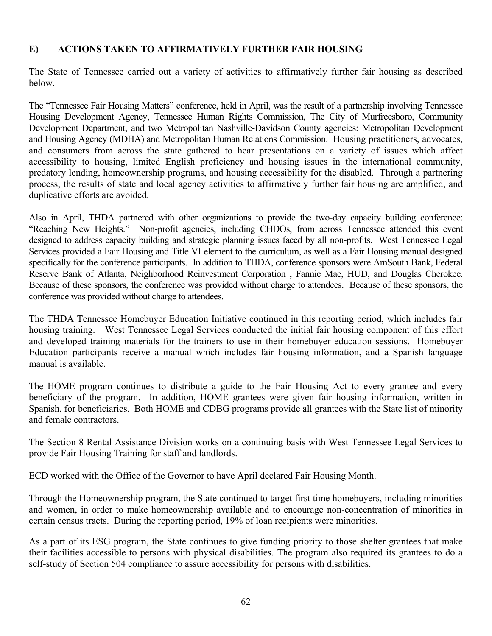#### **E) ACTIONS TAKEN TO AFFIRMATIVELY FURTHER FAIR HOUSING**

The State of Tennessee carried out a variety of activities to affirmatively further fair housing as described below.

The "Tennessee Fair Housing Matters" conference, held in April, was the result of a partnership involving Tennessee Housing Development Agency, Tennessee Human Rights Commission, The City of Murfreesboro, Community Development Department, and two Metropolitan Nashville-Davidson County agencies: Metropolitan Development and Housing Agency (MDHA) and Metropolitan Human Relations Commission. Housing practitioners, advocates, and consumers from across the state gathered to hear presentations on a variety of issues which affect accessibility to housing, limited English proficiency and housing issues in the international community, predatory lending, homeownership programs, and housing accessibility for the disabled. Through a partnering process, the results of state and local agency activities to affirmatively further fair housing are amplified, and duplicative efforts are avoided.

Also in April, THDA partnered with other organizations to provide the two-day capacity building conference: "Reaching New Heights." Non-profit agencies, including CHDOs, from across Tennessee attended this event designed to address capacity building and strategic planning issues faced by all non-profits. West Tennessee Legal Services provided a Fair Housing and Title VI element to the curriculum, as well as a Fair Housing manual designed specifically for the conference participants. In addition to THDA, conference sponsors were AmSouth Bank, Federal Reserve Bank of Atlanta, Neighborhood Reinvestment Corporation , Fannie Mae, HUD, and Douglas Cherokee. Because of these sponsors, the conference was provided without charge to attendees. Because of these sponsors, the conference was provided without charge to attendees.

The THDA Tennessee Homebuyer Education Initiative continued in this reporting period, which includes fair housing training. West Tennessee Legal Services conducted the initial fair housing component of this effort and developed training materials for the trainers to use in their homebuyer education sessions. Homebuyer Education participants receive a manual which includes fair housing information, and a Spanish language manual is available.

The HOME program continues to distribute a guide to the Fair Housing Act to every grantee and every beneficiary of the program. In addition, HOME grantees were given fair housing information, written in Spanish, for beneficiaries. Both HOME and CDBG programs provide all grantees with the State list of minority and female contractors.

The Section 8 Rental Assistance Division works on a continuing basis with West Tennessee Legal Services to provide Fair Housing Training for staff and landlords.

ECD worked with the Office of the Governor to have April declared Fair Housing Month.

Through the Homeownership program, the State continued to target first time homebuyers, including minorities and women, in order to make homeownership available and to encourage non-concentration of minorities in certain census tracts. During the reporting period, 19% of loan recipients were minorities.

As a part of its ESG program, the State continues to give funding priority to those shelter grantees that make their facilities accessible to persons with physical disabilities. The program also required its grantees to do a self-study of Section 504 compliance to assure accessibility for persons with disabilities.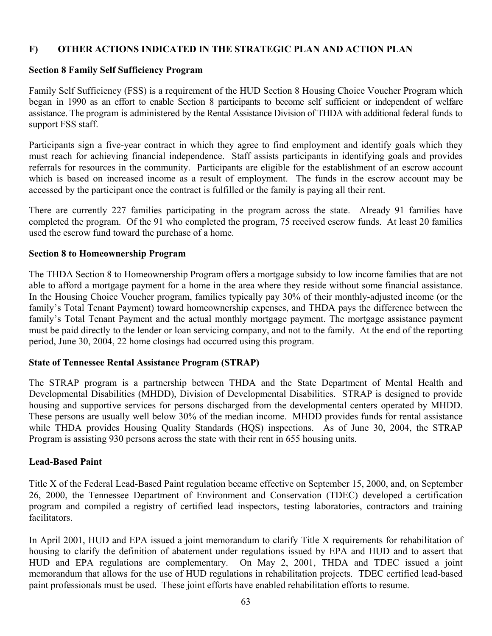### **F) OTHER ACTIONS INDICATED IN THE STRATEGIC PLAN AND ACTION PLAN**

#### **Section 8 Family Self Sufficiency Program**

Family Self Sufficiency (FSS) is a requirement of the HUD Section 8 Housing Choice Voucher Program which began in 1990 as an effort to enable Section 8 participants to become self sufficient or independent of welfare assistance. The program is administered by the Rental Assistance Division of THDA with additional federal funds to support FSS staff.

Participants sign a five-year contract in which they agree to find employment and identify goals which they must reach for achieving financial independence. Staff assists participants in identifying goals and provides referrals for resources in the community. Participants are eligible for the establishment of an escrow account which is based on increased income as a result of employment. The funds in the escrow account may be accessed by the participant once the contract is fulfilled or the family is paying all their rent.

There are currently 227 families participating in the program across the state. Already 91 families have completed the program. Of the 91 who completed the program, 75 received escrow funds. At least 20 families used the escrow fund toward the purchase of a home.

#### **Section 8 to Homeownership Program**

The THDA Section 8 to Homeownership Program offers a mortgage subsidy to low income families that are not able to afford a mortgage payment for a home in the area where they reside without some financial assistance. In the Housing Choice Voucher program, families typically pay 30% of their monthly-adjusted income (or the family's Total Tenant Payment) toward homeownership expenses, and THDA pays the difference between the family's Total Tenant Payment and the actual monthly mortgage payment. The mortgage assistance payment must be paid directly to the lender or loan servicing company, and not to the family. At the end of the reporting period, June 30, 2004, 22 home closings had occurred using this program.

#### **State of Tennessee Rental Assistance Program (STRAP)**

The STRAP program is a partnership between THDA and the State Department of Mental Health and Developmental Disabilities (MHDD), Division of Developmental Disabilities. STRAP is designed to provide housing and supportive services for persons discharged from the developmental centers operated by MHDD. These persons are usually well below 30% of the median income. MHDD provides funds for rental assistance while THDA provides Housing Quality Standards (HQS) inspections. As of June 30, 2004, the STRAP Program is assisting 930 persons across the state with their rent in 655 housing units.

#### **Lead-Based Paint**

Title X of the Federal Lead-Based Paint regulation became effective on September 15, 2000, and, on September 26, 2000, the Tennessee Department of Environment and Conservation (TDEC) developed a certification program and compiled a registry of certified lead inspectors, testing laboratories, contractors and training facilitators.

In April 2001, HUD and EPA issued a joint memorandum to clarify Title X requirements for rehabilitation of housing to clarify the definition of abatement under regulations issued by EPA and HUD and to assert that HUD and EPA regulations are complementary. On May 2, 2001, THDA and TDEC issued a joint memorandum that allows for the use of HUD regulations in rehabilitation projects. TDEC certified lead-based paint professionals must be used. These joint efforts have enabled rehabilitation efforts to resume.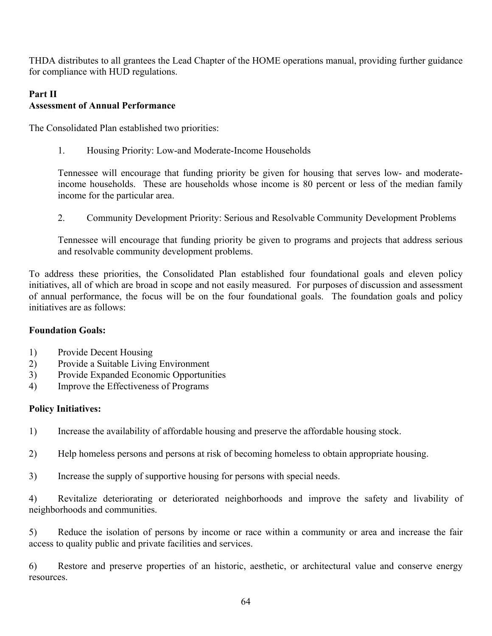THDA distributes to all grantees the Lead Chapter of the HOME operations manual, providing further guidance for compliance with HUD regulations.

# **Part II Assessment of Annual Performance**

The Consolidated Plan established two priorities:

1. Housing Priority: Low-and Moderate-Income Households

Tennessee will encourage that funding priority be given for housing that serves low- and moderateincome households. These are households whose income is 80 percent or less of the median family income for the particular area.

2. Community Development Priority: Serious and Resolvable Community Development Problems

Tennessee will encourage that funding priority be given to programs and projects that address serious and resolvable community development problems.

To address these priorities, the Consolidated Plan established four foundational goals and eleven policy initiatives, all of which are broad in scope and not easily measured. For purposes of discussion and assessment of annual performance, the focus will be on the four foundational goals. The foundation goals and policy initiatives are as follows:

#### **Foundation Goals:**

- 1) Provide Decent Housing
- 2) Provide a Suitable Living Environment
- 3) Provide Expanded Economic Opportunities
- 4) Improve the Effectiveness of Programs

#### **Policy Initiatives:**

- 1) Increase the availability of affordable housing and preserve the affordable housing stock.
- 2) Help homeless persons and persons at risk of becoming homeless to obtain appropriate housing.
- 3) Increase the supply of supportive housing for persons with special needs.

4) Revitalize deteriorating or deteriorated neighborhoods and improve the safety and livability of neighborhoods and communities.

5) Reduce the isolation of persons by income or race within a community or area and increase the fair access to quality public and private facilities and services.

6) Restore and preserve properties of an historic, aesthetic, or architectural value and conserve energy resources.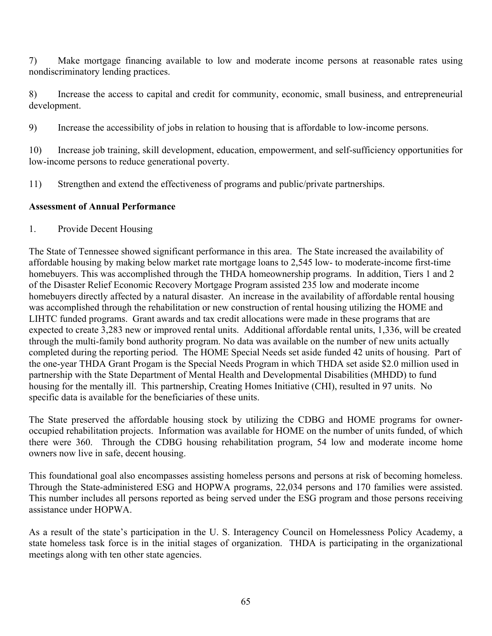7) Make mortgage financing available to low and moderate income persons at reasonable rates using nondiscriminatory lending practices.

8) Increase the access to capital and credit for community, economic, small business, and entrepreneurial development.

9) Increase the accessibility of jobs in relation to housing that is affordable to low-income persons.

10) Increase job training, skill development, education, empowerment, and self-sufficiency opportunities for low-income persons to reduce generational poverty.

11) Strengthen and extend the effectiveness of programs and public/private partnerships.

#### **Assessment of Annual Performance**

1. Provide Decent Housing

The State of Tennessee showed significant performance in this area. The State increased the availability of affordable housing by making below market rate mortgage loans to 2,545 low- to moderate-income first-time homebuyers. This was accomplished through the THDA homeownership programs. In addition, Tiers 1 and 2 of the Disaster Relief Economic Recovery Mortgage Program assisted 235 low and moderate income homebuyers directly affected by a natural disaster. An increase in the availability of affordable rental housing was accomplished through the rehabilitation or new construction of rental housing utilizing the HOME and LIHTC funded programs. Grant awards and tax credit allocations were made in these programs that are expected to create 3,283 new or improved rental units. Additional affordable rental units, 1,336, will be created through the multi-family bond authority program. No data was available on the number of new units actually completed during the reporting period. The HOME Special Needs set aside funded 42 units of housing. Part of the one-year THDA Grant Progam is the Special Needs Program in which THDA set aside \$2.0 million used in partnership with the State Department of Mental Health and Developmental Disabilities (MHDD) to fund housing for the mentally ill. This partnership, Creating Homes Initiative (CHI), resulted in 97 units. No specific data is available for the beneficiaries of these units.

The State preserved the affordable housing stock by utilizing the CDBG and HOME programs for owneroccupied rehabilitation projects. Information was available for HOME on the number of units funded, of which there were 360. Through the CDBG housing rehabilitation program, 54 low and moderate income home owners now live in safe, decent housing.

This foundational goal also encompasses assisting homeless persons and persons at risk of becoming homeless. Through the State-administered ESG and HOPWA programs, 22,034 persons and 170 families were assisted. This number includes all persons reported as being served under the ESG program and those persons receiving assistance under HOPWA.

As a result of the state's participation in the U. S. Interagency Council on Homelessness Policy Academy, a state homeless task force is in the initial stages of organization. THDA is participating in the organizational meetings along with ten other state agencies.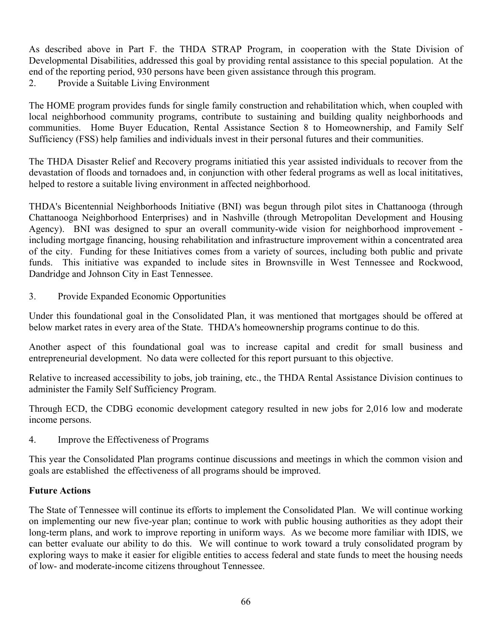As described above in Part F. the THDA STRAP Program, in cooperation with the State Division of Developmental Disabilities, addressed this goal by providing rental assistance to this special population. At the end of the reporting period, 930 persons have been given assistance through this program.

2. Provide a Suitable Living Environment

The HOME program provides funds for single family construction and rehabilitation which, when coupled with local neighborhood community programs, contribute to sustaining and building quality neighborhoods and communities. Home Buyer Education, Rental Assistance Section 8 to Homeownership, and Family Self Sufficiency (FSS) help families and individuals invest in their personal futures and their communities.

The THDA Disaster Relief and Recovery programs initiatied this year assisted individuals to recover from the devastation of floods and tornadoes and, in conjunction with other federal programs as well as local inititatives, helped to restore a suitable living environment in affected neighborhood.

THDA's Bicentennial Neighborhoods Initiative (BNI) was begun through pilot sites in Chattanooga (through Chattanooga Neighborhood Enterprises) and in Nashville (through Metropolitan Development and Housing Agency). BNI was designed to spur an overall community-wide vision for neighborhood improvement including mortgage financing, housing rehabilitation and infrastructure improvement within a concentrated area of the city. Funding for these Initiatives comes from a variety of sources, including both public and private funds. This initiative was expanded to include sites in Brownsville in West Tennessee and Rockwood, Dandridge and Johnson City in East Tennessee.

3. Provide Expanded Economic Opportunities

Under this foundational goal in the Consolidated Plan, it was mentioned that mortgages should be offered at below market rates in every area of the State. THDA's homeownership programs continue to do this.

Another aspect of this foundational goal was to increase capital and credit for small business and entrepreneurial development. No data were collected for this report pursuant to this objective.

Relative to increased accessibility to jobs, job training, etc., the THDA Rental Assistance Division continues to administer the Family Self Sufficiency Program.

Through ECD, the CDBG economic development category resulted in new jobs for 2,016 low and moderate income persons.

4. Improve the Effectiveness of Programs

This year the Consolidated Plan programs continue discussions and meetings in which the common vision and goals are established the effectiveness of all programs should be improved.

# **Future Actions**

The State of Tennessee will continue its efforts to implement the Consolidated Plan. We will continue working on implementing our new five-year plan; continue to work with public housing authorities as they adopt their long-term plans, and work to improve reporting in uniform ways. As we become more familiar with IDIS, we can better evaluate our ability to do this. We will continue to work toward a truly consolidated program by exploring ways to make it easier for eligible entities to access federal and state funds to meet the housing needs of low- and moderate-income citizens throughout Tennessee.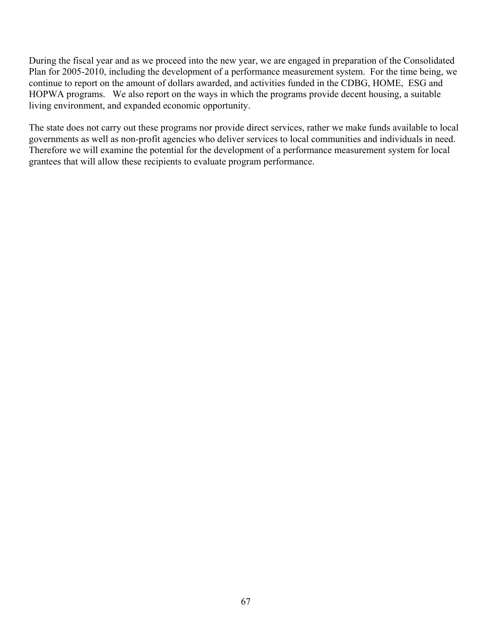During the fiscal year and as we proceed into the new year, we are engaged in preparation of the Consolidated Plan for 2005-2010, including the development of a performance measurement system. For the time being, we continue to report on the amount of dollars awarded, and activities funded in the CDBG, HOME, ESG and HOPWA programs. We also report on the ways in which the programs provide decent housing, a suitable living environment, and expanded economic opportunity.

The state does not carry out these programs nor provide direct services, rather we make funds available to local governments as well as non-profit agencies who deliver services to local communities and individuals in need. Therefore we will examine the potential for the development of a performance measurement system for local grantees that will allow these recipients to evaluate program performance.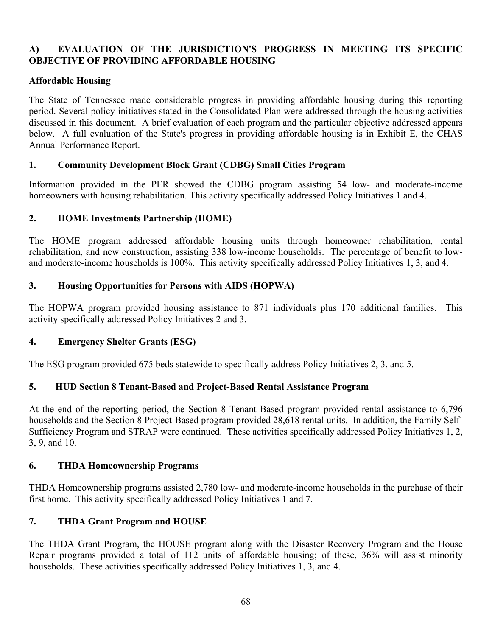# **A) EVALUATION OF THE JURISDICTION'S PROGRESS IN MEETING ITS SPECIFIC OBJECTIVE OF PROVIDING AFFORDABLE HOUSING**

#### **Affordable Housing**

The State of Tennessee made considerable progress in providing affordable housing during this reporting period. Several policy initiatives stated in the Consolidated Plan were addressed through the housing activities discussed in this document. A brief evaluation of each program and the particular objective addressed appears below. A full evaluation of the State's progress in providing affordable housing is in Exhibit E, the CHAS Annual Performance Report.

### **1. Community Development Block Grant (CDBG) Small Cities Program**

Information provided in the PER showed the CDBG program assisting 54 low- and moderate-income homeowners with housing rehabilitation. This activity specifically addressed Policy Initiatives 1 and 4.

# **2. HOME Investments Partnership (HOME)**

The HOME program addressed affordable housing units through homeowner rehabilitation, rental rehabilitation, and new construction, assisting 338 low-income households. The percentage of benefit to lowand moderate-income households is 100%. This activity specifically addressed Policy Initiatives 1, 3, and 4.

### **3. Housing Opportunities for Persons with AIDS (HOPWA)**

The HOPWA program provided housing assistance to 871 individuals plus 170 additional families. This activity specifically addressed Policy Initiatives 2 and 3.

#### **4. Emergency Shelter Grants (ESG)**

The ESG program provided 675 beds statewide to specifically address Policy Initiatives 2, 3, and 5.

# **5. HUD Section 8 Tenant-Based and Project-Based Rental Assistance Program**

At the end of the reporting period, the Section 8 Tenant Based program provided rental assistance to 6,796 households and the Section 8 Project-Based program provided 28,618 rental units. In addition, the Family Self-Sufficiency Program and STRAP were continued. These activities specifically addressed Policy Initiatives 1, 2, 3, 9, and 10.

#### **6. THDA Homeownership Programs**

THDA Homeownership programs assisted 2,780 low- and moderate-income households in the purchase of their first home. This activity specifically addressed Policy Initiatives 1 and 7.

# **7. THDA Grant Program and HOUSE**

The THDA Grant Program, the HOUSE program along with the Disaster Recovery Program and the House Repair programs provided a total of 112 units of affordable housing; of these, 36% will assist minority households. These activities specifically addressed Policy Initiatives 1, 3, and 4.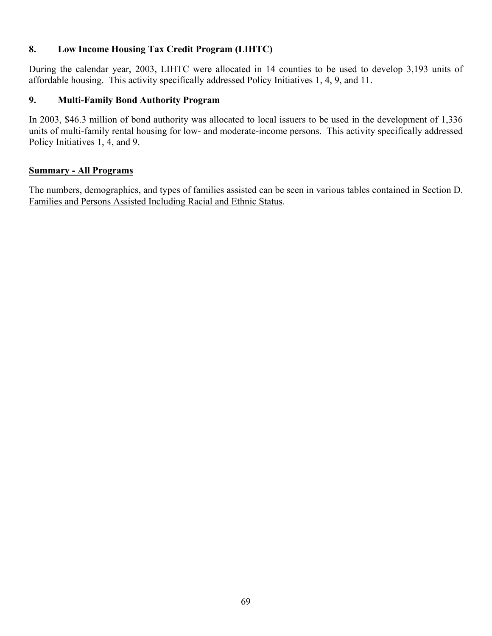### **8. Low Income Housing Tax Credit Program (LIHTC)**

During the calendar year, 2003, LIHTC were allocated in 14 counties to be used to develop 3,193 units of affordable housing. This activity specifically addressed Policy Initiatives 1, 4, 9, and 11.

#### **9. Multi-Family Bond Authority Program**

In 2003, \$46.3 million of bond authority was allocated to local issuers to be used in the development of 1,336 units of multi-family rental housing for low- and moderate-income persons. This activity specifically addressed Policy Initiatives 1, 4, and 9.

#### **Summary - All Programs**

The numbers, demographics, and types of families assisted can be seen in various tables contained in Section D. Families and Persons Assisted Including Racial and Ethnic Status.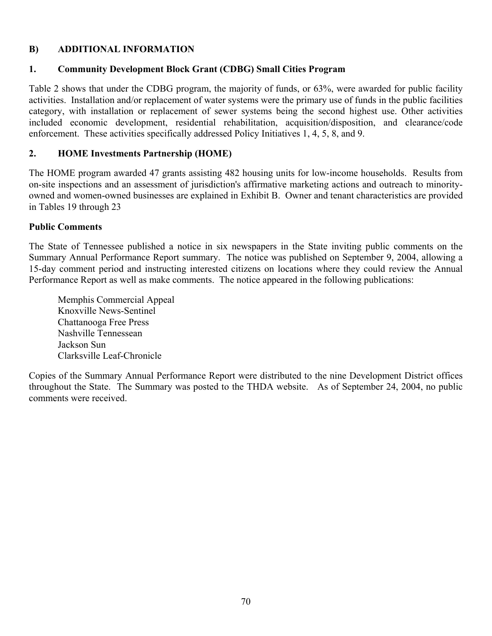# **B) ADDITIONAL INFORMATION**

#### **1. Community Development Block Grant (CDBG) Small Cities Program**

Table 2 shows that under the CDBG program, the majority of funds, or 63%, were awarded for public facility activities. Installation and/or replacement of water systems were the primary use of funds in the public facilities category, with installation or replacement of sewer systems being the second highest use. Other activities included economic development, residential rehabilitation, acquisition/disposition, and clearance/code enforcement. These activities specifically addressed Policy Initiatives 1, 4, 5, 8, and 9.

#### **2. HOME Investments Partnership (HOME)**

The HOME program awarded 47 grants assisting 482 housing units for low-income households. Results from on-site inspections and an assessment of jurisdiction's affirmative marketing actions and outreach to minorityowned and women-owned businesses are explained in Exhibit B. Owner and tenant characteristics are provided in Tables 19 through 23

#### **Public Comments**

The State of Tennessee published a notice in six newspapers in the State inviting public comments on the Summary Annual Performance Report summary. The notice was published on September 9, 2004, allowing a 15-day comment period and instructing interested citizens on locations where they could review the Annual Performance Report as well as make comments. The notice appeared in the following publications:

Memphis Commercial Appeal Knoxville News-Sentinel Chattanooga Free Press Nashville Tennessean Jackson Sun Clarksville Leaf-Chronicle

Copies of the Summary Annual Performance Report were distributed to the nine Development District offices throughout the State. The Summary was posted to the THDA website. As of September 24, 2004, no public comments were received.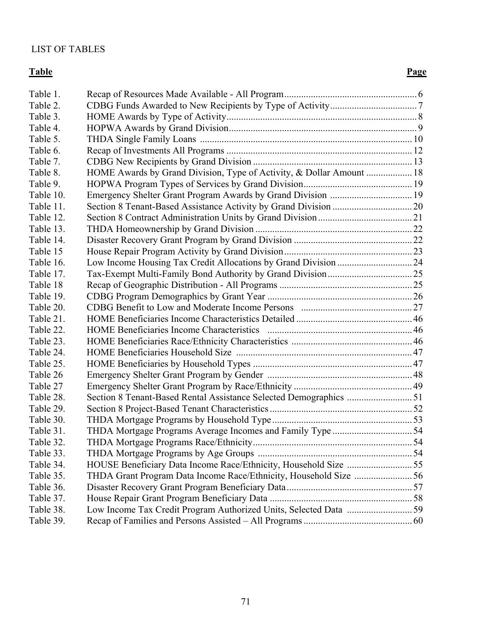# LIST OF TABLES

#### **Table** Page

| Table 1.  |                                                                      |  |
|-----------|----------------------------------------------------------------------|--|
| Table 2.  |                                                                      |  |
| Table 3.  |                                                                      |  |
| Table 4.  |                                                                      |  |
| Table 5.  |                                                                      |  |
| Table 6.  |                                                                      |  |
| Table 7.  |                                                                      |  |
| Table 8.  | HOME Awards by Grand Division, Type of Activity, & Dollar Amount  18 |  |
| Table 9.  |                                                                      |  |
| Table 10. | Emergency Shelter Grant Program Awards by Grand Division  19         |  |
| Table 11. |                                                                      |  |
| Table 12. |                                                                      |  |
| Table 13. |                                                                      |  |
| Table 14. |                                                                      |  |
| Table 15  |                                                                      |  |
| Table 16. | Low Income Housing Tax Credit Allocations by Grand Division  24      |  |
| Table 17. |                                                                      |  |
| Table 18  |                                                                      |  |
| Table 19. |                                                                      |  |
| Table 20. |                                                                      |  |
| Table 21. |                                                                      |  |
| Table 22. |                                                                      |  |
| Table 23. |                                                                      |  |
| Table 24. |                                                                      |  |
| Table 25. |                                                                      |  |
| Table 26  |                                                                      |  |
| Table 27  |                                                                      |  |
| Table 28. | Section 8 Tenant-Based Rental Assistance Selected Demographics 51    |  |
| Table 29. |                                                                      |  |
| Table 30. |                                                                      |  |
| Table 31. |                                                                      |  |
| Table 32. |                                                                      |  |
| Table 33. |                                                                      |  |
| Table 34. |                                                                      |  |
| Table 35. | THDA Grant Program Data Income Race/Ethnicity, Household Size 56     |  |
| Table 36. |                                                                      |  |
| Table 37. |                                                                      |  |
| Table 38. |                                                                      |  |
| Table 39. |                                                                      |  |